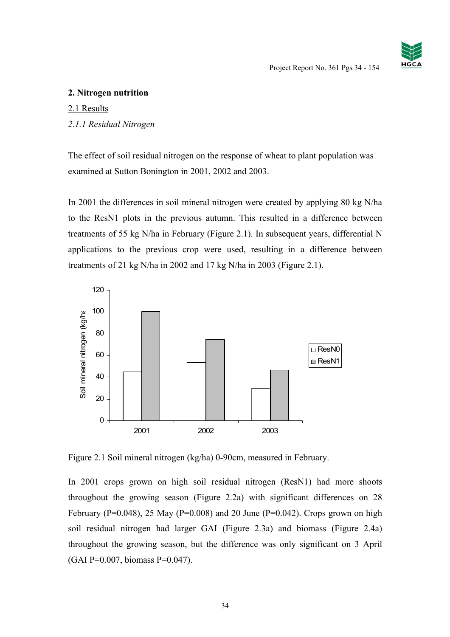# **2. Nitrogen nutrition**

# 2.1 Results

# *2.1.1 Residual Nitrogen*

The effect of soil residual nitrogen on the response of wheat to plant population was examined at Sutton Bonington in 2001, 2002 and 2003.

In 2001 the differences in soil mineral nitrogen were created by applying 80 kg N/ha to the ResN1 plots in the previous autumn. This resulted in a difference between treatments of 55 kg N/ha in February (Figure 2.1). In subsequent years, differential N applications to the previous crop were used, resulting in a difference between treatments of 21 kg N/ha in 2002 and 17 kg N/ha in 2003 (Figure 2.1).



Figure 2.1 Soil mineral nitrogen (kg/ha) 0-90cm, measured in February.

In 2001 crops grown on high soil residual nitrogen (ResN1) had more shoots throughout the growing season (Figure 2.2a) with significant differences on 28 February (P=0.048), 25 May (P=0.008) and 20 June (P=0.042). Crops grown on high soil residual nitrogen had larger GAI (Figure 2.3a) and biomass (Figure 2.4a) throughout the growing season, but the difference was only significant on 3 April (GAI P=0.007, biomass P=0.047).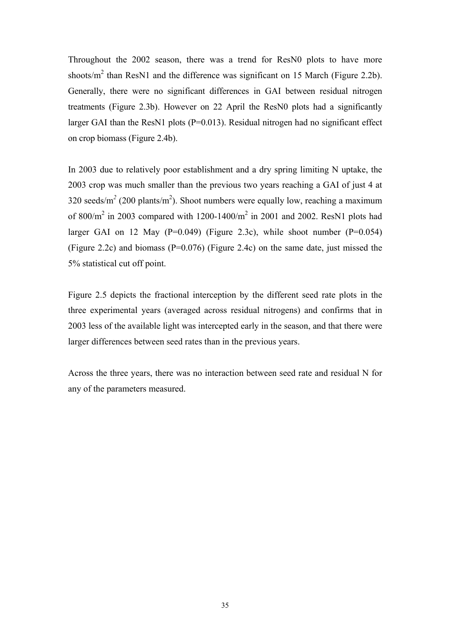Throughout the 2002 season, there was a trend for ResN0 plots to have more shoots/ $m^2$  than ResN1 and the difference was significant on 15 March (Figure 2.2b). Generally, there were no significant differences in GAI between residual nitrogen treatments (Figure 2.3b). However on 22 April the ResN0 plots had a significantly larger GAI than the ResN1 plots (P=0.013). Residual nitrogen had no significant effect on crop biomass (Figure 2.4b).

In 2003 due to relatively poor establishment and a dry spring limiting N uptake, the 2003 crop was much smaller than the previous two years reaching a GAI of just 4 at 320 seeds/ $m^2$  (200 plants/ $m^2$ ). Shoot numbers were equally low, reaching a maximum of 800/ $m^2$  in 2003 compared with 1200-1400/ $m^2$  in 2001 and 2002. ResN1 plots had larger GAI on 12 May ( $P=0.049$ ) (Figure 2.3c), while shoot number ( $P=0.054$ ) (Figure 2.2c) and biomass ( $P=0.076$ ) (Figure 2.4c) on the same date, just missed the 5% statistical cut off point.

Figure 2.5 depicts the fractional interception by the different seed rate plots in the three experimental years (averaged across residual nitrogens) and confirms that in 2003 less of the available light was intercepted early in the season, and that there were larger differences between seed rates than in the previous years.

Across the three years, there was no interaction between seed rate and residual N for any of the parameters measured.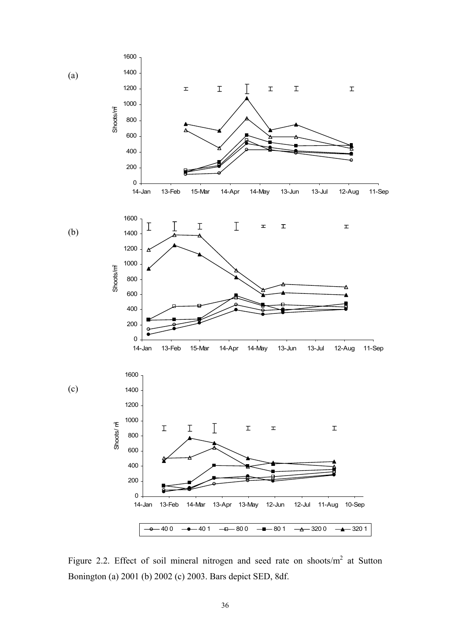

Figure 2.2. Effect of soil mineral nitrogen and seed rate on shoots/ $m<sup>2</sup>$  at Sutton Bonington (a) 2001 (b) 2002 (c) 2003. Bars depict SED, 8df.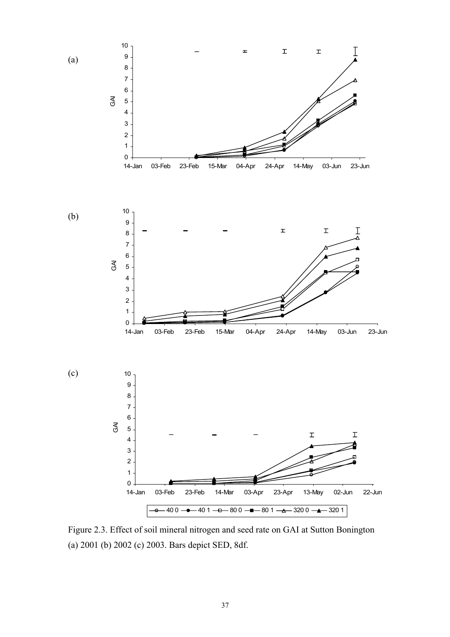

Figure 2.3. Effect of soil mineral nitrogen and seed rate on GAI at Sutton Bonington (a) 2001 (b) 2002 (c) 2003. Bars depict SED, 8df.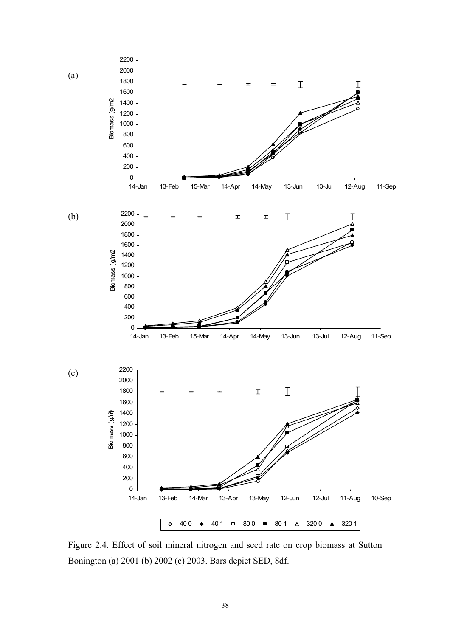

Figure 2.4. Effect of soil mineral nitrogen and seed rate on crop biomass at Sutton Bonington (a) 2001 (b) 2002 (c) 2003. Bars depict SED, 8df.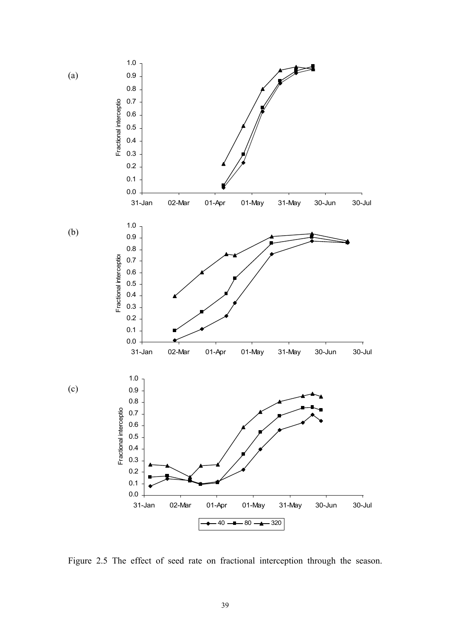

Figure 2.5 The effect of seed rate on fractional interception through the season.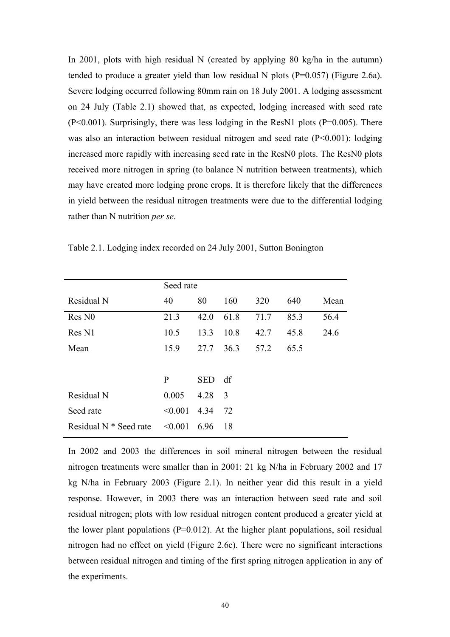In 2001, plots with high residual N (created by applying 80 kg/ha in the autumn) tended to produce a greater yield than low residual N plots  $(P=0.057)$  (Figure 2.6a). Severe lodging occurred following 80mm rain on 18 July 2001. A lodging assessment on 24 July (Table 2.1) showed that, as expected, lodging increased with seed rate (P<0.001). Surprisingly, there was less lodging in the ResN1 plots (P=0.005). There was also an interaction between residual nitrogen and seed rate (P<0.001): lodging increased more rapidly with increasing seed rate in the ResN0 plots. The ResN0 plots received more nitrogen in spring (to balance N nutrition between treatments), which may have created more lodging prone crops. It is therefore likely that the differences in yield between the residual nitrogen treatments were due to the differential lodging rather than N nutrition *per se*.

|                        | Seed rate    |            |      |      |      |      |
|------------------------|--------------|------------|------|------|------|------|
| Residual N             | 40           | 80         | 160  | 320  | 640  | Mean |
| Res N <sub>0</sub>     | 21.3         | 42.0       | 61.8 | 71.7 | 85.3 | 56.4 |
| Res N1                 | 10.5         | 13.3       | 10.8 | 42.7 | 45.8 | 24.6 |
| Mean                   | 15.9         | 27.7       | 36.3 | 57.2 | 65.5 |      |
|                        |              |            |      |      |      |      |
|                        | $\mathbf{P}$ | <b>SED</b> | df   |      |      |      |
| Residual N             | 0.005        | 4.28       | 3    |      |      |      |
| Seed rate              | < 0.001      | 4.34       | 72   |      |      |      |
| Residual N * Seed rate | < 0.001      | 6.96       | 18   |      |      |      |
|                        |              |            |      |      |      |      |

Table 2.1. Lodging index recorded on 24 July 2001, Sutton Bonington

In 2002 and 2003 the differences in soil mineral nitrogen between the residual nitrogen treatments were smaller than in 2001: 21 kg N/ha in February 2002 and 17 kg N/ha in February 2003 (Figure 2.1). In neither year did this result in a yield response. However, in 2003 there was an interaction between seed rate and soil residual nitrogen; plots with low residual nitrogen content produced a greater yield at the lower plant populations  $(P=0.012)$ . At the higher plant populations, soil residual nitrogen had no effect on yield (Figure 2.6c). There were no significant interactions between residual nitrogen and timing of the first spring nitrogen application in any of the experiments.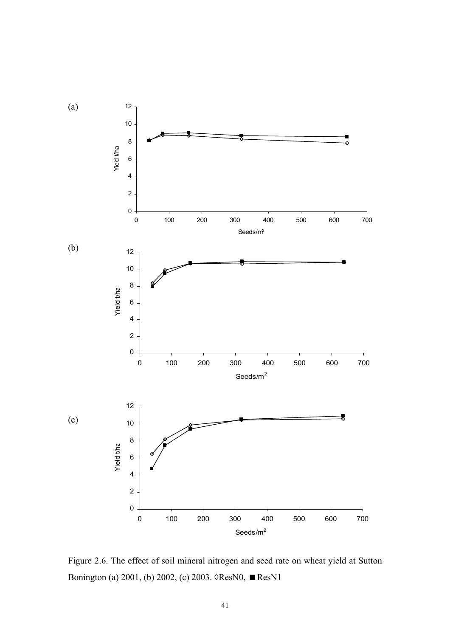

Figure 2.6. The effect of soil mineral nitrogen and seed rate on wheat yield at Sutton Bonington (a) 2001, (b) 2002, (c) 2003. ◊ResN0, ResN1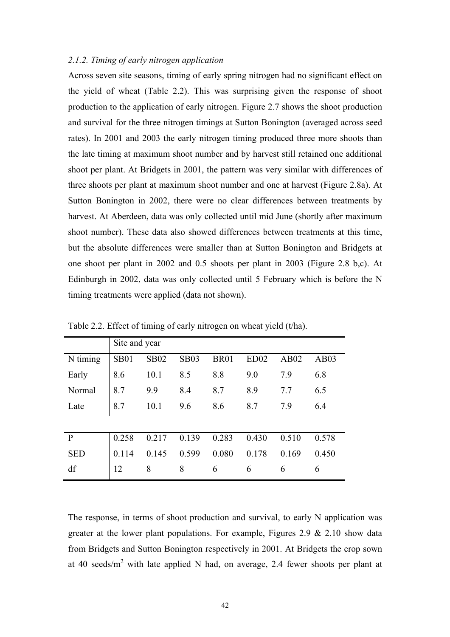### *2.1.2. Timing of early nitrogen application*

Across seven site seasons, timing of early spring nitrogen had no significant effect on the yield of wheat (Table 2.2). This was surprising given the response of shoot production to the application of early nitrogen. Figure 2.7 shows the shoot production and survival for the three nitrogen timings at Sutton Bonington (averaged across seed rates). In 2001 and 2003 the early nitrogen timing produced three more shoots than the late timing at maximum shoot number and by harvest still retained one additional shoot per plant. At Bridgets in 2001, the pattern was very similar with differences of three shoots per plant at maximum shoot number and one at harvest (Figure 2.8a). At Sutton Bonington in 2002, there were no clear differences between treatments by harvest. At Aberdeen, data was only collected until mid June (shortly after maximum shoot number). These data also showed differences between treatments at this time, but the absolute differences were smaller than at Sutton Bonington and Bridgets at one shoot per plant in 2002 and 0.5 shoots per plant in 2003 (Figure 2.8 b,c). At Edinburgh in 2002, data was only collected until 5 February which is before the N timing treatments were applied (data not shown).

|              | Site and year |             |             |             |       |       |       |
|--------------|---------------|-------------|-------------|-------------|-------|-------|-------|
| N timing     | <b>SB01</b>   | <b>SB02</b> | <b>SB03</b> | <b>BR01</b> | ED02  | AB02  | AB03  |
| Early        | 8.6           | 10.1        | 8.5         | 8.8         | 9.0   | 7.9   | 6.8   |
| Normal       | 8.7           | 9.9         | 8.4         | 8.7         | 8.9   | 7.7   | 6.5   |
| Late         | 8.7           | 10.1        | 9.6         | 8.6         | 8.7   | 7.9   | 6.4   |
|              |               |             |             |             |       |       |       |
| $\mathbf{P}$ | 0.258         | 0.217       | 0.139       | 0.283       | 0.430 | 0.510 | 0.578 |
| <b>SED</b>   | 0.114         | 0.145       | 0.599       | 0.080       | 0.178 | 0.169 | 0.450 |
| df           | 12            | 8           | 8           | 6           | 6     | 6     | 6     |

Table 2.2. Effect of timing of early nitrogen on wheat yield (t/ha).

The response, in terms of shoot production and survival, to early N application was greater at the lower plant populations. For example, Figures 2.9 & 2.10 show data from Bridgets and Sutton Bonington respectively in 2001. At Bridgets the crop sown at 40 seeds/ $m^2$  with late applied N had, on average, 2.4 fewer shoots per plant at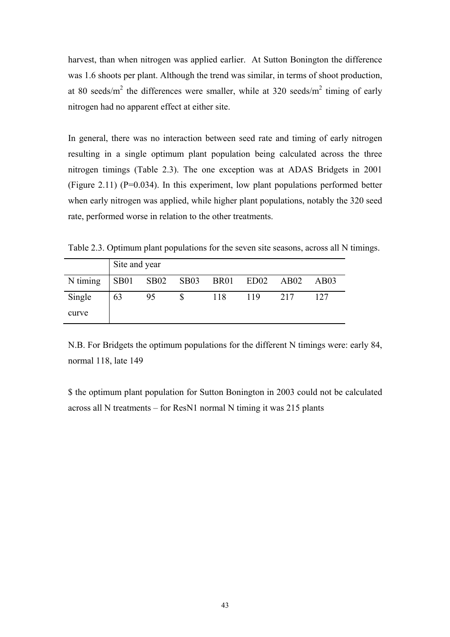harvest, than when nitrogen was applied earlier. At Sutton Bonington the difference was 1.6 shoots per plant. Although the trend was similar, in terms of shoot production, at 80 seeds/m<sup>2</sup> the differences were smaller, while at 320 seeds/m<sup>2</sup> timing of early nitrogen had no apparent effect at either site.

In general, there was no interaction between seed rate and timing of early nitrogen resulting in a single optimum plant population being calculated across the three nitrogen timings (Table 2.3). The one exception was at ADAS Bridgets in 2001 (Figure 2.11) (P=0.034). In this experiment, low plant populations performed better when early nitrogen was applied, while higher plant populations, notably the 320 seed rate, performed worse in relation to the other treatments.

Table 2.3. Optimum plant populations for the seven site seasons, across all N timings.

|          | Site and year |    |                     |     |             |     |      |  |
|----------|---------------|----|---------------------|-----|-------------|-----|------|--|
| N timing |               |    | SB01 SB02 SB03 BR01 |     | $ED02$ AB02 |     | AB03 |  |
| Single   | 63            | 95 |                     | 118 | 119         | 217 | 127  |  |
| curve    |               |    |                     |     |             |     |      |  |

N.B. For Bridgets the optimum populations for the different N timings were: early 84, normal 118, late 149

\$ the optimum plant population for Sutton Bonington in 2003 could not be calculated across all N treatments – for ResN1 normal N timing it was 215 plants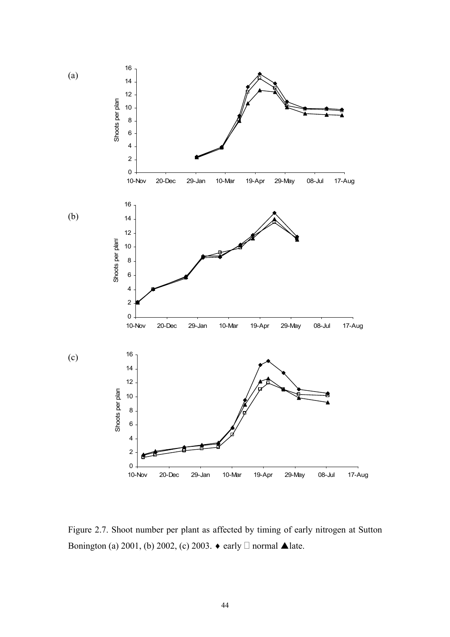

Figure 2.7. Shoot number per plant as affected by timing of early nitrogen at Sutton Bonington (a) 2001, (b) 2002, (c) 2003.  $\bullet$  early  $\Box$  normal  $\blacktriangle$  late.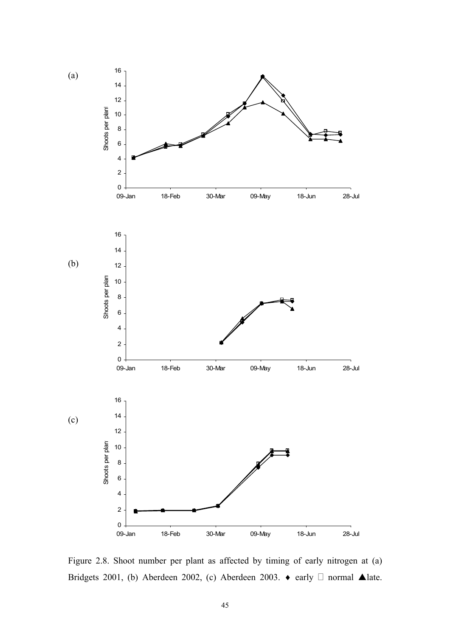

Figure 2.8. Shoot number per plant as affected by timing of early nitrogen at (a) Bridgets 2001, (b) Aberdeen 2002, (c) Aberdeen 2003.  $\bullet$  early  $\Box$  normal  $\blacktriangle$  late.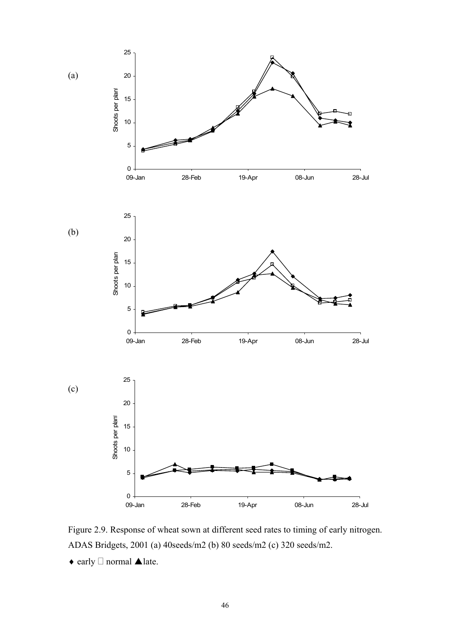

Figure 2.9. Response of wheat sown at different seed rates to timing of early nitrogen. ADAS Bridgets, 2001 (a) 40seeds/m2 (b) 80 seeds/m2 (c) 320 seeds/m2.

 $\bullet$  early  $\Box$  normal **Alate.**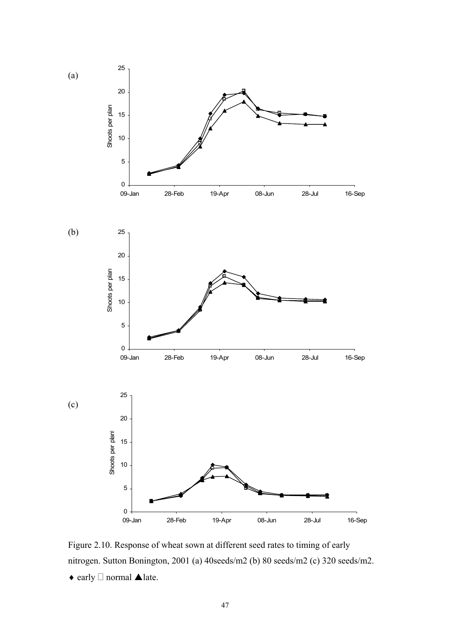

Figure 2.10. Response of wheat sown at different seed rates to timing of early nitrogen. Sutton Bonington, 2001 (a) 40seeds/m2 (b) 80 seeds/m2 (c) 320 seeds/m2.

 $\blacklozenge$  early  $\Box$  normal  $\blacktriangle$  late.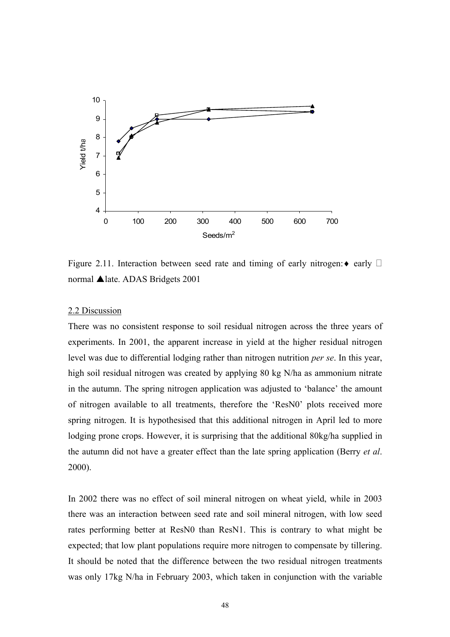

Figure 2.11. Interaction between seed rate and timing of early nitrogen:  $\bullet$  early  $\Box$ normal **▲** late. ADAS Bridgets 2001

## 2.2 Discussion

There was no consistent response to soil residual nitrogen across the three years of experiments. In 2001, the apparent increase in yield at the higher residual nitrogen level was due to differential lodging rather than nitrogen nutrition *per se*. In this year, high soil residual nitrogen was created by applying 80 kg N/ha as ammonium nitrate in the autumn. The spring nitrogen application was adjusted to 'balance' the amount of nitrogen available to all treatments, therefore the 'ResN0' plots received more spring nitrogen. It is hypothesised that this additional nitrogen in April led to more lodging prone crops. However, it is surprising that the additional 80kg/ha supplied in the autumn did not have a greater effect than the late spring application (Berry *et al*. 2000).

In 2002 there was no effect of soil mineral nitrogen on wheat yield, while in 2003 there was an interaction between seed rate and soil mineral nitrogen, with low seed rates performing better at ResN0 than ResN1. This is contrary to what might be expected; that low plant populations require more nitrogen to compensate by tillering. It should be noted that the difference between the two residual nitrogen treatments was only 17kg N/ha in February 2003, which taken in conjunction with the variable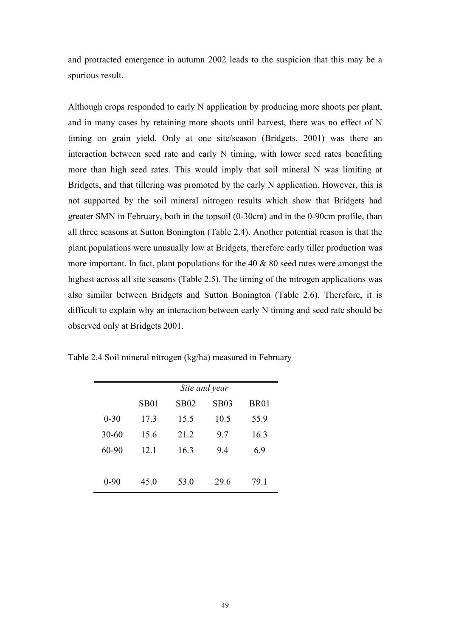and protracted emergence in autumn 2002 leads to the suspicion that this may be a spurious result.

Although crops responded to early N application by producing more shoots per plant, and in many cases by retaining more shoots until harvest, there was no effect of N timing on grain yield. Only at one site/season (Bridgets, 2001) was there an interaction between seed rate and early N timing, with lower seed rates benefiting more than high seed rates. This would imply that soil mineral N was limiting at Bridgets, and that tillering was promoted by the early N application. However, this is not supported by the soil mineral nitrogen results which show that Bridgets had greater SMN in February, both in the topsoil (0-30cm) and in the 0-90cm profile, than all three seasons at Sutton Bonington (Table 2.4). Another potential reason is that the plant populations were unusually low at Bridgets, therefore early tiller production was more important. In fact, plant populations for the  $40 \& 80$  seed rates were amongst the highest across all site seasons (Table 2.5). The timing of the nitrogen applications was also similar between Bridgets and Sutton Bonington (Table 2.6). Therefore, it is difficult to explain why an interaction between early N timing and seed rate should be observed only at Bridgets 2001.

|           | Site and year |             |             |             |  |  |  |
|-----------|---------------|-------------|-------------|-------------|--|--|--|
|           | <b>SB01</b>   | <b>SB02</b> | <b>SB03</b> | <b>BR01</b> |  |  |  |
| $0 - 30$  | 17.3          | 15.5        | 10.5        | 55.9        |  |  |  |
| $30 - 60$ | 15.6          | 21.2        | 9.7         | 16.3        |  |  |  |
| 60-90     | 12.1          | 16.3        | 9.4         | 6.9         |  |  |  |
|           |               |             |             |             |  |  |  |
| $0 - 90$  | 45.0          | 53.0        | 29.6        | 79.1        |  |  |  |

Table 2.4 Soil mineral nitrogen (kg/ha) measured in February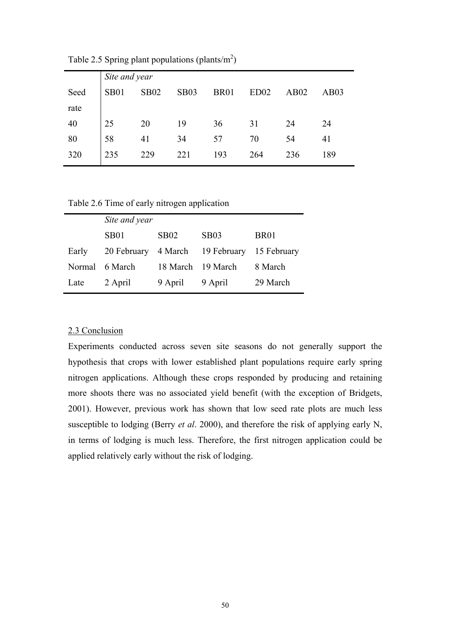|      |             | Site and year |             |             |                  |      |      |  |  |  |
|------|-------------|---------------|-------------|-------------|------------------|------|------|--|--|--|
| Seed | <b>SB01</b> | <b>SB02</b>   | <b>SB03</b> | <b>BR01</b> | ED <sub>02</sub> | AB02 | AB03 |  |  |  |
| rate |             |               |             |             |                  |      |      |  |  |  |
| 40   | 25          | 20            | 19          | 36          | 31               | 24   | 24   |  |  |  |
| 80   | 58          | 41            | 34          | 57          | 70               | 54   | 41   |  |  |  |
| 320  | 235         | 229           | 221         | 193         | 264              | 236  | 189  |  |  |  |
|      |             |               |             |             |                  |      |      |  |  |  |

Table 2.5 Spring plant populations (plants/ $m<sup>2</sup>$ )

Table 2.6 Time of early nitrogen application

|        | Site and year    |                   |                     |             |
|--------|------------------|-------------------|---------------------|-------------|
|        | SB <sub>01</sub> | <b>SB02</b>       | SB03                | <b>BR01</b> |
| Early  | 20 February      |                   | 4 March 19 February | 15 February |
| Normal | 6 March          | 18 March 19 March |                     | 8 March     |
| Late   | 2 April          | 9 April           | 9 April             | 29 March    |

## 2.3 Conclusion

Experiments conducted across seven site seasons do not generally support the hypothesis that crops with lower established plant populations require early spring nitrogen applications. Although these crops responded by producing and retaining more shoots there was no associated yield benefit (with the exception of Bridgets, 2001). However, previous work has shown that low seed rate plots are much less susceptible to lodging (Berry *et al*. 2000), and therefore the risk of applying early N, in terms of lodging is much less. Therefore, the first nitrogen application could be applied relatively early without the risk of lodging.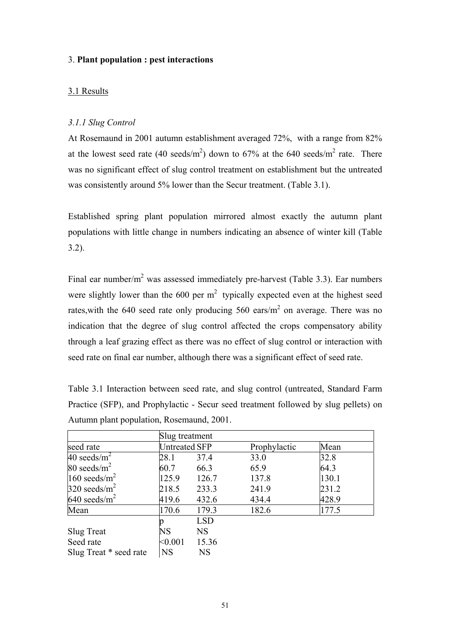### 3. **Plant population : pest interactions**

## 3.1 Results

## *3.1.1 Slug Control*

At Rosemaund in 2001 autumn establishment averaged 72%, with a range from 82% at the lowest seed rate (40 seeds/ $m^2$ ) down to 67% at the 640 seeds/ $m^2$  rate. There was no significant effect of slug control treatment on establishment but the untreated was consistently around 5% lower than the Secur treatment. (Table 3.1).

Established spring plant population mirrored almost exactly the autumn plant populations with little change in numbers indicating an absence of winter kill (Table 3.2).

Final ear number/m<sup>2</sup> was assessed immediately pre-harvest (Table 3.3). Ear numbers were slightly lower than the 600 per  $m<sup>2</sup>$  typically expected even at the highest seed rates, with the 640 seed rate only producing 560 ears/ $m<sup>2</sup>$  on average. There was no indication that the degree of slug control affected the crops compensatory ability through a leaf grazing effect as there was no effect of slug control or interaction with seed rate on final ear number, although there was a significant effect of seed rate.

| Table 3.1 Interaction between seed rate, and slug control (untreated, Standard Farm  |
|--------------------------------------------------------------------------------------|
| Practice (SFP), and Prophylactic - Secur seed treatment followed by slug pellets) on |
| Autumn plant population, Rosemaund, 2001.                                            |

|                        | Slug treatment       |            |              |       |  |  |  |
|------------------------|----------------------|------------|--------------|-------|--|--|--|
| seed rate              | <b>Untreated SFP</b> |            | Prophylactic | Mean  |  |  |  |
| 40 seeds/ $m^2$        | 28.1                 | 37.4       | 33.0         | 32.8  |  |  |  |
| 80 seeds/ $m^2$        | 60.7                 | 66.3       | 65.9         | 64.3  |  |  |  |
| 160 seeds/ $m^2$       | 125.9                | 126.7      | 137.8        | 130.1 |  |  |  |
| 320 seeds/ $m^2$       | 218.5                | 233.3      | 241.9        | 231.2 |  |  |  |
| 640 seeds/ $m^2$       | 419.6                | 432.6      | 434.4        | 428.9 |  |  |  |
| Mean                   | 170.6                | 179.3      | 182.6        | 177.5 |  |  |  |
|                        |                      | <b>LSD</b> |              |       |  |  |  |
| Slug Treat             | NS                   | <b>NS</b>  |              |       |  |  |  |
| Seed rate              | < 0.001              | 15.36      |              |       |  |  |  |
| Slug Treat * seed rate | <b>NS</b>            | <b>NS</b>  |              |       |  |  |  |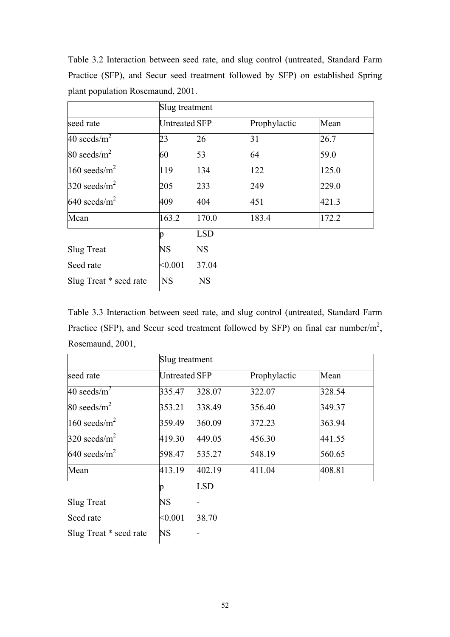|                        |                      | Slug treatment |              |       |  |  |  |  |
|------------------------|----------------------|----------------|--------------|-------|--|--|--|--|
| seed rate              | <b>Untreated SFP</b> |                | Prophylactic | Mean  |  |  |  |  |
| 40 seeds/ $m^2$        | 23                   | 26             | 31           | 26.7  |  |  |  |  |
| 80 seeds/ $m^2$        | 60                   | 53             | 64           | 59.0  |  |  |  |  |
| 160 seeds/ $m^2$       | 119                  | 134            | 122          | 125.0 |  |  |  |  |
| 320 seeds/ $m^2$       | 205                  | 233            | 249          | 229.0 |  |  |  |  |
| 640 seeds/ $m^2$       | 409                  | 404            | 451          | 421.3 |  |  |  |  |
| Mean                   | 163.2                | 170.0          | 183.4        | 172.2 |  |  |  |  |
|                        | n                    | <b>LSD</b>     |              |       |  |  |  |  |
| <b>Slug Treat</b>      | <b>NS</b>            | <b>NS</b>      |              |       |  |  |  |  |
| Seed rate              | < 0.001              | 37.04          |              |       |  |  |  |  |
| Slug Treat * seed rate | <b>NS</b>            | <b>NS</b>      |              |       |  |  |  |  |

Table 3.2 Interaction between seed rate, and slug control (untreated, Standard Farm Practice (SFP), and Secur seed treatment followed by SFP) on established Spring plant population Rosemaund, 2001.

Table 3.3 Interaction between seed rate, and slug control (untreated, Standard Farm Practice (SFP), and Secur seed treatment followed by SFP) on final ear number/ $m^2$ , Rosemaund, 2001,

|                        | Slug treatment       |            |              |        |  |  |
|------------------------|----------------------|------------|--------------|--------|--|--|
| seed rate              | <b>Untreated SFP</b> |            | Prophylactic | Mean   |  |  |
| 40 seeds/ $m^2$        | 335.47               | 328.07     | 322.07       | 328.54 |  |  |
| 80 seeds/ $m^2$        | 353.21               | 338.49     | 356.40       | 349.37 |  |  |
| 160 seeds/ $m^2$       | 359.49               | 360.09     | 372.23       | 363.94 |  |  |
| 320 seeds/ $m^2$       | 419.30               | 449.05     | 456.30       | 441.55 |  |  |
| 640 seeds/ $m^2$       | 598.47               | 535.27     | 548.19       | 560.65 |  |  |
| Mean                   | 413.19               | 402.19     | 411.04       | 408.81 |  |  |
|                        | p                    | <b>LSD</b> |              |        |  |  |
| <b>Slug Treat</b>      | <b>NS</b>            |            |              |        |  |  |
| Seed rate              | < 0.001              | 38.70      |              |        |  |  |
| Slug Treat * seed rate | <b>NS</b>            |            |              |        |  |  |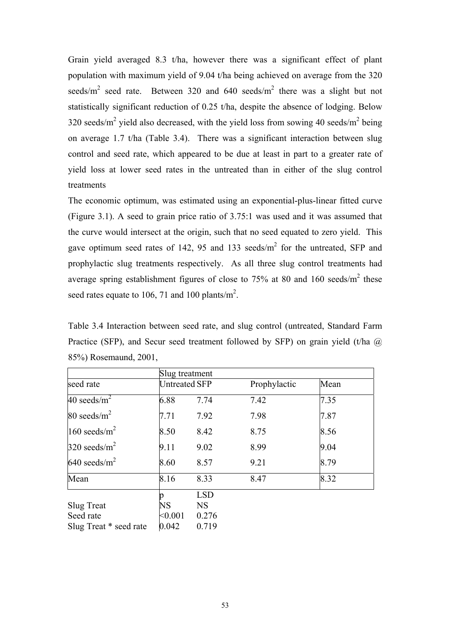Grain yield averaged 8.3 t/ha, however there was a significant effect of plant population with maximum yield of 9.04 t/ha being achieved on average from the 320 seeds/ $m^2$  seed rate. Between 320 and 640 seeds/ $m^2$  there was a slight but not statistically significant reduction of 0.25 t/ha, despite the absence of lodging. Below 320 seeds/m<sup>2</sup> yield also decreased, with the yield loss from sowing 40 seeds/m<sup>2</sup> being on average 1.7 t/ha (Table 3.4). There was a significant interaction between slug control and seed rate, which appeared to be due at least in part to a greater rate of yield loss at lower seed rates in the untreated than in either of the slug control treatments

The economic optimum, was estimated using an exponential-plus-linear fitted curve (Figure 3.1). A seed to grain price ratio of 3.75:1 was used and it was assumed that the curve would intersect at the origin, such that no seed equated to zero yield. This gave optimum seed rates of 142, 95 and 133 seeds/ $m<sup>2</sup>$  for the untreated, SFP and prophylactic slug treatments respectively. As all three slug control treatments had average spring establishment figures of close to 75% at 80 and 160 seeds/ $m^2$  these seed rates equate to 106, 71 and 100 plants/ $m^2$ .

Table 3.4 Interaction between seed rate, and slug control (untreated, Standard Farm Practice (SFP), and Secur seed treatment followed by SFP) on grain yield (t/ha  $@$ 85%) Rosemaund, 2001,

|                        | Slug treatment       |            |              |      |  |  |  |
|------------------------|----------------------|------------|--------------|------|--|--|--|
| seed rate              | <b>Untreated SFP</b> |            | Prophylactic | Mean |  |  |  |
| 40 seeds/ $m^2$        | 6.88                 | 7.74       | 7.42         | 7.35 |  |  |  |
| 80 seeds/ $m^2$        | 7.71                 | 7.92       | 7.98         | 7.87 |  |  |  |
| 160 seeds/ $m^2$       | 8.50                 | 8.42       | 8.75         | 8.56 |  |  |  |
| 320 seeds/ $m^2$       | 9.11                 | 9.02       | 8.99         | 9.04 |  |  |  |
| 640 seeds/ $m^2$       | 8.60                 | 8.57       | 9.21         | 8.79 |  |  |  |
| Mean                   | 8.16                 | 8.33       | 8.47         | 8.32 |  |  |  |
|                        |                      | <b>LSD</b> |              |      |  |  |  |
| Slug Treat             | <b>NS</b>            | <b>NS</b>  |              |      |  |  |  |
| Seed rate              | < 0.001              | 0.276      |              |      |  |  |  |
| Slug Treat * seed rate | 0.042                | 0.719      |              |      |  |  |  |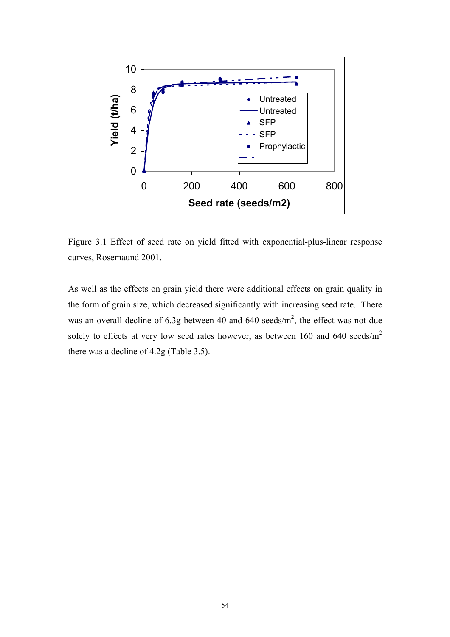

Figure 3.1 Effect of seed rate on yield fitted with exponential-plus-linear response curves, Rosemaund 2001.

As well as the effects on grain yield there were additional effects on grain quality in the form of grain size, which decreased significantly with increasing seed rate. There was an overall decline of 6.3g between 40 and 640 seeds/ $m<sup>2</sup>$ , the effect was not due solely to effects at very low seed rates however, as between 160 and 640 seeds/ $m<sup>2</sup>$ there was a decline of 4.2g (Table 3.5).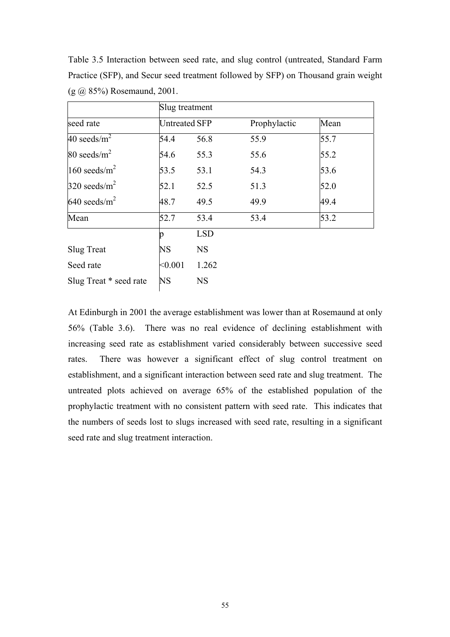|                        | Slug treatment       |            |              |      |  |  |  |
|------------------------|----------------------|------------|--------------|------|--|--|--|
| seed rate              | <b>Untreated SFP</b> |            | Prophylactic | Mean |  |  |  |
| 40 seeds/ $m^2$        | 54.4                 | 56.8       | 55.9         | 55.7 |  |  |  |
| 80 seeds/ $m^2$        | 54.6                 | 55.3       | 55.6         | 55.2 |  |  |  |
| 160 seeds/ $m^2$       | 53.5                 | 53.1       | 54.3         | 53.6 |  |  |  |
| 320 seeds/ $m^2$       | 52.1                 | 52.5       | 51.3         | 52.0 |  |  |  |
| 640 seeds/ $m^2$       | 48.7                 | 49.5       | 49.9         | 49.4 |  |  |  |
| Mean                   | 52.7                 | 53.4       | 53.4         | 53.2 |  |  |  |
|                        | n                    | <b>LSD</b> |              |      |  |  |  |
| Slug Treat             | <b>NS</b>            | <b>NS</b>  |              |      |  |  |  |
| Seed rate              | < 0.001              | 1.262      |              |      |  |  |  |
| Slug Treat * seed rate | <b>NS</b>            | <b>NS</b>  |              |      |  |  |  |

Table 3.5 Interaction between seed rate, and slug control (untreated, Standard Farm Practice (SFP), and Secur seed treatment followed by SFP) on Thousand grain weight (g @ 85%) Rosemaund, 2001.

At Edinburgh in 2001 the average establishment was lower than at Rosemaund at only 56% (Table 3.6). There was no real evidence of declining establishment with increasing seed rate as establishment varied considerably between successive seed rates. There was however a significant effect of slug control treatment on establishment, and a significant interaction between seed rate and slug treatment. The untreated plots achieved on average 65% of the established population of the prophylactic treatment with no consistent pattern with seed rate. This indicates that the numbers of seeds lost to slugs increased with seed rate, resulting in a significant seed rate and slug treatment interaction.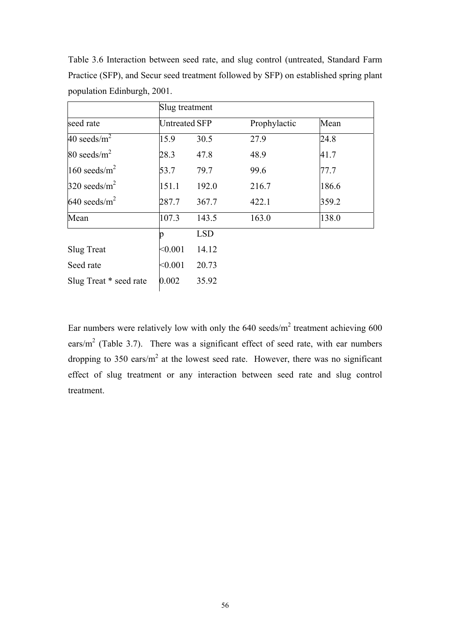|                        | Slug treatment       |            |              |       |
|------------------------|----------------------|------------|--------------|-------|
| seed rate              | <b>Untreated SFP</b> |            | Prophylactic | Mean  |
| 40 seeds/ $m^2$        | 15.9                 | 30.5       | 27.9         | 24.8  |
| 80 seeds/ $m^2$        | 28.3                 | 47.8       | 48.9         | 41.7  |
| 160 seeds/ $m^2$       | 53.7                 | 79.7       | 99.6         | 77.7  |
| 320 seeds/ $m^2$       | 151.1                | 192.0      | 216.7        | 186.6 |
| 640 seeds/ $m^2$       | 287.7                | 367.7      | 422.1        | 359.2 |
| Mean                   | 107.3                | 143.5      | 163.0        | 138.0 |
|                        | n                    | <b>LSD</b> |              |       |
| <b>Slug Treat</b>      | < 0.001              | 14.12      |              |       |
| Seed rate              | < 0.001              | 20.73      |              |       |
| Slug Treat * seed rate | 0.002                | 35.92      |              |       |

Table 3.6 Interaction between seed rate, and slug control (untreated, Standard Farm Practice (SFP), and Secur seed treatment followed by SFP) on established spring plant population Edinburgh, 2001.

Ear numbers were relatively low with only the  $640$  seeds/m<sup>2</sup> treatment achieving  $600$ ears/ $m<sup>2</sup>$  (Table 3.7). There was a significant effect of seed rate, with ear numbers dropping to 350 ears/ $m^2$  at the lowest seed rate. However, there was no significant effect of slug treatment or any interaction between seed rate and slug control treatment.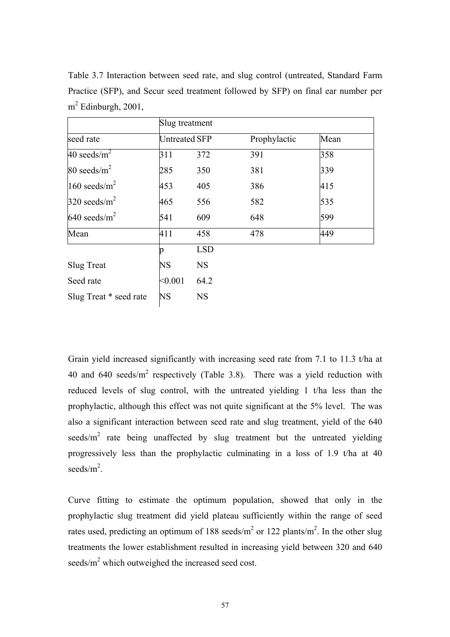|                        | Slug treatment       |            |              |      |
|------------------------|----------------------|------------|--------------|------|
| seed rate              | <b>Untreated SFP</b> |            | Prophylactic | Mean |
| 40 seeds/ $m^2$        | 311                  | 372        | 391          | 358  |
| 80 seeds/ $m^2$        | 285                  | 350        | 381          | 339  |
| 160 seeds/ $m^2$       | 453                  | 405        | 386          | 415  |
| 320 seeds/ $m^2$       | 465                  | 556        | 582          | 535  |
| 640 seeds/ $m^2$       | 541                  | 609        | 648          | 599  |
| Mean                   | 411                  | 458        | 478          | 449  |
|                        | n                    | <b>LSD</b> |              |      |
| <b>Slug Treat</b>      | <b>NS</b>            | <b>NS</b>  |              |      |
| Seed rate              | < 0.001              | 64.2       |              |      |
| Slug Treat * seed rate | NS                   | <b>NS</b>  |              |      |

Table 3.7 Interaction between seed rate, and slug control (untreated, Standard Farm Practice (SFP), and Secur seed treatment followed by SFP) on final ear number per  $m^2$  Edinburgh, 2001,

Grain yield increased significantly with increasing seed rate from 7.1 to 11.3 t/ha at 40 and 640 seeds/ $m^2$  respectively (Table 3.8). There was a yield reduction with reduced levels of slug control, with the untreated yielding 1 t/ha less than the prophylactic, although this effect was not quite significant at the 5% level. The was also a significant interaction between seed rate and slug treatment, yield of the 640 seeds/ $m^2$  rate being unaffected by slug treatment but the untreated yielding progressively less than the prophylactic culminating in a loss of 1.9 t/ha at 40 seeds/ $m^2$ .

Curve fitting to estimate the optimum population, showed that only in the prophylactic slug treatment did yield plateau sufficiently within the range of seed rates used, predicting an optimum of 188 seeds/ $m^2$  or 122 plants/ $m^2$ . In the other slug treatments the lower establishment resulted in increasing yield between 320 and 640 seeds/ $m^2$  which outweighed the increased seed cost.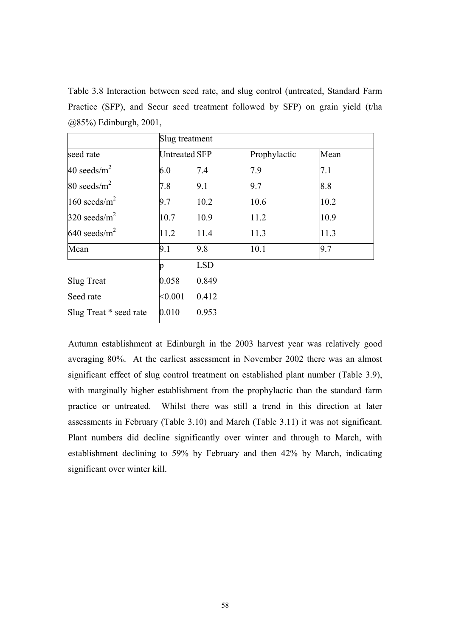Table 3.8 Interaction between seed rate, and slug control (untreated, Standard Farm Practice (SFP), and Secur seed treatment followed by SFP) on grain yield (t/ha @85%) Edinburgh, 2001,

|                        | Slug treatment       |            |              |      |
|------------------------|----------------------|------------|--------------|------|
| seed rate              | <b>Untreated SFP</b> |            | Prophylactic | Mean |
| 40 seeds/ $m^2$        | 6.0                  | 7.4        | 7.9          | 7.1  |
| 80 seeds/ $m^2$        | 7.8                  | 9.1        | 9.7          | 8.8  |
| 160 seeds/ $m^2$       | 9.7                  | 10.2       | 10.6         | 10.2 |
| 320 seeds/ $m^2$       | 10.7                 | 10.9       | 11.2         | 10.9 |
| 640 seeds/ $m^2$       | 11.2                 | 11.4       | 11.3         | 11.3 |
| Mean                   | 9.1                  | 9.8        | 10.1         | 9.7  |
|                        |                      | <b>LSD</b> |              |      |
| <b>Slug Treat</b>      | 0.058                | 0.849      |              |      |
| Seed rate              | < 0.001              | 0.412      |              |      |
| Slug Treat * seed rate | 0.010                | 0.953      |              |      |

Autumn establishment at Edinburgh in the 2003 harvest year was relatively good averaging 80%. At the earliest assessment in November 2002 there was an almost significant effect of slug control treatment on established plant number (Table 3.9), with marginally higher establishment from the prophylactic than the standard farm practice or untreated. Whilst there was still a trend in this direction at later assessments in February (Table 3.10) and March (Table 3.11) it was not significant. Plant numbers did decline significantly over winter and through to March, with establishment declining to 59% by February and then 42% by March, indicating significant over winter kill.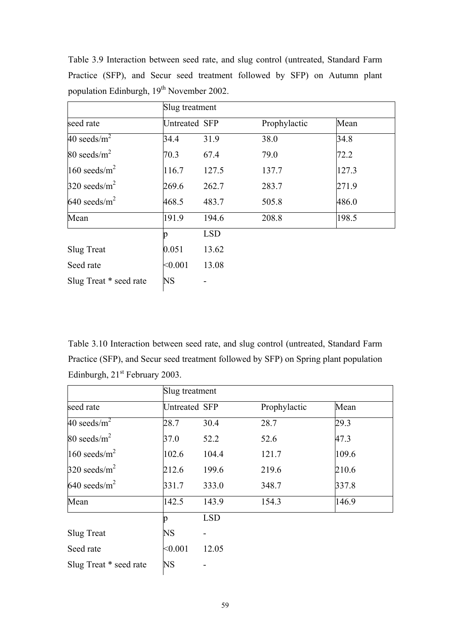|                        |               | Slug treatment |              |       |  |  |  |
|------------------------|---------------|----------------|--------------|-------|--|--|--|
| seed rate              | Untreated SFP |                | Prophylactic | Mean  |  |  |  |
| 40 seeds/ $m^2$        | 34.4          | 31.9           | 38.0         | 34.8  |  |  |  |
| 80 seeds/ $m^2$        | 70.3          | 67.4           | 79.0         | 72.2  |  |  |  |
| 160 seeds/ $m^2$       | 116.7         | 127.5          | 137.7        | 127.3 |  |  |  |
| 320 seeds/ $m^2$       | 269.6         | 262.7          | 283.7        | 271.9 |  |  |  |
| 640 seeds/ $m^2$       | 468.5         | 483.7          | 505.8        | 486.0 |  |  |  |
| Mean                   | 191.9         | 194.6          | 208.8        | 198.5 |  |  |  |
|                        | p             | <b>LSD</b>     |              |       |  |  |  |
| Slug Treat             | 0.051         | 13.62          |              |       |  |  |  |
| Seed rate              | < 0.001       | 13.08          |              |       |  |  |  |
| Slug Treat * seed rate | <b>NS</b>     |                |              |       |  |  |  |

Table 3.9 Interaction between seed rate, and slug control (untreated, Standard Farm Practice (SFP), and Secur seed treatment followed by SFP) on Autumn plant population Edinburgh, 19<sup>th</sup> November 2002.

Table 3.10 Interaction between seed rate, and slug control (untreated, Standard Farm Practice (SFP), and Secur seed treatment followed by SFP) on Spring plant population Edinburgh, 21<sup>st</sup> February 2003.

|                            | Slug treatment |            |              |       |  |  |
|----------------------------|----------------|------------|--------------|-------|--|--|
| seed rate                  | Untreated SFP  |            | Prophylactic | Mean  |  |  |
| 40 seeds/ $m^2$            | 28.7           | 30.4       | 28.7         | 29.3  |  |  |
| 80 seeds/ $m^2$            | 37.0           | 52.2       | 52.6         | 47.3  |  |  |
| $160$ seeds/m <sup>2</sup> | 102.6          | 104.4      | 121.7        | 109.6 |  |  |
| 320 seeds/ $m^2$           | 212.6          | 199.6      | 219.6        | 210.6 |  |  |
| 640 seeds/ $m^2$           | 331.7          | 333.0      | 348.7        | 337.8 |  |  |
| Mean                       | 142.5          | 143.9      | 154.3        | 146.9 |  |  |
|                            |                | <b>LSD</b> |              |       |  |  |
| <b>Slug Treat</b>          | <b>NS</b>      | -          |              |       |  |  |
| Seed rate                  | < 0.001        | 12.05      |              |       |  |  |
| Slug Treat * seed rate     | <b>NS</b>      |            |              |       |  |  |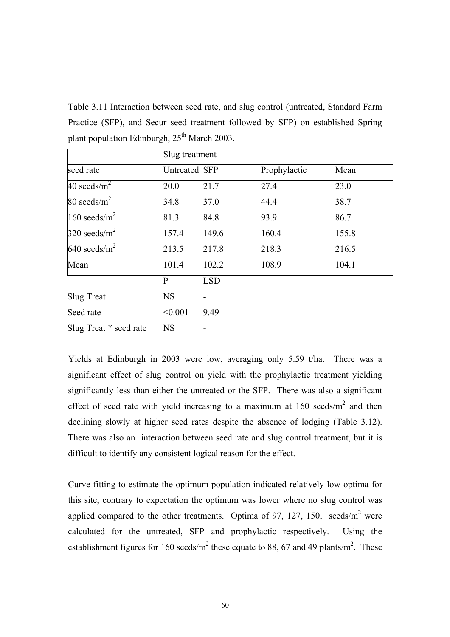Table 3.11 Interaction between seed rate, and slug control (untreated, Standard Farm Practice (SFP), and Secur seed treatment followed by SFP) on established Spring plant population Edinburgh,  $25<sup>th</sup>$  March 2003.

|                        |                      | Slug treatment |              |       |  |  |
|------------------------|----------------------|----------------|--------------|-------|--|--|
| seed rate              | <b>Untreated SFP</b> |                | Prophylactic | Mean  |  |  |
| 40 seeds/ $m^2$        | 20.0                 | 21.7           | 27.4         | 23.0  |  |  |
| 80 seeds/ $m^2$        | 34.8                 | 37.0           | 44.4         | 38.7  |  |  |
| 160 seeds/ $m^2$       | 81.3                 | 84.8           | 93.9         | 86.7  |  |  |
| 320 seeds/ $m^2$       | 157.4                | 149.6          | 160.4        | 155.8 |  |  |
| 640 seeds/ $m^2$       | 213.5                | 217.8          | 218.3        | 216.5 |  |  |
| Mean                   | 101.4                | 102.2          | 108.9        | 104.1 |  |  |
|                        | P                    | <b>LSD</b>     |              |       |  |  |
| <b>Slug Treat</b>      | NS                   |                |              |       |  |  |
| Seed rate              | < 0.001              | 9.49           |              |       |  |  |
| Slug Treat * seed rate | <b>NS</b>            |                |              |       |  |  |

Yields at Edinburgh in 2003 were low, averaging only 5.59 t/ha. There was a significant effect of slug control on yield with the prophylactic treatment yielding significantly less than either the untreated or the SFP. There was also a significant effect of seed rate with yield increasing to a maximum at  $160$  seeds/m<sup>2</sup> and then declining slowly at higher seed rates despite the absence of lodging (Table 3.12). There was also an interaction between seed rate and slug control treatment, but it is difficult to identify any consistent logical reason for the effect.

Curve fitting to estimate the optimum population indicated relatively low optima for this site, contrary to expectation the optimum was lower where no slug control was applied compared to the other treatments. Optima of 97, 127, 150, seeds/ $m^2$  were calculated for the untreated, SFP and prophylactic respectively. Using the establishment figures for 160 seeds/m<sup>2</sup> these equate to 88, 67 and 49 plants/m<sup>2</sup>. These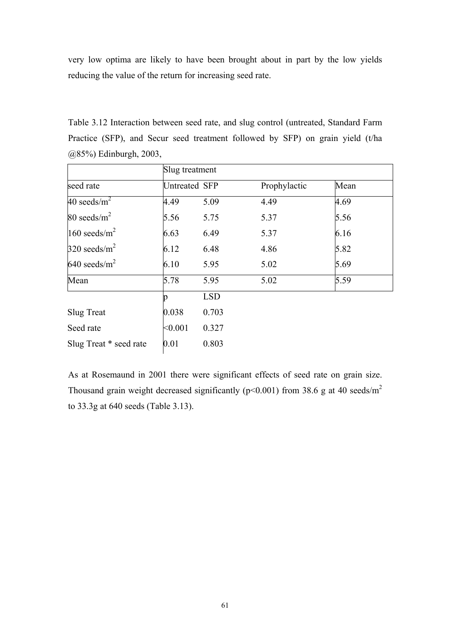very low optima are likely to have been brought about in part by the low yields reducing the value of the return for increasing seed rate.

Table 3.12 Interaction between seed rate, and slug control (untreated, Standard Farm Practice (SFP), and Secur seed treatment followed by SFP) on grain yield (t/ha @85%) Edinburgh, 2003,

|                        | Slug treatment       |            |              |      |  |
|------------------------|----------------------|------------|--------------|------|--|
| seed rate              | <b>Untreated SFP</b> |            | Prophylactic | Mean |  |
| 40 seeds/ $m^2$        | 4.49                 | 5.09       | 4.49         | 4.69 |  |
| 80 seeds/ $m^2$        | 5.56                 | 5.75       | 5.37         | 5.56 |  |
| 160 seeds/ $m^2$       | 6.63                 | 6.49       | 5.37         | 6.16 |  |
| 320 seeds/ $m^2$       | 6.12                 | 6.48       | 4.86         | 5.82 |  |
| 640 seeds/ $m^2$       | 6.10                 | 5.95       | 5.02         | 5.69 |  |
| Mean                   | 5.78                 | 5.95       | 5.02         | 5.59 |  |
|                        | p                    | <b>LSD</b> |              |      |  |
| <b>Slug Treat</b>      | 0.038                | 0.703      |              |      |  |
| Seed rate              | < 0.001              | 0.327      |              |      |  |
| Slug Treat * seed rate | 0.01                 | 0.803      |              |      |  |

As at Rosemaund in 2001 there were significant effects of seed rate on grain size. Thousand grain weight decreased significantly ( $p$ <0.001) from 38.6 g at 40 seeds/ $m<sup>2</sup>$ to 33.3g at 640 seeds (Table 3.13).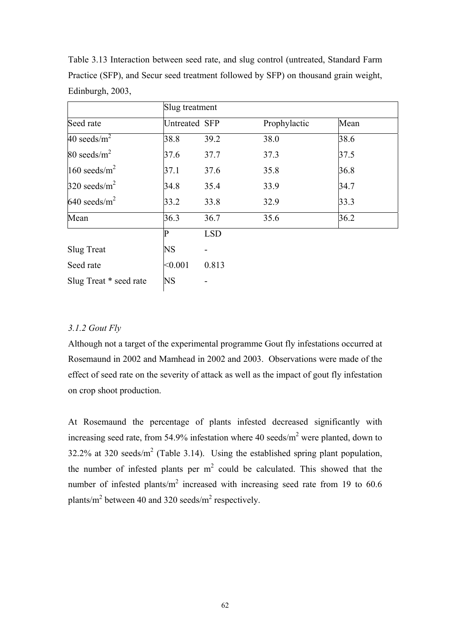|                        | Slug treatment |                          |              |      |  |  |
|------------------------|----------------|--------------------------|--------------|------|--|--|
| Seed rate              | Untreated SFP  |                          | Prophylactic | Mean |  |  |
| 40 seeds/ $m^2$        | 38.8           | 39.2                     | 38.0         | 38.6 |  |  |
| 80 seeds/ $m^2$        | 37.6           | 37.7                     | 37.3         | 37.5 |  |  |
| 160 seeds/ $m^2$       | 37.1           | 37.6                     | 35.8         | 36.8 |  |  |
| 320 seeds/ $m^2$       | 34.8           | 35.4                     | 33.9         | 34.7 |  |  |
| 640 seeds/ $m^2$       | 33.2           | 33.8                     | 32.9         | 33.3 |  |  |
| Mean                   | 36.3           | 36.7                     | 35.6         | 36.2 |  |  |
|                        | P              | <b>LSD</b>               |              |      |  |  |
| <b>Slug Treat</b>      | NS             | $\overline{\phantom{0}}$ |              |      |  |  |
| Seed rate              | < 0.001        | 0.813                    |              |      |  |  |
| Slug Treat * seed rate | <b>NS</b>      |                          |              |      |  |  |

Table 3.13 Interaction between seed rate, and slug control (untreated, Standard Farm Practice (SFP), and Secur seed treatment followed by SFP) on thousand grain weight, Edinburgh, 2003,

# *3.1.2 Gout Fly*

Although not a target of the experimental programme Gout fly infestations occurred at Rosemaund in 2002 and Mamhead in 2002 and 2003. Observations were made of the effect of seed rate on the severity of attack as well as the impact of gout fly infestation on crop shoot production.

At Rosemaund the percentage of plants infested decreased significantly with increasing seed rate, from 54.9% infestation where 40 seeds/ $m^2$  were planted, down to 32.2% at 320 seeds/ $m^2$  (Table 3.14). Using the established spring plant population, the number of infested plants per  $m^2$  could be calculated. This showed that the number of infested plants/ $m^2$  increased with increasing seed rate from 19 to 60.6 plants/m<sup>2</sup> between 40 and 320 seeds/m<sup>2</sup> respectively.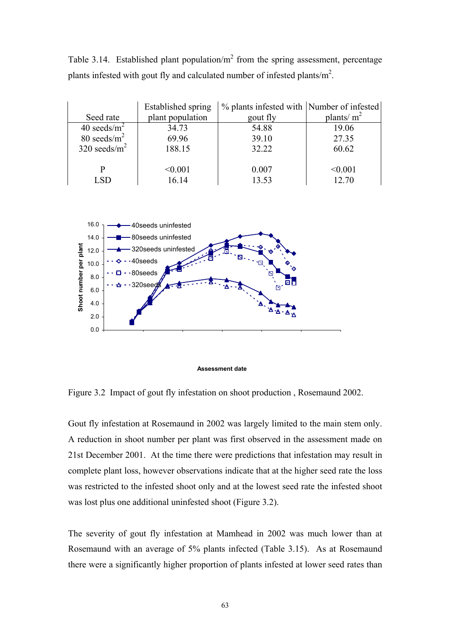Table 3.14. Established plant population/ $m<sup>2</sup>$  from the spring assessment, percentage plants infested with gout fly and calculated number of infested plants/ $m^2$ .

|                  | Established spring | % plants infested with Number of infested |               |
|------------------|--------------------|-------------------------------------------|---------------|
| Seed rate        | plant population   | gout fly                                  | plants/ $m^2$ |
| 40 seeds/ $m^2$  | 34.73              | 54.88                                     | 19.06         |
| 80 seeds/ $m^2$  | 69.96              | 39.10                                     | 27.35         |
| 320 seeds/ $m^2$ | 188.15             | 32.22                                     | 60.62         |
|                  |                    |                                           |               |
| P                | < 0.001            | 0.007                                     | < 0.001       |
| LSD              | 16.14              | 13.53                                     | 12.70         |



**Assessment date**

Figure 3.2 Impact of gout fly infestation on shoot production , Rosemaund 2002.

Gout fly infestation at Rosemaund in 2002 was largely limited to the main stem only. A reduction in shoot number per plant was first observed in the assessment made on 21st December 2001. At the time there were predictions that infestation may result in complete plant loss, however observations indicate that at the higher seed rate the loss was restricted to the infested shoot only and at the lowest seed rate the infested shoot was lost plus one additional uninfested shoot (Figure 3.2).

The severity of gout fly infestation at Mamhead in 2002 was much lower than at Rosemaund with an average of 5% plants infected (Table 3.15). As at Rosemaund there were a significantly higher proportion of plants infested at lower seed rates than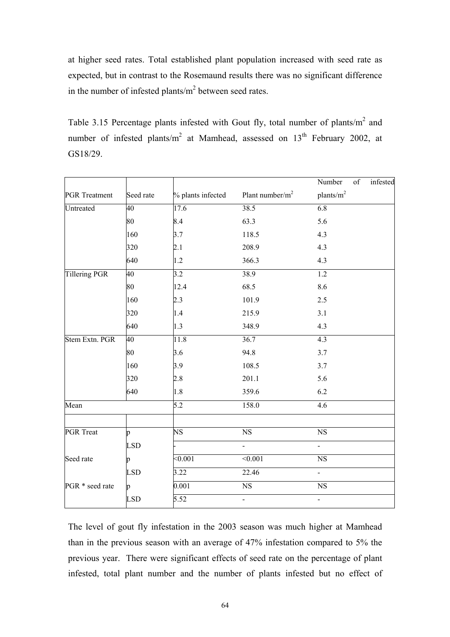at higher seed rates. Total established plant population increased with seed rate as expected, but in contrast to the Rosemaund results there was no significant difference in the number of infested plants/ $m<sup>2</sup>$  between seed rates.

Table 3.15 Percentage plants infested with Gout fly, total number of plants/ $m<sup>2</sup>$  and number of infested plants/ $m^2$  at Mamhead, assessed on 13<sup>th</sup> February 2002, at GS18/29.

|                      |            |                        |                        | Number<br>$\overline{\text{of}}$<br>infested |
|----------------------|------------|------------------------|------------------------|----------------------------------------------|
| <b>PGR</b> Treatment | Seed rate  | % plants infected      | Plant number/ $m^2$    | plants/m <sup>2</sup>                        |
| Untreated            | 40         | 17.6                   | 38.5                   | 6.8                                          |
|                      | 80         | 8.4                    | 63.3                   | 5.6                                          |
|                      | 160        | 3.7                    | 118.5                  | 4.3                                          |
|                      | 320        | 2.1                    | 208.9                  | 4.3                                          |
|                      | 640        | 1.2                    | 366.3                  | 4.3                                          |
| Tillering PGR        | 40         | $\overline{3.2}$       | 38.9                   | $\overline{1.2}$                             |
|                      | 80         | 12.4                   | 68.5                   | 8.6                                          |
|                      | 160        | 2.3                    | 101.9                  | 2.5                                          |
|                      | 320        | 1.4                    | 215.9                  | 3.1                                          |
|                      | 640        | 1.3                    | 348.9                  | 4.3                                          |
| Stem Extn. PGR       | 40         | 11.8                   | 36.7                   | $\overline{4.3}$                             |
|                      | 80         | 3.6                    | 94.8                   | 3.7                                          |
|                      | 160        | 3.9                    | 108.5                  | 3.7                                          |
|                      | 320        | 2.8                    | 201.1                  | 5.6                                          |
|                      | 640        | 1.8                    | 359.6                  | 6.2                                          |
| Mean                 |            | 5.2                    | 158.0                  | 4.6                                          |
|                      |            |                        |                        |                                              |
| PGR Treat            | p          | $\overline{\text{NS}}$ | $\overline{\text{NS}}$ | $\overline{\text{NS}}$                       |
|                      | <b>LSD</b> |                        | $\overline{a}$         | $\overline{a}$                               |
| Seed rate            | p          | < 0.001                | < 0.001                | NS                                           |
|                      | <b>LSD</b> | 3.22                   | 22.46                  | $\overline{a}$                               |
| PGR * seed rate      | p          | 0.001                  | $\overline{\text{NS}}$ | $_{\rm NS}$                                  |
|                      | <b>LSD</b> | 5.52                   | $\overline{a}$         |                                              |

The level of gout fly infestation in the 2003 season was much higher at Mamhead than in the previous season with an average of 47% infestation compared to 5% the previous year. There were significant effects of seed rate on the percentage of plant infested, total plant number and the number of plants infested but no effect of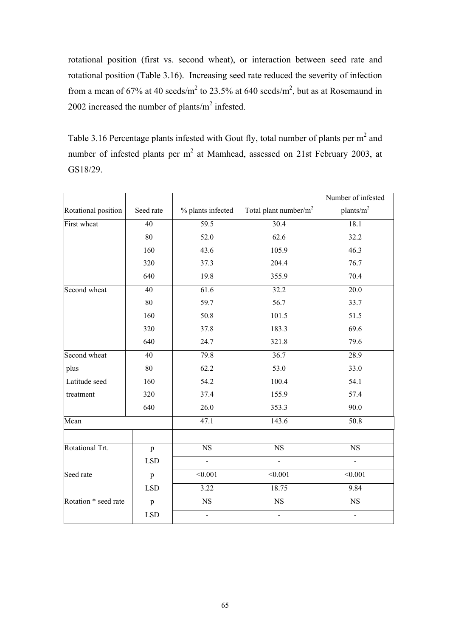rotational position (first vs. second wheat), or interaction between seed rate and rotational position (Table 3.16). Increasing seed rate reduced the severity of infection from a mean of 67% at 40 seeds/m<sup>2</sup> to 23.5% at 640 seeds/m<sup>2</sup>, but as at Rosemaund in 2002 increased the number of plants/ $m^2$  infested.

Table 3.16 Percentage plants infested with Gout fly, total number of plants per  $m<sup>2</sup>$  and number of infested plants per  $m^2$  at Mamhead, assessed on 21st February 2003, at GS18/29.

|                      |                 |                   |                           | Number of infested |
|----------------------|-----------------|-------------------|---------------------------|--------------------|
| Rotational position  | Seed rate       | % plants infected | Total plant number/ $m^2$ | plants/ $m^2$      |
| First wheat          | $\overline{40}$ | 59.5              | 30.4                      | 18.1               |
|                      | 80              | 52.0              | 62.6                      | 32.2               |
|                      | 160             | 43.6              | 105.9                     | 46.3               |
|                      | 320             | 37.3              | 204.4                     | 76.7               |
|                      | 640             | 19.8              | 355.9                     | 70.4               |
| Second wheat         | 40              | 61.6              | 32.2                      | $\overline{20.0}$  |
|                      | 80              | 59.7              | 56.7                      | 33.7               |
|                      | 160             | 50.8              | 101.5                     | 51.5               |
|                      | 320             | 37.8              | 183.3                     | 69.6               |
|                      | 640             | 24.7              | 321.8                     | 79.6               |
| Second wheat         | 40              | 79.8              | 36.7                      | 28.9               |
| plus                 | 80              | 62.2              | 53.0                      | 33.0               |
| Latitude seed        | 160             | 54.2              | 100.4                     | 54.1               |
| treatment            | 320             | 37.4              | 155.9                     | 57.4               |
|                      | 640             | 26.0              | 353.3                     | 90.0               |
| Mean                 |                 | 47.1              | 143.6                     | 50.8               |
|                      |                 |                   |                           |                    |
| Rotational Trt.      | $\mathbf{p}$    | <b>NS</b>         | $\overline{\text{NS}}$    | <b>NS</b>          |
|                      | <b>LSD</b>      | $\overline{a}$    |                           |                    |
| Seed rate            | $\, {\bf p}$    | < 0.001           | $\sqrt{0.001}$            | $\sqrt{0.001}$     |
|                      | <b>LSD</b>      | 3.22              | 18.75                     | 9.84               |
| Rotation * seed rate | $\, {\bf p}$    | NS                | $\overline{\text{NS}}$    | <b>NS</b>          |
|                      | <b>LSD</b>      | $\overline{a}$    |                           |                    |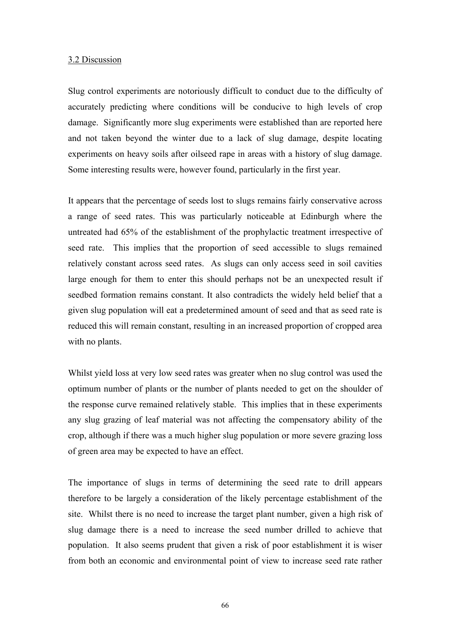#### 3.2 Discussion

Slug control experiments are notoriously difficult to conduct due to the difficulty of accurately predicting where conditions will be conducive to high levels of crop damage. Significantly more slug experiments were established than are reported here and not taken beyond the winter due to a lack of slug damage, despite locating experiments on heavy soils after oilseed rape in areas with a history of slug damage. Some interesting results were, however found, particularly in the first year.

It appears that the percentage of seeds lost to slugs remains fairly conservative across a range of seed rates. This was particularly noticeable at Edinburgh where the untreated had 65% of the establishment of the prophylactic treatment irrespective of seed rate. This implies that the proportion of seed accessible to slugs remained relatively constant across seed rates. As slugs can only access seed in soil cavities large enough for them to enter this should perhaps not be an unexpected result if seedbed formation remains constant. It also contradicts the widely held belief that a given slug population will eat a predetermined amount of seed and that as seed rate is reduced this will remain constant, resulting in an increased proportion of cropped area with no plants.

Whilst yield loss at very low seed rates was greater when no slug control was used the optimum number of plants or the number of plants needed to get on the shoulder of the response curve remained relatively stable. This implies that in these experiments any slug grazing of leaf material was not affecting the compensatory ability of the crop, although if there was a much higher slug population or more severe grazing loss of green area may be expected to have an effect.

The importance of slugs in terms of determining the seed rate to drill appears therefore to be largely a consideration of the likely percentage establishment of the site. Whilst there is no need to increase the target plant number, given a high risk of slug damage there is a need to increase the seed number drilled to achieve that population. It also seems prudent that given a risk of poor establishment it is wiser from both an economic and environmental point of view to increase seed rate rather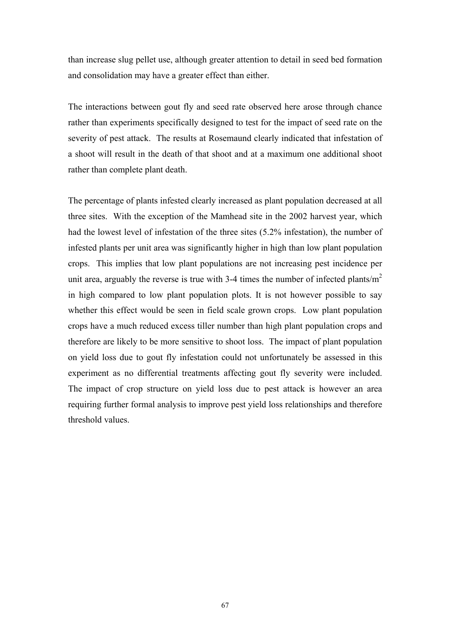than increase slug pellet use, although greater attention to detail in seed bed formation and consolidation may have a greater effect than either.

The interactions between gout fly and seed rate observed here arose through chance rather than experiments specifically designed to test for the impact of seed rate on the severity of pest attack. The results at Rosemaund clearly indicated that infestation of a shoot will result in the death of that shoot and at a maximum one additional shoot rather than complete plant death.

The percentage of plants infested clearly increased as plant population decreased at all three sites. With the exception of the Mamhead site in the 2002 harvest year, which had the lowest level of infestation of the three sites (5.2% infestation), the number of infested plants per unit area was significantly higher in high than low plant population crops. This implies that low plant populations are not increasing pest incidence per unit area, arguably the reverse is true with 3-4 times the number of infected plants/ $m<sup>2</sup>$ in high compared to low plant population plots. It is not however possible to say whether this effect would be seen in field scale grown crops. Low plant population crops have a much reduced excess tiller number than high plant population crops and therefore are likely to be more sensitive to shoot loss. The impact of plant population on yield loss due to gout fly infestation could not unfortunately be assessed in this experiment as no differential treatments affecting gout fly severity were included. The impact of crop structure on yield loss due to pest attack is however an area requiring further formal analysis to improve pest yield loss relationships and therefore threshold values.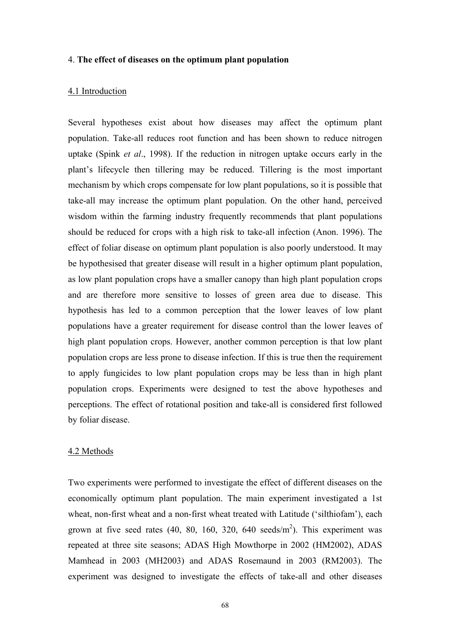### 4. **The effect of diseases on the optimum plant population**

### 4.1 Introduction

Several hypotheses exist about how diseases may affect the optimum plant population. Take-all reduces root function and has been shown to reduce nitrogen uptake (Spink *et al*., 1998). If the reduction in nitrogen uptake occurs early in the plant's lifecycle then tillering may be reduced. Tillering is the most important mechanism by which crops compensate for low plant populations, so it is possible that take-all may increase the optimum plant population. On the other hand, perceived wisdom within the farming industry frequently recommends that plant populations should be reduced for crops with a high risk to take-all infection (Anon. 1996). The effect of foliar disease on optimum plant population is also poorly understood. It may be hypothesised that greater disease will result in a higher optimum plant population, as low plant population crops have a smaller canopy than high plant population crops and are therefore more sensitive to losses of green area due to disease. This hypothesis has led to a common perception that the lower leaves of low plant populations have a greater requirement for disease control than the lower leaves of high plant population crops. However, another common perception is that low plant population crops are less prone to disease infection. If this is true then the requirement to apply fungicides to low plant population crops may be less than in high plant population crops. Experiments were designed to test the above hypotheses and perceptions. The effect of rotational position and take-all is considered first followed by foliar disease.

#### 4.2 Methods

Two experiments were performed to investigate the effect of different diseases on the economically optimum plant population. The main experiment investigated a 1st wheat, non-first wheat and a non-first wheat treated with Latitude ('silthiofam'), each grown at five seed rates  $(40, 80, 160, 320, 640 \text{ seeds/m}^2)$ . This experiment was repeated at three site seasons; ADAS High Mowthorpe in 2002 (HM2002), ADAS Mamhead in 2003 (MH2003) and ADAS Rosemaund in 2003 (RM2003). The experiment was designed to investigate the effects of take-all and other diseases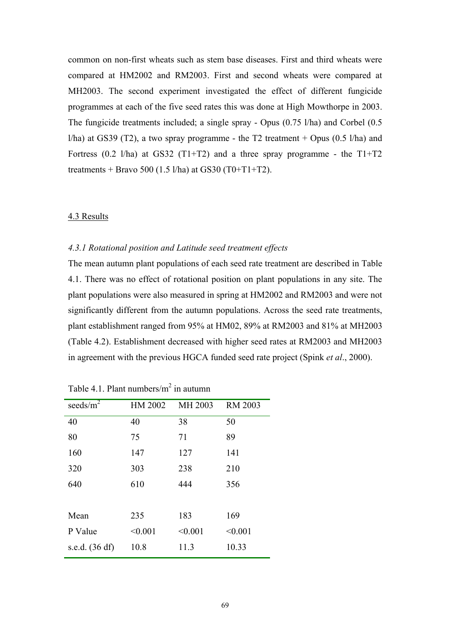common on non-first wheats such as stem base diseases. First and third wheats were compared at HM2002 and RM2003. First and second wheats were compared at MH2003. The second experiment investigated the effect of different fungicide programmes at each of the five seed rates this was done at High Mowthorpe in 2003. The fungicide treatments included; a single spray - Opus (0.75 l/ha) and Corbel (0.5 *l*/ha) at GS39 (T2), a two spray programme - the T2 treatment + Opus (0.5 *l*/ha) and Fortress  $(0.2 \text{ l/ha})$  at GS32  $(T1+T2)$  and a three spray programme - the T1+T2 treatments + Bravo 500 (1.5 l/ha) at GS30 (T0+T1+T2).

### 4.3 Results

### *4.3.1 Rotational position and Latitude seed treatment effects*

The mean autumn plant populations of each seed rate treatment are described in Table 4.1. There was no effect of rotational position on plant populations in any site. The plant populations were also measured in spring at HM2002 and RM2003 and were not significantly different from the autumn populations. Across the seed rate treatments, plant establishment ranged from 95% at HM02, 89% at RM2003 and 81% at MH2003 (Table 4.2). Establishment decreased with higher seed rates at RM2003 and MH2003 in agreement with the previous HGCA funded seed rate project (Spink *et al*., 2000).

| seeds/ $m^2$   | HM 2002 | MH 2003 | <b>RM 2003</b> |
|----------------|---------|---------|----------------|
| 40             | 40      | 38      | 50             |
| 80             | 75      | 71      | 89             |
| 160            | 147     | 127     | 141            |
| 320            | 303     | 238     | 210            |
| 640            | 610     | 444     | 356            |
|                |         |         |                |
| Mean           | 235     | 183     | 169            |
| P Value        | < 0.001 | < 0.001 | < 0.001        |
| s.e.d. (36 df) | 10.8    | 11.3    | 10.33          |
|                |         |         |                |

Table 4.1. Plant numbers/ $m^2$  in autumn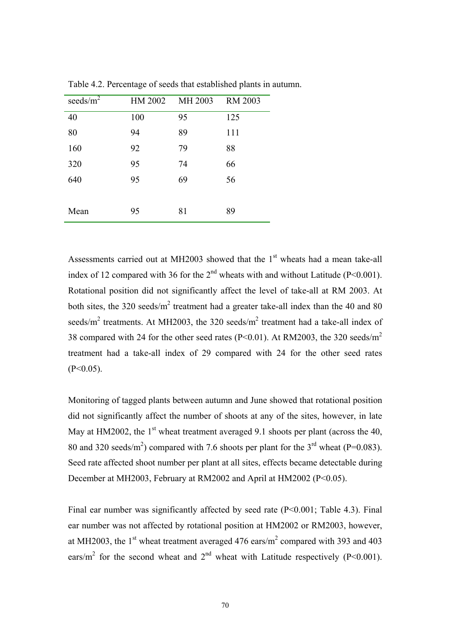| seeds/ $m^2$ | HM 2002 | MH 2003 | <b>RM 2003</b> |
|--------------|---------|---------|----------------|
| 40           | 100     | 95      | 125            |
| 80           | 94      | 89      | 111            |
| 160          | 92      | 79      | 88             |
| 320          | 95      | 74      | 66             |
| 640          | 95      | 69      | 56             |
|              |         |         |                |
| Mean         | 95      | 81      | 89             |

Table 4.2. Percentage of seeds that established plants in autumn.

Assessments carried out at MH2003 showed that the  $1<sup>st</sup>$  wheats had a mean take-all index of 12 compared with 36 for the  $2<sup>nd</sup>$  wheats with and without Latitude (P<0.001). Rotational position did not significantly affect the level of take-all at RM 2003. At both sites, the 320 seeds/ $m^2$  treatment had a greater take-all index than the 40 and 80 seeds/ $m^2$  treatments. At MH2003, the 320 seeds/ $m^2$  treatment had a take-all index of 38 compared with 24 for the other seed rates ( $P \le 0.01$ ). At RM2003, the 320 seeds/ $m^2$ treatment had a take-all index of 29 compared with 24 for the other seed rates  $(P<0.05)$ .

Monitoring of tagged plants between autumn and June showed that rotational position did not significantly affect the number of shoots at any of the sites, however, in late May at HM2002, the  $1<sup>st</sup>$  wheat treatment averaged 9.1 shoots per plant (across the 40, 80 and 320 seeds/m<sup>2</sup>) compared with 7.6 shoots per plant for the  $3<sup>rd</sup>$  wheat (P=0.083). Seed rate affected shoot number per plant at all sites, effects became detectable during December at MH2003, February at RM2002 and April at HM2002 (P<0.05).

Final ear number was significantly affected by seed rate (P<0.001; Table 4.3). Final ear number was not affected by rotational position at HM2002 or RM2003, however, at MH2003, the 1<sup>st</sup> wheat treatment averaged 476 ears/ $m^2$  compared with 393 and 403 ears/m<sup>2</sup> for the second wheat and  $2<sup>nd</sup>$  wheat with Latitude respectively (P<0.001).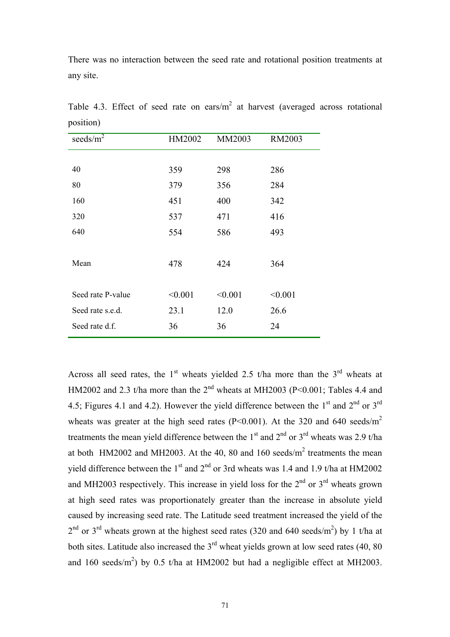There was no interaction between the seed rate and rotational position treatments at any site.

| seeds/ $\overline{m^2}$ | HM2002  | MM2003  | RM2003  |
|-------------------------|---------|---------|---------|
|                         |         |         |         |
| 40                      | 359     | 298     | 286     |
| 80                      | 379     | 356     | 284     |
| 160                     | 451     | 400     | 342     |
| 320                     | 537     | 471     | 416     |
| 640                     | 554     | 586     | 493     |
|                         |         |         |         |
| Mean                    | 478     | 424     | 364     |
|                         |         |         |         |
| Seed rate P-value       | < 0.001 | < 0.001 | < 0.001 |
| Seed rate s.e.d.        | 23.1    | 12.0    | 26.6    |
| Seed rate d.f.          | 36      | 36      | 24      |

Table 4.3. Effect of seed rate on ears/ $m<sup>2</sup>$  at harvest (averaged across rotational position)

Across all seed rates, the  $1<sup>st</sup>$  wheats yielded 2.5 t/ha more than the  $3<sup>rd</sup>$  wheats at HM2002 and 2.3 t/ha more than the  $2<sup>nd</sup>$  wheats at MH2003 (P<0.001; Tables 4.4 and 4.5; Figures 4.1 and 4.2). However the yield difference between the  $1<sup>st</sup>$  and  $2<sup>nd</sup>$  or  $3<sup>rd</sup>$ wheats was greater at the high seed rates (P<0.001). At the 320 and 640 seeds/ $m^2$ treatments the mean yield difference between the  $1<sup>st</sup>$  and  $2<sup>nd</sup>$  or  $3<sup>rd</sup>$  wheats was 2.9 t/ha at both  $HM2002$  and MH2003. At the 40, 80 and 160 seeds/ $m<sup>2</sup>$  treatments the mean yield difference between the  $1<sup>st</sup>$  and  $2<sup>nd</sup>$  or 3rd wheats was 1.4 and 1.9 t/ha at HM2002 and MH2003 respectively. This increase in yield loss for the  $2<sup>nd</sup>$  or  $3<sup>rd</sup>$  wheats grown at high seed rates was proportionately greater than the increase in absolute yield caused by increasing seed rate. The Latitude seed treatment increased the yield of the  $2<sup>nd</sup>$  or 3<sup>rd</sup> wheats grown at the highest seed rates (320 and 640 seeds/m<sup>2</sup>) by 1 t/ha at both sites. Latitude also increased the  $3<sup>rd</sup>$  wheat yields grown at low seed rates (40, 80) and 160 seeds/m<sup>2</sup>) by 0.5 t/ha at HM2002 but had a negligible effect at MH2003.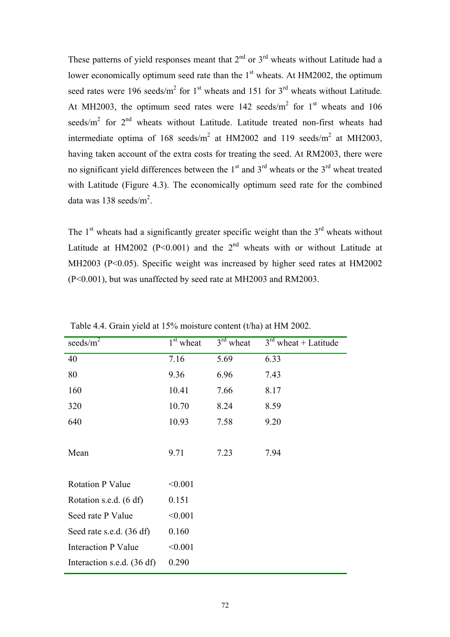These patterns of yield responses meant that  $2^{nd}$  or  $3^{rd}$  wheats without Latitude had a lower economically optimum seed rate than the  $1<sup>st</sup>$  wheats. At HM2002, the optimum seed rates were 196 seeds/ $m^2$  for 1<sup>st</sup> wheats and 151 for 3<sup>rd</sup> wheats without Latitude. At MH2003, the optimum seed rates were 142 seeds/ $m^2$  for 1<sup>st</sup> wheats and 106 seeds/ $m^2$  for  $2<sup>nd</sup>$  wheats without Latitude. Latitude treated non-first wheats had intermediate optima of 168 seeds/ $m^2$  at HM2002 and 119 seeds/ $m^2$  at MH2003, having taken account of the extra costs for treating the seed. At RM2003, there were no significant yield differences between the  $1<sup>st</sup>$  and  $3<sup>rd</sup>$  wheats or the  $3<sup>rd</sup>$  wheat treated with Latitude (Figure 4.3). The economically optimum seed rate for the combined data was 138 seeds/ $m^2$ .

The  $1<sup>st</sup>$  wheats had a significantly greater specific weight than the  $3<sup>rd</sup>$  wheats without Latitude at HM2002 (P<0.001) and the  $2<sup>nd</sup>$  wheats with or without Latitude at MH2003 (P<0.05). Specific weight was increased by higher seed rates at HM2002 (P<0.001), but was unaffected by seed rate at MH2003 and RM2003.

| seeds/ $m^2$               | $1st$ wheat | 3 <sup>rd</sup><br>wheat | $3^{\text{rd}}$<br>wheat $+$ Latitude |
|----------------------------|-------------|--------------------------|---------------------------------------|
| 40                         | 7.16        | 5.69                     | 6.33                                  |
| 80                         | 9.36        | 6.96                     | 7.43                                  |
| 160                        | 10.41       | 7.66                     | 8.17                                  |
| 320                        | 10.70       | 8.24                     | 8.59                                  |
| 640                        | 10.93       | 7.58                     | 9.20                                  |
|                            |             |                          |                                       |
| Mean                       | 9.71        | 7.23                     | 7.94                                  |
|                            |             |                          |                                       |
| <b>Rotation P Value</b>    | < 0.001     |                          |                                       |
| Rotation s.e.d. (6 df)     | 0.151       |                          |                                       |
| Seed rate P Value          | < 0.001     |                          |                                       |
| Seed rate s.e.d. (36 df)   | 0.160       |                          |                                       |
| <b>Interaction P Value</b> | < 0.001     |                          |                                       |
| Interaction s.e.d. (36 df) | 0.290       |                          |                                       |

Table 4.4. Grain yield at 15% moisture content (t/ha) at HM 2002.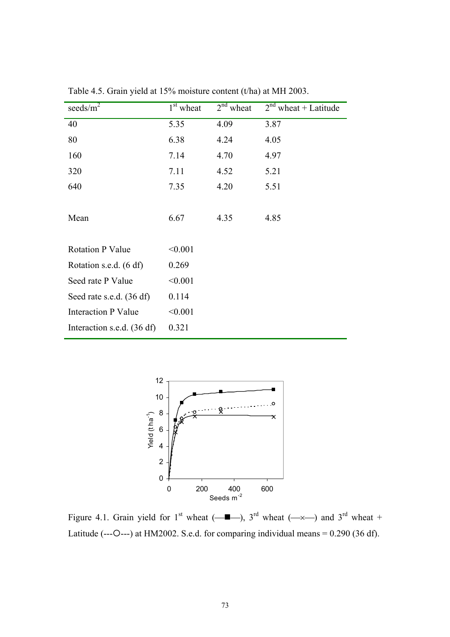| seeds/ $m^2$               | $1st$ wheat | $2nd$ wheat | $2nd$ wheat + Latitude |
|----------------------------|-------------|-------------|------------------------|
| 40                         | 5.35        | 4.09        | 3.87                   |
| 80                         | 6.38        | 4.24        | 4.05                   |
| 160                        | 7.14        | 4.70        | 4.97                   |
| 320                        | 7.11        | 4.52        | 5.21                   |
| 640                        | 7.35        | 4.20        | 5.51                   |
|                            |             |             |                        |
| Mean                       | 6.67        | 4.35        | 4.85                   |
|                            |             |             |                        |
| <b>Rotation P Value</b>    | < 0.001     |             |                        |
| Rotation s.e.d. (6 df)     | 0.269       |             |                        |
| Seed rate P Value          | < 0.001     |             |                        |
| Seed rate s.e.d. (36 df)   | 0.114       |             |                        |
| <b>Interaction P Value</b> | < 0.001     |             |                        |
| Interaction s.e.d. (36 df) | 0.321       |             |                        |

Table 4.5. Grain yield at 15% moisture content (t/ha) at MH 2003.



Figure 4.1. Grain yield for 1<sup>st</sup> wheat ( $\longrightarrow$ ), 3<sup>rd</sup> wheat ( $\longrightarrow$ ) and 3<sup>rd</sup> wheat + Latitude (--- $O$ ---) at HM2002. S.e.d. for comparing individual means = 0.290 (36 df).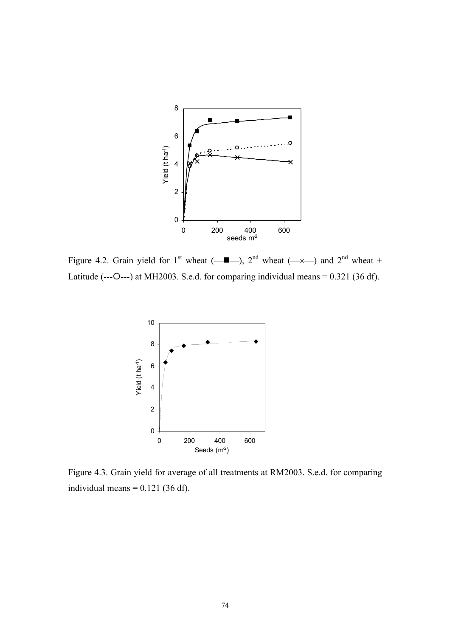

Figure 4.2. Grain yield for 1<sup>st</sup> wheat ( $\blacksquare$ ), 2<sup>nd</sup> wheat ( $\rightarrow$ ) and 2<sup>nd</sup> wheat + Latitude (--- $O$ ---) at MH2003. S.e.d. for comparing individual means = 0.321 (36 df).



Figure 4.3. Grain yield for average of all treatments at RM2003. S.e.d. for comparing individual means  $= 0.121$  (36 df).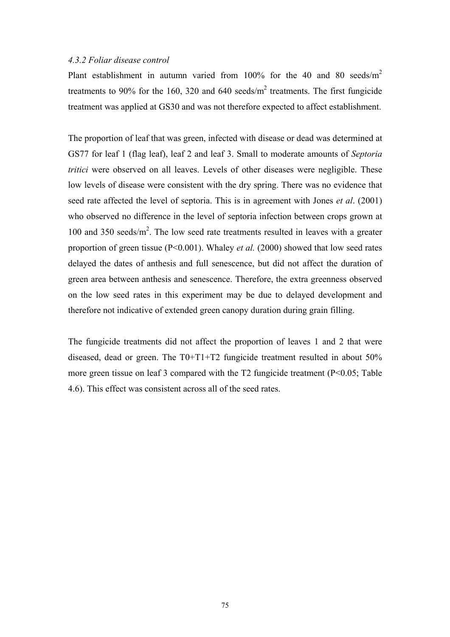#### *4.3.2 Foliar disease control*

Plant establishment in autumn varied from 100% for the 40 and 80 seeds/m<sup>2</sup> treatments to 90% for the 160, 320 and 640 seeds/ $m<sup>2</sup>$  treatments. The first fungicide treatment was applied at GS30 and was not therefore expected to affect establishment.

The proportion of leaf that was green, infected with disease or dead was determined at GS77 for leaf 1 (flag leaf), leaf 2 and leaf 3. Small to moderate amounts of *Septoria tritici* were observed on all leaves. Levels of other diseases were negligible. These low levels of disease were consistent with the dry spring. There was no evidence that seed rate affected the level of septoria. This is in agreement with Jones *et al*. (2001) who observed no difference in the level of septoria infection between crops grown at 100 and 350 seeds/ $m^2$ . The low seed rate treatments resulted in leaves with a greater proportion of green tissue (P<0.001). Whaley *et al.* (2000) showed that low seed rates delayed the dates of anthesis and full senescence, but did not affect the duration of green area between anthesis and senescence. Therefore, the extra greenness observed on the low seed rates in this experiment may be due to delayed development and therefore not indicative of extended green canopy duration during grain filling.

The fungicide treatments did not affect the proportion of leaves 1 and 2 that were diseased, dead or green. The T0+T1+T2 fungicide treatment resulted in about 50% more green tissue on leaf 3 compared with the T2 fungicide treatment (P<0.05; Table 4.6). This effect was consistent across all of the seed rates.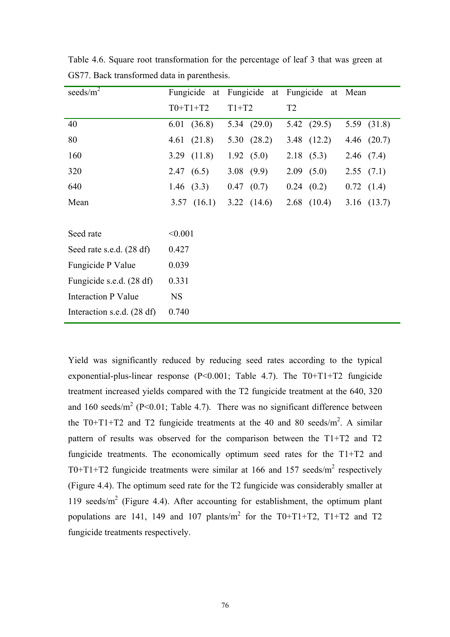| seeds/ $m^2$               | Fungicide at | Fungicide at Fungicide at Mean |                 |                 |
|----------------------------|--------------|--------------------------------|-----------------|-----------------|
|                            | $T0+T1+T2$   | $T1+T2$                        | T <sub>2</sub>  |                 |
| 40                         | 6.01(36.8)   | 5.34 $(29.0)$                  | 5.42(29.5)      | 5.59 (31.8)     |
| 80                         | 4.61(21.8)   | 5.30 $(28.2)$                  | $3.48$ $(12.2)$ | 4.46 (20.7)     |
| 160                        | 3.29(11.8)   | 1.92(5.0)                      | 2.18(5.3)       | 2.46(7.4)       |
| 320                        | 2.47(6.5)    | 3.08(9.9)                      | 2.09(5.0)       | 2.55(7.1)       |
| 640                        | 1.46 $(3.3)$ | 0.47(0.7)                      | $0.24$ $(0.2)$  | 0.72(1.4)       |
| Mean                       | 3.57(16.1)   | 3.22(14.6)                     | $2.68$ (10.4)   | $3.16$ $(13.7)$ |
|                            |              |                                |                 |                 |
| Seed rate                  | < 0.001      |                                |                 |                 |
| Seed rate s.e.d. (28 df)   | 0.427        |                                |                 |                 |
| Fungicide P Value          | 0.039        |                                |                 |                 |
| Fungicide s.e.d. (28 df)   | 0.331        |                                |                 |                 |
| <b>Interaction P Value</b> | <b>NS</b>    |                                |                 |                 |
| Interaction s.e.d. (28 df) | 0.740        |                                |                 |                 |

Table 4.6. Square root transformation for the percentage of leaf 3 that was green at GS77. Back transformed data in parenthesis.

Yield was significantly reduced by reducing seed rates according to the typical exponential-plus-linear response  $(P<0.001$ ; Table 4.7). The T0+T1+T2 fungicide treatment increased yields compared with the T2 fungicide treatment at the 640, 320 and 160 seeds/ $m^2$  (P<0.01; Table 4.7). There was no significant difference between the T0+T1+T2 and T2 fungicide treatments at the 40 and 80 seeds/ $m^2$ . A similar pattern of results was observed for the comparison between the T1+T2 and T2 fungicide treatments. The economically optimum seed rates for the T1+T2 and T0+T1+T2 fungicide treatments were similar at 166 and 157 seeds/ $m^2$  respectively (Figure 4.4). The optimum seed rate for the T2 fungicide was considerably smaller at 119 seeds/m<sup>2</sup> (Figure 4.4). After accounting for establishment, the optimum plant populations are 141, 149 and 107 plants/ $m^2$  for the T0+T1+T2, T1+T2 and T2 fungicide treatments respectively.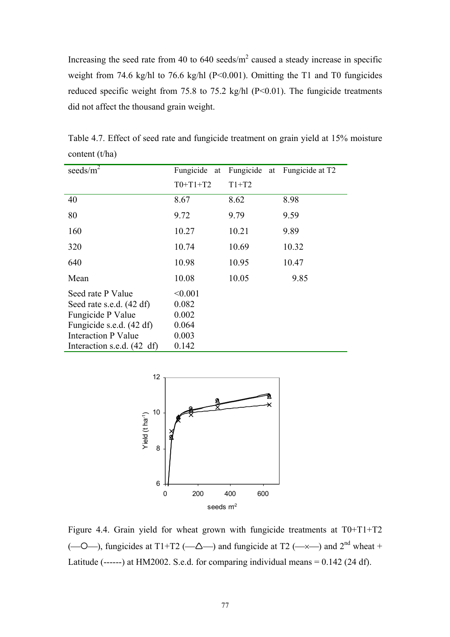Increasing the seed rate from 40 to 640 seeds/ $m<sup>2</sup>$  caused a steady increase in specific weight from 74.6 kg/hl to 76.6 kg/hl (P<0.001). Omitting the T1 and T0 fungicides reduced specific weight from 75.8 to 75.2 kg/hl (P<0.01). The fungicide treatments did not affect the thousand grain weight.

| seeds/ $m^2$               | Fungicide<br>at | Fungicide at | Fungicide at T2 |
|----------------------------|-----------------|--------------|-----------------|
|                            | $T0+T1+T2$      | $T1+T2$      |                 |
| 40                         | 8.67            | 8.62         | 8.98            |
| 80                         | 9.72            | 9.79         | 9.59            |
| 160                        | 10.27           | 10.21        | 9.89            |
| 320                        | 10.74           | 10.69        | 10.32           |
| 640                        | 10.98           | 10.95        | 10.47           |
| Mean                       | 10.08           | 10.05        | 9.85            |
| Seed rate P Value          | < 0.001         |              |                 |
| Seed rate s.e.d. (42 df)   | 0.082           |              |                 |
| Fungicide P Value          | 0.002           |              |                 |
| Fungicide s.e.d. (42 df)   | 0.064           |              |                 |
| <b>Interaction P Value</b> | 0.003           |              |                 |
| Interaction s.e.d. (42 df) | 0.142           |              |                 |

Table 4.7. Effect of seed rate and fungicide treatment on grain yield at 15% moisture content (t/ha)



Figure 4.4. Grain yield for wheat grown with fungicide treatments at T0+T1+T2  $(-0-)$ , fungicides at T1+T2  $(-\Delta-)$  and fungicide at T2  $(-\times-)$  and 2<sup>nd</sup> wheat + Latitude (------) at HM2002. S.e.d. for comparing individual means  $= 0.142$  (24 df).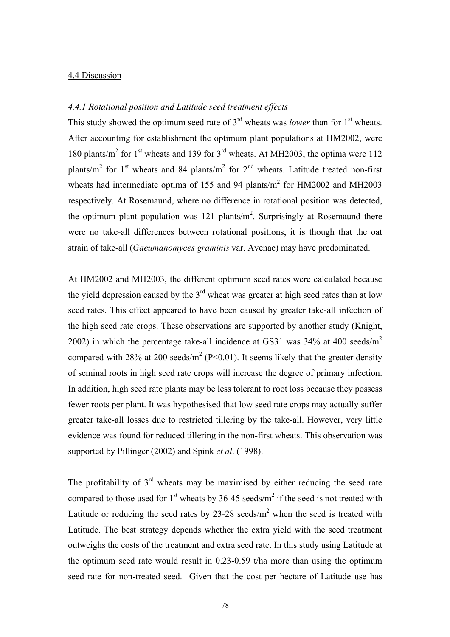### 4.4 Discussion

## *4.4.1 Rotational position and Latitude seed treatment effects*

This study showed the optimum seed rate of 3<sup>rd</sup> wheats was *lower* than for 1<sup>st</sup> wheats. After accounting for establishment the optimum plant populations at HM2002, were 180 plants/ $m^2$  for 1<sup>st</sup> wheats and 139 for 3<sup>rd</sup> wheats. At MH2003, the optima were 112 plants/m<sup>2</sup> for 1<sup>st</sup> wheats and 84 plants/m<sup>2</sup> for 2<sup>nd</sup> wheats. Latitude treated non-first wheats had intermediate optima of 155 and 94 plants/ $m^2$  for HM2002 and MH2003 respectively. At Rosemaund, where no difference in rotational position was detected, the optimum plant population was 121 plants/ $m^2$ . Surprisingly at Rosemaund there were no take-all differences between rotational positions, it is though that the oat strain of take-all (*Gaeumanomyces graminis* var. Avenae) may have predominated.

At HM2002 and MH2003, the different optimum seed rates were calculated because the yield depression caused by the  $3<sup>rd</sup>$  wheat was greater at high seed rates than at low seed rates. This effect appeared to have been caused by greater take-all infection of the high seed rate crops. These observations are supported by another study (Knight, 2002) in which the percentage take-all incidence at GS31 was  $34\%$  at 400 seeds/m<sup>2</sup> compared with 28% at 200 seeds/ $m^2$  (P<0.01). It seems likely that the greater density of seminal roots in high seed rate crops will increase the degree of primary infection. In addition, high seed rate plants may be less tolerant to root loss because they possess fewer roots per plant. It was hypothesised that low seed rate crops may actually suffer greater take-all losses due to restricted tillering by the take-all. However, very little evidence was found for reduced tillering in the non-first wheats. This observation was supported by Pillinger (2002) and Spink *et al*. (1998).

The profitability of  $3<sup>rd</sup>$  wheats may be maximised by either reducing the seed rate compared to those used for  $1<sup>st</sup>$  wheats by 36-45 seeds/m<sup>2</sup> if the seed is not treated with Latitude or reducing the seed rates by  $23{\text -}28$  seeds/m<sup>2</sup> when the seed is treated with Latitude. The best strategy depends whether the extra yield with the seed treatment outweighs the costs of the treatment and extra seed rate. In this study using Latitude at the optimum seed rate would result in 0.23-0.59 t/ha more than using the optimum seed rate for non-treated seed. Given that the cost per hectare of Latitude use has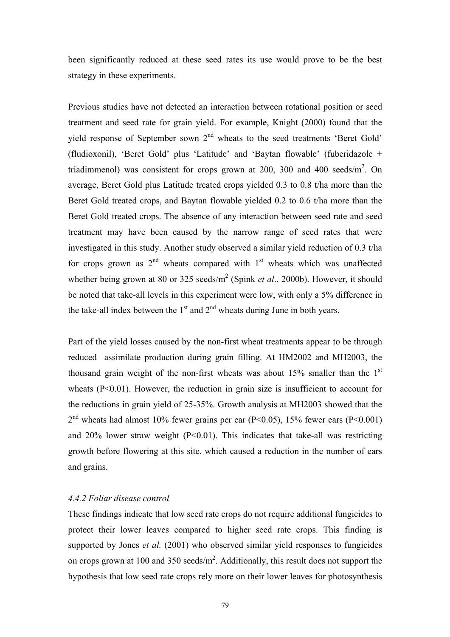been significantly reduced at these seed rates its use would prove to be the best strategy in these experiments.

Previous studies have not detected an interaction between rotational position or seed treatment and seed rate for grain yield. For example, Knight (2000) found that the yield response of September sown  $2<sup>nd</sup>$  wheats to the seed treatments 'Beret Gold' (fludioxonil), 'Beret Gold' plus 'Latitude' and 'Baytan flowable' (fuberidazole + triadimmenol) was consistent for crops grown at 200, 300 and 400 seeds/ $m^2$ . On average, Beret Gold plus Latitude treated crops yielded 0.3 to 0.8 t/ha more than the Beret Gold treated crops, and Baytan flowable yielded 0.2 to 0.6 t/ha more than the Beret Gold treated crops. The absence of any interaction between seed rate and seed treatment may have been caused by the narrow range of seed rates that were investigated in this study. Another study observed a similar yield reduction of 0.3 t/ha for crops grown as  $2<sup>nd</sup>$  wheats compared with  $1<sup>st</sup>$  wheats which was unaffected whether being grown at 80 or 325 seeds/m<sup>2</sup> (Spink *et al.*, 2000b). However, it should be noted that take-all levels in this experiment were low, with only a 5% difference in the take-all index between the  $1<sup>st</sup>$  and  $2<sup>nd</sup>$  wheats during June in both years.

Part of the yield losses caused by the non-first wheat treatments appear to be through reduced assimilate production during grain filling. At HM2002 and MH2003, the thousand grain weight of the non-first wheats was about  $15\%$  smaller than the  $1<sup>st</sup>$ wheats  $(P<0.01)$ . However, the reduction in grain size is insufficient to account for the reductions in grain yield of 25-35%. Growth analysis at MH2003 showed that the  $2<sup>nd</sup>$  wheats had almost 10% fewer grains per ear (P<0.05), 15% fewer ears (P<0.001) and  $20\%$  lower straw weight (P<0.01). This indicates that take-all was restricting growth before flowering at this site, which caused a reduction in the number of ears and grains.

## *4.4.2 Foliar disease control*

These findings indicate that low seed rate crops do not require additional fungicides to protect their lower leaves compared to higher seed rate crops. This finding is supported by Jones *et al.* (2001) who observed similar yield responses to fungicides on crops grown at 100 and 350 seeds/ $m^2$ . Additionally, this result does not support the hypothesis that low seed rate crops rely more on their lower leaves for photosynthesis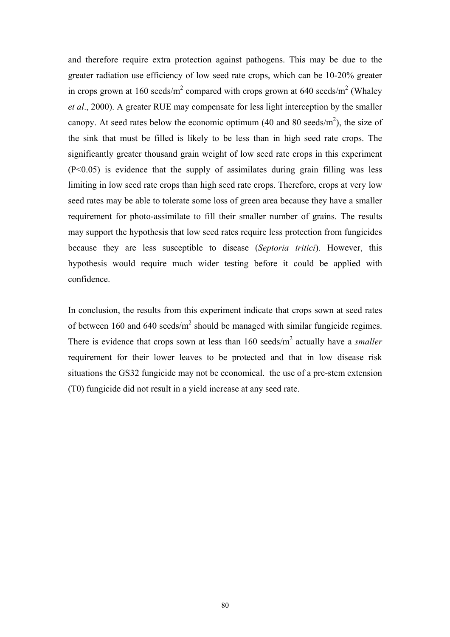and therefore require extra protection against pathogens. This may be due to the greater radiation use efficiency of low seed rate crops, which can be 10-20% greater in crops grown at 160 seeds/m<sup>2</sup> compared with crops grown at 640 seeds/m<sup>2</sup> (Whaley *et al*., 2000). A greater RUE may compensate for less light interception by the smaller canopy. At seed rates below the economic optimum (40 and 80 seeds/ $m<sup>2</sup>$ ), the size of the sink that must be filled is likely to be less than in high seed rate crops. The significantly greater thousand grain weight of low seed rate crops in this experiment (P<0.05) is evidence that the supply of assimilates during grain filling was less limiting in low seed rate crops than high seed rate crops. Therefore, crops at very low seed rates may be able to tolerate some loss of green area because they have a smaller requirement for photo-assimilate to fill their smaller number of grains. The results may support the hypothesis that low seed rates require less protection from fungicides because they are less susceptible to disease (*Septoria tritici*). However, this hypothesis would require much wider testing before it could be applied with confidence.

In conclusion, the results from this experiment indicate that crops sown at seed rates of between 160 and 640 seeds/ $m^2$  should be managed with similar fungicide regimes. There is evidence that crops sown at less than  $160$  seeds/ $m<sup>2</sup>$  actually have a *smaller* requirement for their lower leaves to be protected and that in low disease risk situations the GS32 fungicide may not be economical. the use of a pre-stem extension (T0) fungicide did not result in a yield increase at any seed rate.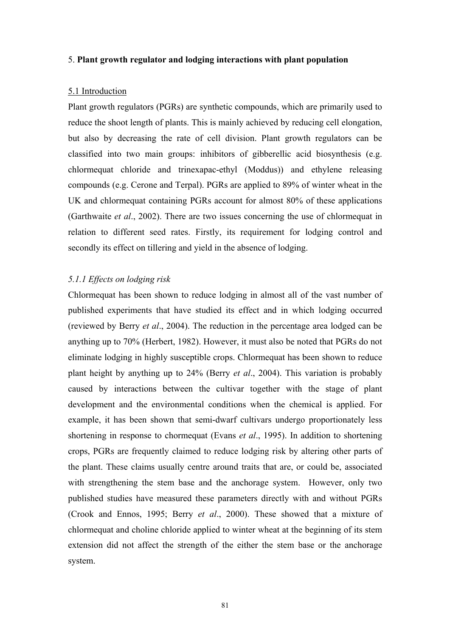#### 5. **Plant growth regulator and lodging interactions with plant population**

### 5.1 Introduction

Plant growth regulators (PGRs) are synthetic compounds, which are primarily used to reduce the shoot length of plants. This is mainly achieved by reducing cell elongation, but also by decreasing the rate of cell division. Plant growth regulators can be classified into two main groups: inhibitors of gibberellic acid biosynthesis (e.g. chlormequat chloride and trinexapac-ethyl (Moddus)) and ethylene releasing compounds (e.g. Cerone and Terpal). PGRs are applied to 89% of winter wheat in the UK and chlormequat containing PGRs account for almost 80% of these applications (Garthwaite *et al*., 2002). There are two issues concerning the use of chlormequat in relation to different seed rates. Firstly, its requirement for lodging control and secondly its effect on tillering and yield in the absence of lodging.

# *5.1.1 Effects on lodging risk*

Chlormequat has been shown to reduce lodging in almost all of the vast number of published experiments that have studied its effect and in which lodging occurred (reviewed by Berry *et al*., 2004). The reduction in the percentage area lodged can be anything up to 70% (Herbert, 1982). However, it must also be noted that PGRs do not eliminate lodging in highly susceptible crops. Chlormequat has been shown to reduce plant height by anything up to 24% (Berry *et al*., 2004). This variation is probably caused by interactions between the cultivar together with the stage of plant development and the environmental conditions when the chemical is applied. For example, it has been shown that semi-dwarf cultivars undergo proportionately less shortening in response to chormequat (Evans *et al*., 1995). In addition to shortening crops, PGRs are frequently claimed to reduce lodging risk by altering other parts of the plant. These claims usually centre around traits that are, or could be, associated with strengthening the stem base and the anchorage system. However, only two published studies have measured these parameters directly with and without PGRs (Crook and Ennos, 1995; Berry *et al*., 2000). These showed that a mixture of chlormequat and choline chloride applied to winter wheat at the beginning of its stem extension did not affect the strength of the either the stem base or the anchorage system.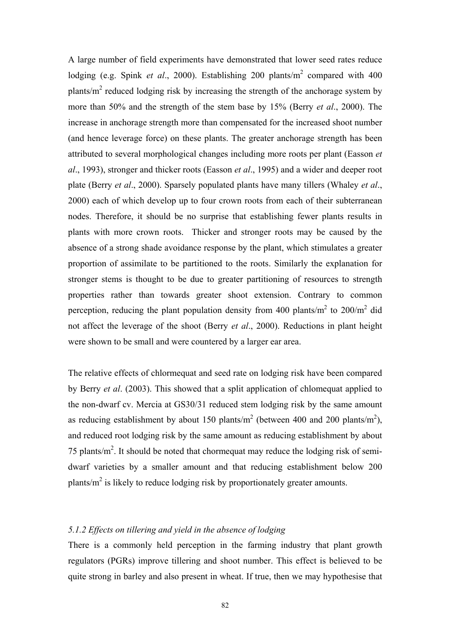A large number of field experiments have demonstrated that lower seed rates reduce lodging (e.g. Spink *et al.*, 2000). Establishing 200 plants/m<sup>2</sup> compared with 400 plants/ $m^2$  reduced lodging risk by increasing the strength of the anchorage system by more than 50% and the strength of the stem base by 15% (Berry *et al*., 2000). The increase in anchorage strength more than compensated for the increased shoot number (and hence leverage force) on these plants. The greater anchorage strength has been attributed to several morphological changes including more roots per plant (Easson *et al*., 1993), stronger and thicker roots (Easson *et al*., 1995) and a wider and deeper root plate (Berry *et al*., 2000). Sparsely populated plants have many tillers (Whaley *et al*., 2000) each of which develop up to four crown roots from each of their subterranean nodes. Therefore, it should be no surprise that establishing fewer plants results in plants with more crown roots. Thicker and stronger roots may be caused by the absence of a strong shade avoidance response by the plant, which stimulates a greater proportion of assimilate to be partitioned to the roots. Similarly the explanation for stronger stems is thought to be due to greater partitioning of resources to strength properties rather than towards greater shoot extension. Contrary to common perception, reducing the plant population density from 400 plants/ $m^2$  to 200/ $m^2$  did not affect the leverage of the shoot (Berry *et al*., 2000). Reductions in plant height were shown to be small and were countered by a larger ear area.

The relative effects of chlormequat and seed rate on lodging risk have been compared by Berry *et al*. (2003). This showed that a split application of chlomequat applied to the non-dwarf cv. Mercia at GS30/31 reduced stem lodging risk by the same amount as reducing establishment by about 150 plants/ $m^2$  (between 400 and 200 plants/ $m^2$ ), and reduced root lodging risk by the same amount as reducing establishment by about 75 plants/ $m^2$ . It should be noted that chormequat may reduce the lodging risk of semidwarf varieties by a smaller amount and that reducing establishment below 200 plants/ $m^2$  is likely to reduce lodging risk by proportionately greater amounts.

## *5.1.2 Effects on tillering and yield in the absence of lodging*

There is a commonly held perception in the farming industry that plant growth regulators (PGRs) improve tillering and shoot number. This effect is believed to be quite strong in barley and also present in wheat. If true, then we may hypothesise that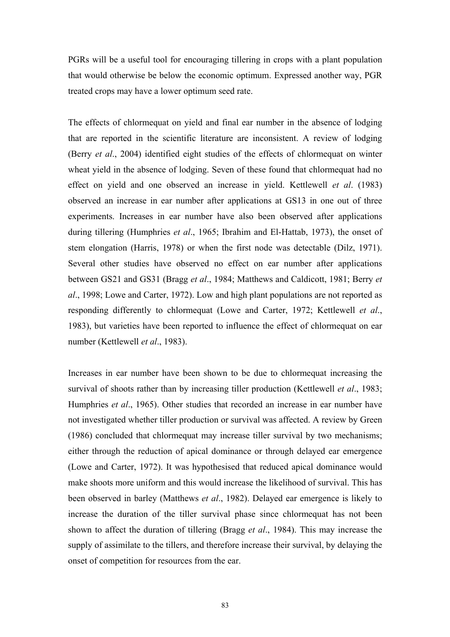PGRs will be a useful tool for encouraging tillering in crops with a plant population that would otherwise be below the economic optimum. Expressed another way, PGR treated crops may have a lower optimum seed rate.

The effects of chlormequat on yield and final ear number in the absence of lodging that are reported in the scientific literature are inconsistent. A review of lodging (Berry *et al*., 2004) identified eight studies of the effects of chlormequat on winter wheat yield in the absence of lodging. Seven of these found that chlormequat had no effect on yield and one observed an increase in yield. Kettlewell *et al*. (1983) observed an increase in ear number after applications at GS13 in one out of three experiments. Increases in ear number have also been observed after applications during tillering (Humphries *et al*., 1965; Ibrahim and El-Hattab, 1973), the onset of stem elongation (Harris, 1978) or when the first node was detectable (Dilz, 1971). Several other studies have observed no effect on ear number after applications between GS21 and GS31 (Bragg *et al*., 1984; Matthews and Caldicott, 1981; Berry *et al*., 1998; Lowe and Carter, 1972). Low and high plant populations are not reported as responding differently to chlormequat (Lowe and Carter, 1972; Kettlewell *et al*., 1983), but varieties have been reported to influence the effect of chlormequat on ear number (Kettlewell *et al*., 1983).

Increases in ear number have been shown to be due to chlormequat increasing the survival of shoots rather than by increasing tiller production (Kettlewell *et al*., 1983; Humphries *et al*., 1965). Other studies that recorded an increase in ear number have not investigated whether tiller production or survival was affected. A review by Green (1986) concluded that chlormequat may increase tiller survival by two mechanisms; either through the reduction of apical dominance or through delayed ear emergence (Lowe and Carter, 1972). It was hypothesised that reduced apical dominance would make shoots more uniform and this would increase the likelihood of survival. This has been observed in barley (Matthews *et al*., 1982). Delayed ear emergence is likely to increase the duration of the tiller survival phase since chlormequat has not been shown to affect the duration of tillering (Bragg *et al*., 1984). This may increase the supply of assimilate to the tillers, and therefore increase their survival, by delaying the onset of competition for resources from the ear.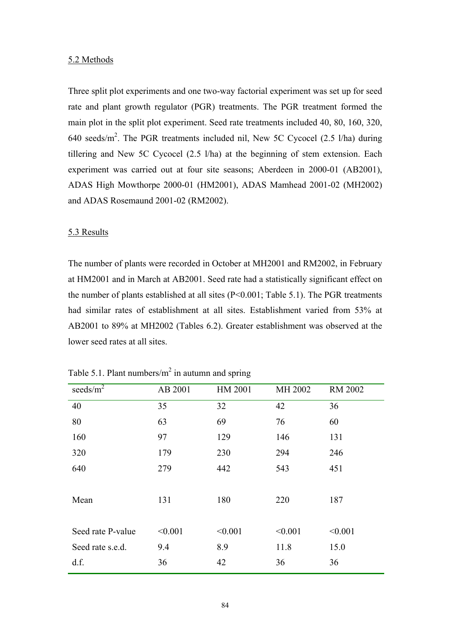#### 5.2 Methods

Three split plot experiments and one two-way factorial experiment was set up for seed rate and plant growth regulator (PGR) treatments. The PGR treatment formed the main plot in the split plot experiment. Seed rate treatments included 40, 80, 160, 320, 640 seeds/ $m^2$ . The PGR treatments included nil, New 5C Cycocel (2.5 l/ha) during tillering and New 5C Cycocel (2.5 l/ha) at the beginning of stem extension. Each experiment was carried out at four site seasons; Aberdeen in 2000-01 (AB2001), ADAS High Mowthorpe 2000-01 (HM2001), ADAS Mamhead 2001-02 (MH2002) and ADAS Rosemaund 2001-02 (RM2002).

#### 5.3 Results

The number of plants were recorded in October at MH2001 and RM2002, in February at HM2001 and in March at AB2001. Seed rate had a statistically significant effect on the number of plants established at all sites (P<0.001; Table 5.1). The PGR treatments had similar rates of establishment at all sites. Establishment varied from 53% at AB2001 to 89% at MH2002 (Tables 6.2). Greater establishment was observed at the lower seed rates at all sites.

| seeds/ $m^2$      | AB 2001 | HM 2001 | MH 2002 | <b>RM 2002</b> |
|-------------------|---------|---------|---------|----------------|
| 40                | 35      | 32      | 42      | 36             |
| 80                | 63      | 69      | 76      | 60             |
| 160               | 97      | 129     | 146     | 131            |
| 320               | 179     | 230     | 294     | 246            |
| 640               | 279     | 442     | 543     | 451            |
|                   |         |         |         |                |
| Mean              | 131     | 180     | 220     | 187            |
|                   |         |         |         |                |
| Seed rate P-value | < 0.001 | < 0.001 | < 0.001 | < 0.001        |
| Seed rate s.e.d.  | 9.4     | 8.9     | 11.8    | 15.0           |
| d.f.              | 36      | 42      | 36      | 36             |
|                   |         |         |         |                |

Table 5.1. Plant numbers/ $m^2$  in autumn and spring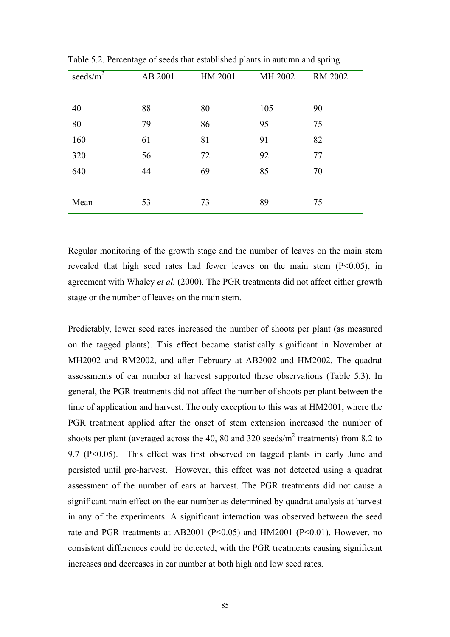| seeds/ $m^2$ | AB 2001 | HM 2001 | MH 2002 | <b>RM 2002</b> |
|--------------|---------|---------|---------|----------------|
|              |         |         |         |                |
| 40           | 88      | 80      | 105     | 90             |
| 80           | 79      | 86      | 95      | 75             |
| 160          | 61      | 81      | 91      | 82             |
| 320          | 56      | 72      | 92      | 77             |
| 640          | 44      | 69      | 85      | 70             |
|              |         |         |         |                |
| Mean         | 53      | 73      | 89      | 75             |

Table 5.2. Percentage of seeds that established plants in autumn and spring

Regular monitoring of the growth stage and the number of leaves on the main stem revealed that high seed rates had fewer leaves on the main stem (P<0.05), in agreement with Whaley *et al.* (2000). The PGR treatments did not affect either growth stage or the number of leaves on the main stem.

Predictably, lower seed rates increased the number of shoots per plant (as measured on the tagged plants). This effect became statistically significant in November at MH2002 and RM2002, and after February at AB2002 and HM2002. The quadrat assessments of ear number at harvest supported these observations (Table 5.3). In general, the PGR treatments did not affect the number of shoots per plant between the time of application and harvest. The only exception to this was at HM2001, where the PGR treatment applied after the onset of stem extension increased the number of shoots per plant (averaged across the 40, 80 and 320 seeds/ $m^2$  treatments) from 8.2 to 9.7 (P<0.05). This effect was first observed on tagged plants in early June and persisted until pre-harvest. However, this effect was not detected using a quadrat assessment of the number of ears at harvest. The PGR treatments did not cause a significant main effect on the ear number as determined by quadrat analysis at harvest in any of the experiments. A significant interaction was observed between the seed rate and PGR treatments at AB2001 (P<0.05) and HM2001 (P<0.01). However, no consistent differences could be detected, with the PGR treatments causing significant increases and decreases in ear number at both high and low seed rates.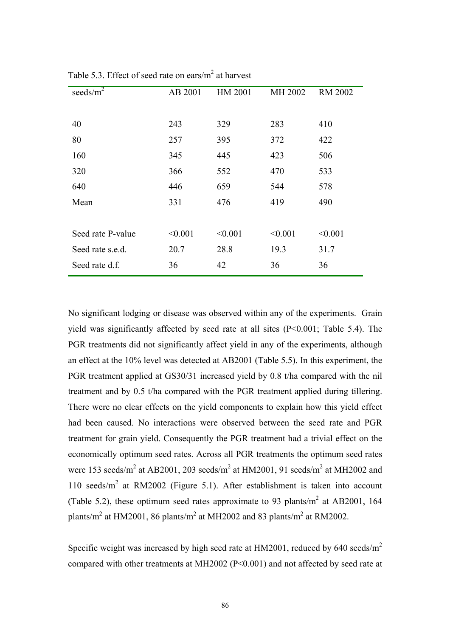| seeds/ $m^2$      | AB 2001 | HM 2001 | MH 2002 | <b>RM 2002</b> |
|-------------------|---------|---------|---------|----------------|
|                   |         |         |         |                |
| 40                | 243     | 329     | 283     | 410            |
| 80                | 257     | 395     | 372     | 422            |
| 160               | 345     | 445     | 423     | 506            |
| 320               | 366     | 552     | 470     | 533            |
| 640               | 446     | 659     | 544     | 578            |
| Mean              | 331     | 476     | 419     | 490            |
|                   |         |         |         |                |
| Seed rate P-value | < 0.001 | < 0.001 | < 0.001 | < 0.001        |
| Seed rate s.e.d.  | 20.7    | 28.8    | 19.3    | 31.7           |
| Seed rate d.f.    | 36      | 42      | 36      | 36             |

Table 5.3. Effect of seed rate on ears/ $m<sup>2</sup>$  at harvest

No significant lodging or disease was observed within any of the experiments. Grain yield was significantly affected by seed rate at all sites (P<0.001; Table 5.4). The PGR treatments did not significantly affect yield in any of the experiments, although an effect at the 10% level was detected at AB2001 (Table 5.5). In this experiment, the PGR treatment applied at GS30/31 increased yield by 0.8 t/ha compared with the nil treatment and by 0.5 t/ha compared with the PGR treatment applied during tillering. There were no clear effects on the yield components to explain how this yield effect had been caused. No interactions were observed between the seed rate and PGR treatment for grain yield. Consequently the PGR treatment had a trivial effect on the economically optimum seed rates. Across all PGR treatments the optimum seed rates were 153 seeds/m<sup>2</sup> at AB2001, 203 seeds/m<sup>2</sup> at HM2001, 91 seeds/m<sup>2</sup> at MH2002 and 110 seeds/m<sup>2</sup> at RM2002 (Figure 5.1). After establishment is taken into account (Table 5.2), these optimum seed rates approximate to 93 plants/ $m<sup>2</sup>$  at AB2001, 164 plants/m<sup>2</sup> at HM2001, 86 plants/m<sup>2</sup> at MH2002 and 83 plants/m<sup>2</sup> at RM2002.

Specific weight was increased by high seed rate at  $HM2001$ , reduced by 640 seeds/m<sup>2</sup> compared with other treatments at MH2002 (P<0.001) and not affected by seed rate at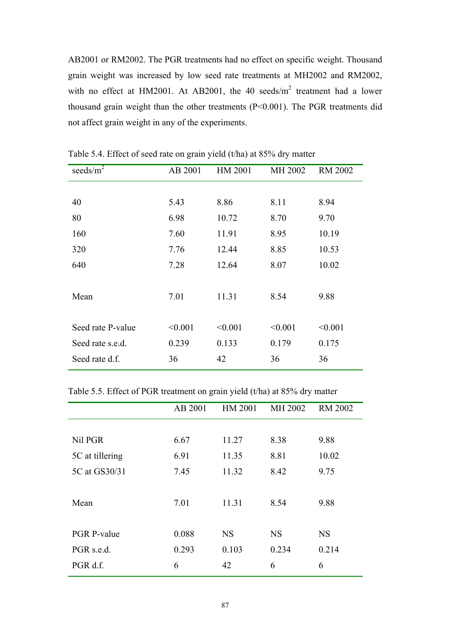AB2001 or RM2002. The PGR treatments had no effect on specific weight. Thousand grain weight was increased by low seed rate treatments at MH2002 and RM2002, with no effect at HM2001. At AB2001, the 40 seeds/ $m^2$  treatment had a lower thousand grain weight than the other treatments (P<0.001). The PGR treatments did not affect grain weight in any of the experiments.

| seeds/ $m^2$      | AB 2001 | HM 2001 | MH 2002 | <b>RM 2002</b> |
|-------------------|---------|---------|---------|----------------|
|                   |         |         |         |                |
| 40                | 5.43    | 8.86    | 8.11    | 8.94           |
| 80                | 6.98    | 10.72   | 8.70    | 9.70           |
| 160               | 7.60    | 11.91   | 8.95    | 10.19          |
| 320               | 7.76    | 12.44   | 8.85    | 10.53          |
| 640               | 7.28    | 12.64   | 8.07    | 10.02          |
|                   |         |         |         |                |
| Mean              | 7.01    | 11.31   | 8.54    | 9.88           |
|                   |         |         |         |                |
| Seed rate P-value | < 0.001 | < 0.001 | < 0.001 | < 0.001        |
| Seed rate s.e.d.  | 0.239   | 0.133   | 0.179   | 0.175          |
| Seed rate d.f.    | 36      | 42      | 36      | 36             |
|                   |         |         |         |                |

Table 5.4. Effect of seed rate on grain yield (t/ha) at 85% dry matter

Table 5.5. Effect of PGR treatment on grain yield (t/ha) at 85% dry matter

|                    | AB 2001 | HM 2001   | MH 2002   | <b>RM 2002</b> |
|--------------------|---------|-----------|-----------|----------------|
|                    |         |           |           |                |
| Nil PGR            | 6.67    | 11.27     | 8.38      | 9.88           |
| 5C at tillering    | 6.91    | 11.35     | 8.81      | 10.02          |
| 5C at GS30/31      | 7.45    | 11.32     | 8.42      | 9.75           |
|                    |         |           |           |                |
| Mean               | 7.01    | 11.31     | 8.54      | 9.88           |
|                    |         |           |           |                |
| <b>PGR P-value</b> | 0.088   | <b>NS</b> | <b>NS</b> | <b>NS</b>      |
| PGR s.e.d.         | 0.293   | 0.103     | 0.234     | 0.214          |
| PGR d.f.           | 6       | 42        | 6         | 6              |
|                    |         |           |           |                |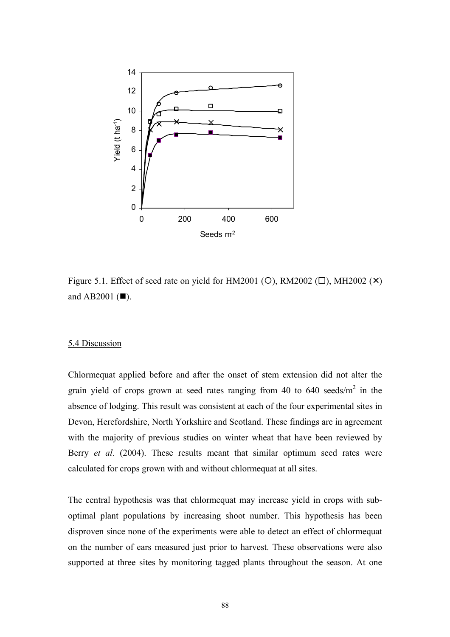

Figure 5.1. Effect of seed rate on yield for HM2001 ( $\circ$ ), RM2002 ( $\Box$ ), MH2002 ( $\times$ ) and AB2001  $(\blacksquare)$ .

## 5.4 Discussion

Chlormequat applied before and after the onset of stem extension did not alter the grain yield of crops grown at seed rates ranging from 40 to 640 seeds/ $m<sup>2</sup>$  in the absence of lodging. This result was consistent at each of the four experimental sites in Devon, Herefordshire, North Yorkshire and Scotland. These findings are in agreement with the majority of previous studies on winter wheat that have been reviewed by Berry *et al*. (2004). These results meant that similar optimum seed rates were calculated for crops grown with and without chlormequat at all sites.

The central hypothesis was that chlormequat may increase yield in crops with suboptimal plant populations by increasing shoot number. This hypothesis has been disproven since none of the experiments were able to detect an effect of chlormequat on the number of ears measured just prior to harvest. These observations were also supported at three sites by monitoring tagged plants throughout the season. At one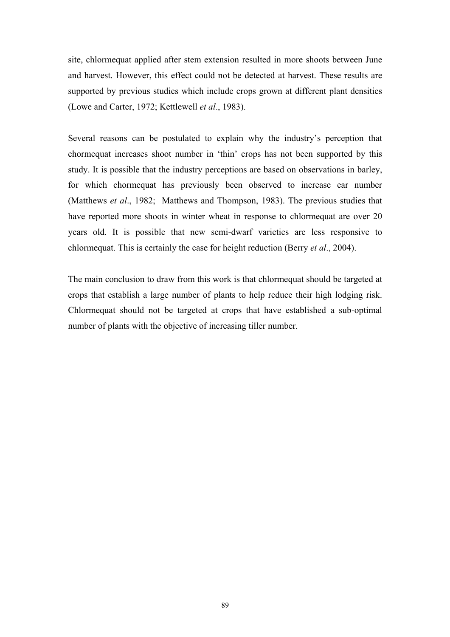site, chlormequat applied after stem extension resulted in more shoots between June and harvest. However, this effect could not be detected at harvest. These results are supported by previous studies which include crops grown at different plant densities (Lowe and Carter, 1972; Kettlewell *et al*., 1983).

Several reasons can be postulated to explain why the industry's perception that chormequat increases shoot number in 'thin' crops has not been supported by this study. It is possible that the industry perceptions are based on observations in barley, for which chormequat has previously been observed to increase ear number (Matthews *et al*., 1982; Matthews and Thompson, 1983). The previous studies that have reported more shoots in winter wheat in response to chlormequat are over 20 years old. It is possible that new semi-dwarf varieties are less responsive to chlormequat. This is certainly the case for height reduction (Berry *et al*., 2004).

The main conclusion to draw from this work is that chlormequat should be targeted at crops that establish a large number of plants to help reduce their high lodging risk. Chlormequat should not be targeted at crops that have established a sub-optimal number of plants with the objective of increasing tiller number.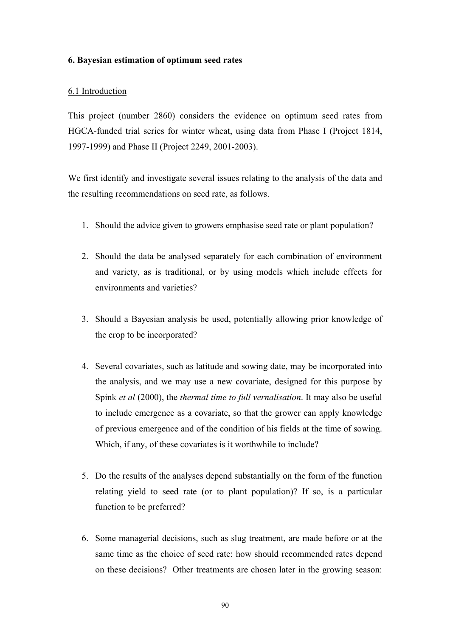## **6. Bayesian estimation of optimum seed rates**

# 6.1 Introduction

This project (number 2860) considers the evidence on optimum seed rates from HGCA-funded trial series for winter wheat, using data from Phase I (Project 1814, 1997-1999) and Phase II (Project 2249, 2001-2003).

We first identify and investigate several issues relating to the analysis of the data and the resulting recommendations on seed rate, as follows.

- 1. Should the advice given to growers emphasise seed rate or plant population?
- 2. Should the data be analysed separately for each combination of environment and variety, as is traditional, or by using models which include effects for environments and varieties?
- 3. Should a Bayesian analysis be used, potentially allowing prior knowledge of the crop to be incorporated?
- 4. Several covariates, such as latitude and sowing date, may be incorporated into the analysis, and we may use a new covariate, designed for this purpose by Spink *et al* (2000), the *thermal time to full vernalisation*. It may also be useful to include emergence as a covariate, so that the grower can apply knowledge of previous emergence and of the condition of his fields at the time of sowing. Which, if any, of these covariates is it worthwhile to include?
- 5. Do the results of the analyses depend substantially on the form of the function relating yield to seed rate (or to plant population)? If so, is a particular function to be preferred?
- 6. Some managerial decisions, such as slug treatment, are made before or at the same time as the choice of seed rate: how should recommended rates depend on these decisions? Other treatments are chosen later in the growing season: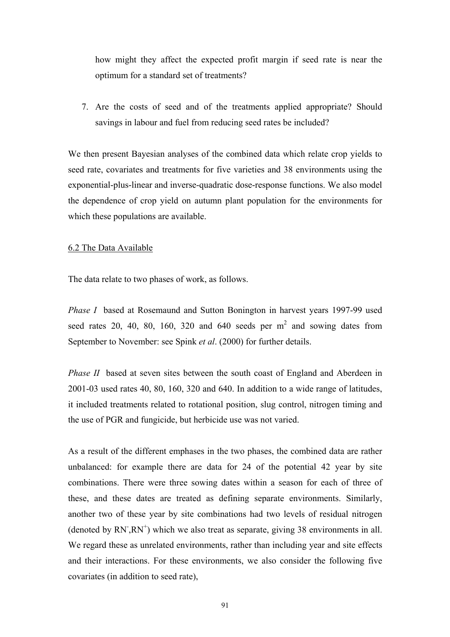how might they affect the expected profit margin if seed rate is near the optimum for a standard set of treatments?

7. Are the costs of seed and of the treatments applied appropriate? Should savings in labour and fuel from reducing seed rates be included?

We then present Bayesian analyses of the combined data which relate crop yields to seed rate, covariates and treatments for five varieties and 38 environments using the exponential-plus-linear and inverse-quadratic dose-response functions. We also model the dependence of crop yield on autumn plant population for the environments for which these populations are available.

### 6.2 The Data Available

The data relate to two phases of work, as follows.

*Phase I* based at Rosemaund and Sutton Bonington in harvest years 1997-99 used seed rates 20, 40, 80, 160, 320 and 640 seeds per  $m<sup>2</sup>$  and sowing dates from September to November: see Spink *et al*. (2000) for further details.

*Phase II* based at seven sites between the south coast of England and Aberdeen in 2001-03 used rates 40, 80, 160, 320 and 640. In addition to a wide range of latitudes, it included treatments related to rotational position, slug control, nitrogen timing and the use of PGR and fungicide, but herbicide use was not varied.

As a result of the different emphases in the two phases, the combined data are rather unbalanced: for example there are data for 24 of the potential 42 year by site combinations. There were three sowing dates within a season for each of three of these, and these dates are treated as defining separate environments. Similarly, another two of these year by site combinations had two levels of residual nitrogen (denoted by  $RN$ ,  $RN^{+}$ ) which we also treat as separate, giving 38 environments in all. We regard these as unrelated environments, rather than including year and site effects and their interactions. For these environments, we also consider the following five covariates (in addition to seed rate),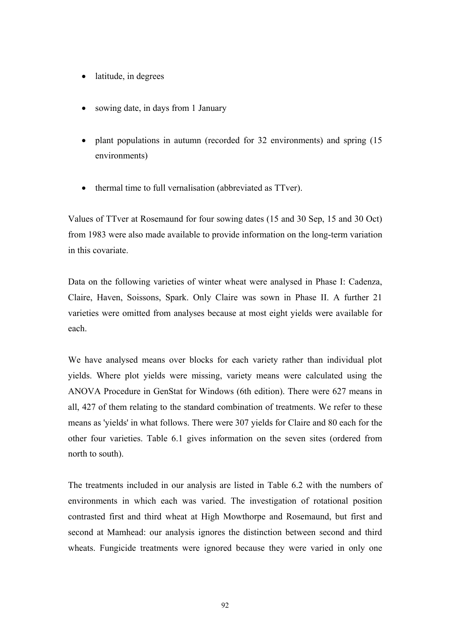- latitude, in degrees
- sowing date, in days from 1 January
- plant populations in autumn (recorded for 32 environments) and spring (15 environments)
- thermal time to full vernalisation (abbreviated as TTver).

Values of TTver at Rosemaund for four sowing dates (15 and 30 Sep, 15 and 30 Oct) from 1983 were also made available to provide information on the long-term variation in this covariate.

Data on the following varieties of winter wheat were analysed in Phase I: Cadenza, Claire, Haven, Soissons, Spark. Only Claire was sown in Phase II. A further 21 varieties were omitted from analyses because at most eight yields were available for each.

We have analysed means over blocks for each variety rather than individual plot yields. Where plot yields were missing, variety means were calculated using the ANOVA Procedure in GenStat for Windows (6th edition). There were 627 means in all, 427 of them relating to the standard combination of treatments. We refer to these means as 'yields' in what follows. There were 307 yields for Claire and 80 each for the other four varieties. Table 6.1 gives information on the seven sites (ordered from north to south).

The treatments included in our analysis are listed in Table 6.2 with the numbers of environments in which each was varied. The investigation of rotational position contrasted first and third wheat at High Mowthorpe and Rosemaund, but first and second at Mamhead: our analysis ignores the distinction between second and third wheats. Fungicide treatments were ignored because they were varied in only one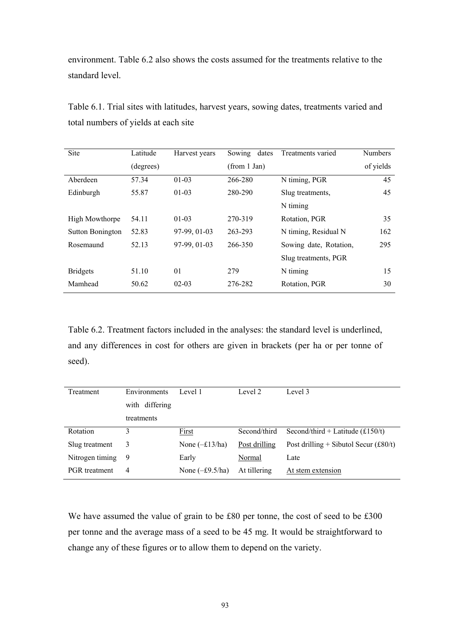environment. Table 6.2 also shows the costs assumed for the treatments relative to the standard level.

| Site                    | Latitude  | Harvest years | dates<br>Sowing | Treatments varied      | <b>Numbers</b> |
|-------------------------|-----------|---------------|-----------------|------------------------|----------------|
|                         | (degrees) |               | (from 1 Jan)    |                        | of yields      |
| Aberdeen                | 57.34     | $01-03$       | 266-280         | N timing, PGR          | 45             |
| Edinburgh               | 55.87     | $01-03$       | 280-290         | Slug treatments,       | 45             |
|                         |           |               |                 | N timing               |                |
| <b>High Mowthorpe</b>   | 54.11     | $01-03$       | 270-319         | Rotation, PGR          | 35             |
| <b>Sutton Bonington</b> | 52.83     | 97-99, 01-03  | 263-293         | N timing, Residual N   | 162            |
| Rosemaund               | 52.13     | 97-99, 01-03  | 266-350         | Sowing date, Rotation, | 295            |
|                         |           |               |                 | Slug treatments, PGR   |                |
| <b>Bridgets</b>         | 51.10     | 01            | 279             | N timing               | 15             |
| Mamhead                 | 50.62     | $02 - 03$     | 276-282         | Rotation, PGR          | 30             |

Table 6.1. Trial sites with latitudes, harvest years, sowing dates, treatments varied and total numbers of yields at each site

Table 6.2. Treatment factors included in the analyses: the standard level is underlined, and any differences in cost for others are given in brackets (per ha or per tonne of seed).

| Treatment            | <b>Environments</b> | Level 1                 | Level 2       | Level 3                                 |
|----------------------|---------------------|-------------------------|---------------|-----------------------------------------|
|                      | with differing      |                         |               |                                         |
|                      | treatments          |                         |               |                                         |
| Rotation             | 3                   | First                   | Second/third  | Second/third + Latitude $(f150/t)$      |
| Slug treatment       | 3                   | None $(-\pounds13/ha)$  | Post drilling | Post drilling + Sibutol Secur $(f80/t)$ |
| Nitrogen timing      | 9                   | Early                   | Normal        | Late                                    |
| <b>PGR</b> treatment | 4                   | None $(-\pounds9.5/ha)$ | At tillering  | At stem extension                       |

We have assumed the value of grain to be £80 per tonne, the cost of seed to be £300 per tonne and the average mass of a seed to be 45 mg. It would be straightforward to change any of these figures or to allow them to depend on the variety.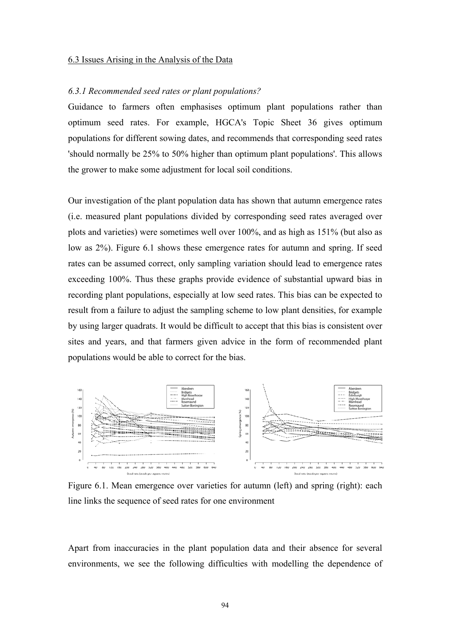#### 6.3 Issues Arising in the Analysis of the Data

#### *6.3.1 Recommended seed rates or plant populations?*

Guidance to farmers often emphasises optimum plant populations rather than optimum seed rates. For example, HGCA's Topic Sheet 36 gives optimum populations for different sowing dates, and recommends that corresponding seed rates 'should normally be 25% to 50% higher than optimum plant populations'. This allows the grower to make some adjustment for local soil conditions.

Our investigation of the plant population data has shown that autumn emergence rates (i.e. measured plant populations divided by corresponding seed rates averaged over plots and varieties) were sometimes well over 100%, and as high as 151% (but also as low as 2%). Figure 6.1 shows these emergence rates for autumn and spring. If seed rates can be assumed correct, only sampling variation should lead to emergence rates exceeding 100%. Thus these graphs provide evidence of substantial upward bias in recording plant populations, especially at low seed rates. This bias can be expected to result from a failure to adjust the sampling scheme to low plant densities, for example by using larger quadrats. It would be difficult to accept that this bias is consistent over sites and years, and that farmers given advice in the form of recommended plant populations would be able to correct for the bias.



Figure 6.1. Mean emergence over varieties for autumn (left) and spring (right): each line links the sequence of seed rates for one environment

Apart from inaccuracies in the plant population data and their absence for several environments, we see the following difficulties with modelling the dependence of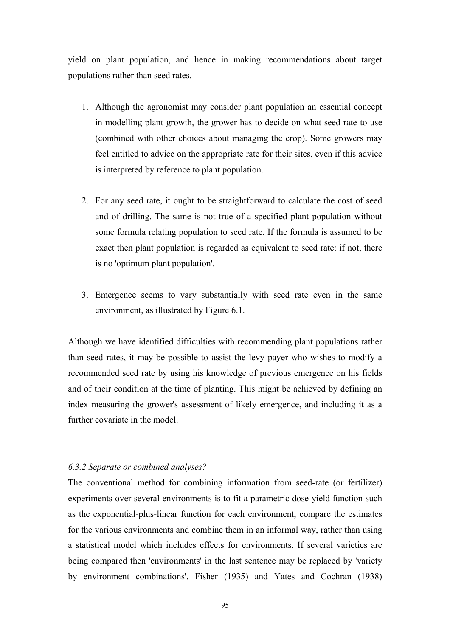yield on plant population, and hence in making recommendations about target populations rather than seed rates.

- 1. Although the agronomist may consider plant population an essential concept in modelling plant growth, the grower has to decide on what seed rate to use (combined with other choices about managing the crop). Some growers may feel entitled to advice on the appropriate rate for their sites, even if this advice is interpreted by reference to plant population.
- 2. For any seed rate, it ought to be straightforward to calculate the cost of seed and of drilling. The same is not true of a specified plant population without some formula relating population to seed rate. If the formula is assumed to be exact then plant population is regarded as equivalent to seed rate: if not, there is no 'optimum plant population'.
- 3. Emergence seems to vary substantially with seed rate even in the same environment, as illustrated by Figure 6.1.

Although we have identified difficulties with recommending plant populations rather than seed rates, it may be possible to assist the levy payer who wishes to modify a recommended seed rate by using his knowledge of previous emergence on his fields and of their condition at the time of planting. This might be achieved by defining an index measuring the grower's assessment of likely emergence, and including it as a further covariate in the model.

### *6.3.2 Separate or combined analyses?*

The conventional method for combining information from seed-rate (or fertilizer) experiments over several environments is to fit a parametric dose-yield function such as the exponential-plus-linear function for each environment, compare the estimates for the various environments and combine them in an informal way, rather than using a statistical model which includes effects for environments. If several varieties are being compared then 'environments' in the last sentence may be replaced by 'variety by environment combinations'. Fisher (1935) and Yates and Cochran (1938)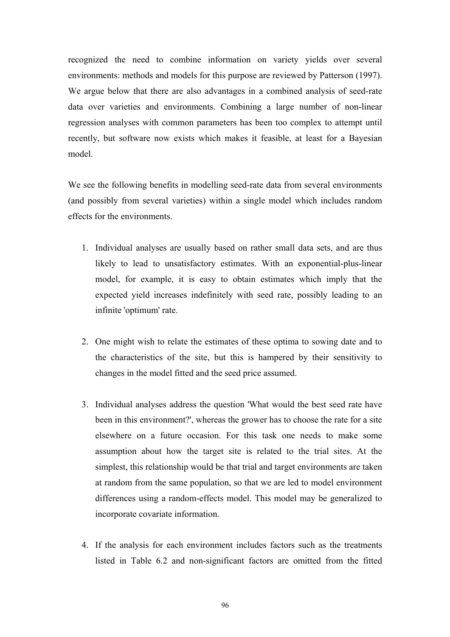recognized the need to combine information on variety yields over several environments: methods and models for this purpose are reviewed by Patterson (1997). We argue below that there are also advantages in a combined analysis of seed-rate data over varieties and environments. Combining a large number of non-linear regression analyses with common parameters has been too complex to attempt until recently, but software now exists which makes it feasible, at least for a Bayesian model.

We see the following benefits in modelling seed-rate data from several environments (and possibly from several varieties) within a single model which includes random effects for the environments.

- 1. Individual analyses are usually based on rather small data sets, and are thus likely to lead to unsatisfactory estimates. With an exponential-plus-linear model, for example, it is easy to obtain estimates which imply that the expected yield increases indefinitely with seed rate, possibly leading to an infinite 'optimum' rate.
- 2. One might wish to relate the estimates of these optima to sowing date and to the characteristics of the site, but this is hampered by their sensitivity to changes in the model fitted and the seed price assumed.
- 3. Individual analyses address the question 'What would the best seed rate have been in this environment?', whereas the grower has to choose the rate for a site elsewhere on a future occasion. For this task one needs to make some assumption about how the target site is related to the trial sites. At the simplest, this relationship would be that trial and target environments are taken at random from the same population, so that we are led to model environment differences using a random-effects model. This model may be generalized to incorporate covariate information.
- 4. If the analysis for each environment includes factors such as the treatments listed in Table 6.2 and non-significant factors are omitted from the fitted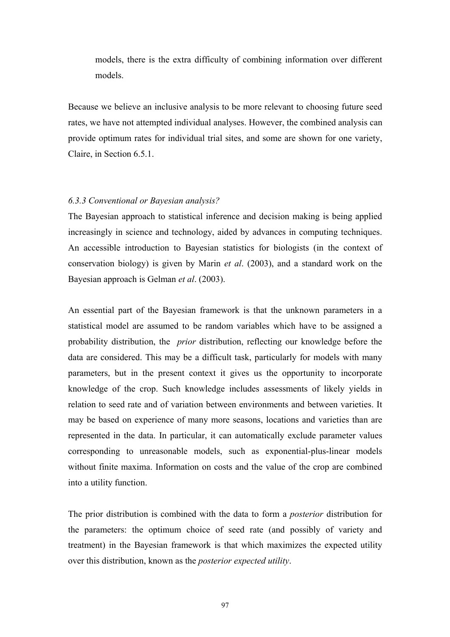models, there is the extra difficulty of combining information over different models.

Because we believe an inclusive analysis to be more relevant to choosing future seed rates, we have not attempted individual analyses. However, the combined analysis can provide optimum rates for individual trial sites, and some are shown for one variety, Claire, in Section 6.5.1.

### *6.3.3 Conventional or Bayesian analysis?*

The Bayesian approach to statistical inference and decision making is being applied increasingly in science and technology, aided by advances in computing techniques. An accessible introduction to Bayesian statistics for biologists (in the context of conservation biology) is given by Marin *et al*. (2003), and a standard work on the Bayesian approach is Gelman *et al*. (2003).

An essential part of the Bayesian framework is that the unknown parameters in a statistical model are assumed to be random variables which have to be assigned a probability distribution, the *prior* distribution, reflecting our knowledge before the data are considered. This may be a difficult task, particularly for models with many parameters, but in the present context it gives us the opportunity to incorporate knowledge of the crop. Such knowledge includes assessments of likely yields in relation to seed rate and of variation between environments and between varieties. It may be based on experience of many more seasons, locations and varieties than are represented in the data. In particular, it can automatically exclude parameter values corresponding to unreasonable models, such as exponential-plus-linear models without finite maxima. Information on costs and the value of the crop are combined into a utility function.

The prior distribution is combined with the data to form a *posterior* distribution for the parameters: the optimum choice of seed rate (and possibly of variety and treatment) in the Bayesian framework is that which maximizes the expected utility over this distribution, known as the *posterior expected utility*.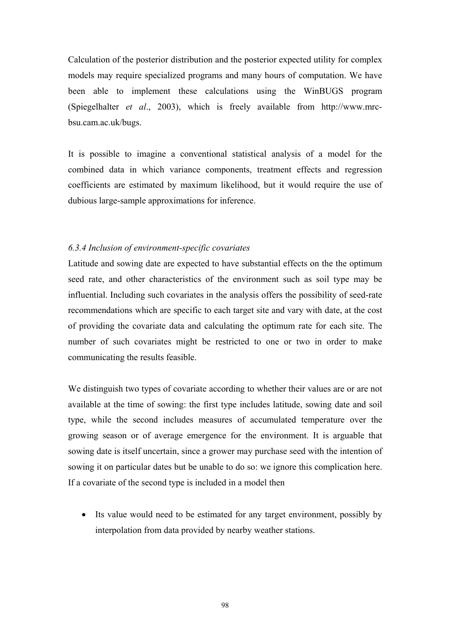Calculation of the posterior distribution and the posterior expected utility for complex models may require specialized programs and many hours of computation. We have been able to implement these calculations using the WinBUGS program (Spiegelhalter *et al*., 2003), which is freely available from http://www.mrcbsu.cam.ac.uk/bugs.

It is possible to imagine a conventional statistical analysis of a model for the combined data in which variance components, treatment effects and regression coefficients are estimated by maximum likelihood, but it would require the use of dubious large-sample approximations for inference.

### *6.3.4 Inclusion of environment-specific covariates*

Latitude and sowing date are expected to have substantial effects on the the optimum seed rate, and other characteristics of the environment such as soil type may be influential. Including such covariates in the analysis offers the possibility of seed-rate recommendations which are specific to each target site and vary with date, at the cost of providing the covariate data and calculating the optimum rate for each site. The number of such covariates might be restricted to one or two in order to make communicating the results feasible.

We distinguish two types of covariate according to whether their values are or are not available at the time of sowing: the first type includes latitude, sowing date and soil type, while the second includes measures of accumulated temperature over the growing season or of average emergence for the environment. It is arguable that sowing date is itself uncertain, since a grower may purchase seed with the intention of sowing it on particular dates but be unable to do so: we ignore this complication here. If a covariate of the second type is included in a model then

• Its value would need to be estimated for any target environment, possibly by interpolation from data provided by nearby weather stations.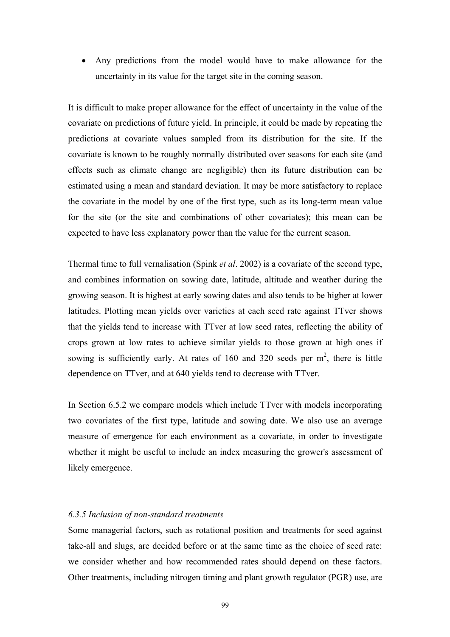• Any predictions from the model would have to make allowance for the uncertainty in its value for the target site in the coming season.

It is difficult to make proper allowance for the effect of uncertainty in the value of the covariate on predictions of future yield. In principle, it could be made by repeating the predictions at covariate values sampled from its distribution for the site. If the covariate is known to be roughly normally distributed over seasons for each site (and effects such as climate change are negligible) then its future distribution can be estimated using a mean and standard deviation. It may be more satisfactory to replace the covariate in the model by one of the first type, such as its long-term mean value for the site (or the site and combinations of other covariates); this mean can be expected to have less explanatory power than the value for the current season.

Thermal time to full vernalisation (Spink *et al*. 2002) is a covariate of the second type, and combines information on sowing date, latitude, altitude and weather during the growing season. It is highest at early sowing dates and also tends to be higher at lower latitudes. Plotting mean yields over varieties at each seed rate against TTver shows that the yields tend to increase with TTver at low seed rates, reflecting the ability of crops grown at low rates to achieve similar yields to those grown at high ones if sowing is sufficiently early. At rates of 160 and 320 seeds per  $m^2$ , there is little dependence on TTver, and at 640 yields tend to decrease with TTver.

In Section 6.5.2 we compare models which include TTver with models incorporating two covariates of the first type, latitude and sowing date. We also use an average measure of emergence for each environment as a covariate, in order to investigate whether it might be useful to include an index measuring the grower's assessment of likely emergence.

### *6.3.5 Inclusion of non-standard treatments*

Some managerial factors, such as rotational position and treatments for seed against take-all and slugs, are decided before or at the same time as the choice of seed rate: we consider whether and how recommended rates should depend on these factors. Other treatments, including nitrogen timing and plant growth regulator (PGR) use, are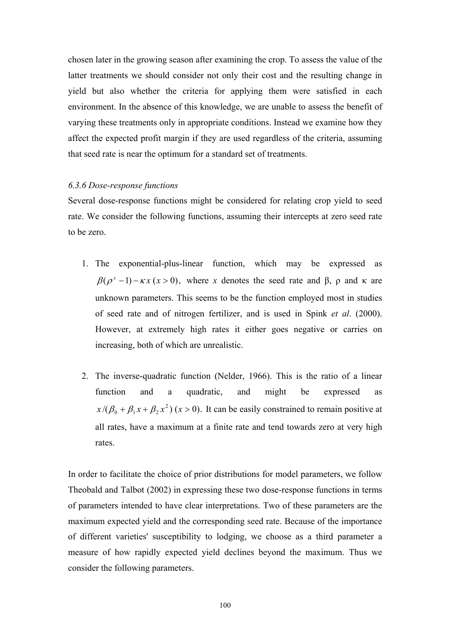chosen later in the growing season after examining the crop. To assess the value of the latter treatments we should consider not only their cost and the resulting change in yield but also whether the criteria for applying them were satisfied in each environment. In the absence of this knowledge, we are unable to assess the benefit of varying these treatments only in appropriate conditions. Instead we examine how they affect the expected profit margin if they are used regardless of the criteria, assuming that seed rate is near the optimum for a standard set of treatments.

### *6.3.6 Dose-response functions*

Several dose-response functions might be considered for relating crop yield to seed rate. We consider the following functions, assuming their intercepts at zero seed rate to be zero.

- 1. The exponential-plus-linear function, which may be expressed as  $\beta(\rho^x-1) - \kappa x$  ( $x > 0$ ), where *x* denotes the seed rate and β, ρ and κ are unknown parameters. This seems to be the function employed most in studies of seed rate and of nitrogen fertilizer, and is used in Spink *et al*. (2000). However, at extremely high rates it either goes negative or carries on increasing, both of which are unrealistic.
- 2. The inverse-quadratic function (Nelder, 1966). This is the ratio of a linear function and a quadratic, and might be expressed as  $x/(\beta_0 + \beta_1 x + \beta_2 x^2)(x > 0)$ . It can be easily constrained to remain positive at all rates, have a maximum at a finite rate and tend towards zero at very high rates.

In order to facilitate the choice of prior distributions for model parameters, we follow Theobald and Talbot (2002) in expressing these two dose-response functions in terms of parameters intended to have clear interpretations. Two of these parameters are the maximum expected yield and the corresponding seed rate. Because of the importance of different varieties' susceptibility to lodging, we choose as a third parameter a measure of how rapidly expected yield declines beyond the maximum. Thus we consider the following parameters.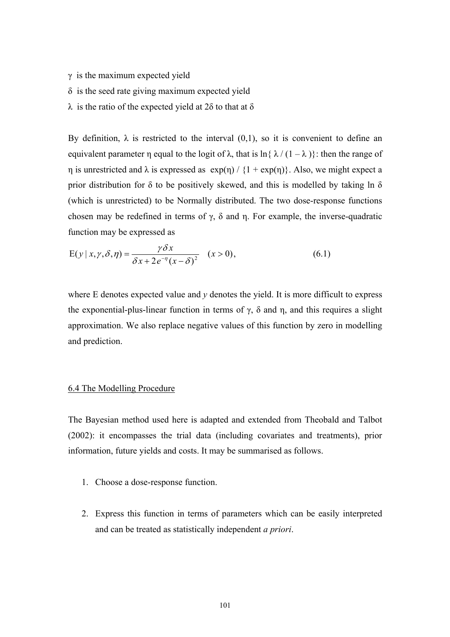- $\gamma$  is the maximum expected yield
- δ is the seed rate giving maximum expected yield
- λ is the ratio of the expected yield at 2δ to that at δ

By definition,  $\lambda$  is restricted to the interval (0,1), so it is convenient to define an equivalent parameter η equal to the logit of  $\lambda$ , that is  $\ln{\{\lambda}/(1-\lambda)}$ : then the range of  $η$  is unrestricted and  $λ$  is expressed as  $exp(η) / {1 + exp(η)}$ . Also, we might expect a prior distribution for  $\delta$  to be positively skewed, and this is modelled by taking ln  $\delta$ (which is unrestricted) to be Normally distributed. The two dose-response functions chosen may be redefined in terms of γ, δ and η. For example, the inverse-quadratic function may be expressed as

$$
E(y \mid x, \gamma, \delta, \eta) = \frac{\gamma \delta x}{\delta x + 2e^{-\eta}(x - \delta)^2} \quad (x > 0),
$$
\n(6.1)

where  $E$  denotes expected value and  $y$  denotes the yield. It is more difficult to express the exponential-plus-linear function in terms of  $\gamma$ ,  $\delta$  and  $\eta$ , and this requires a slight approximation. We also replace negative values of this function by zero in modelling and prediction.

#### 6.4 The Modelling Procedure

The Bayesian method used here is adapted and extended from Theobald and Talbot (2002): it encompasses the trial data (including covariates and treatments), prior information, future yields and costs. It may be summarised as follows.

- 1. Choose a dose-response function.
- 2. Express this function in terms of parameters which can be easily interpreted and can be treated as statistically independent *a priori*.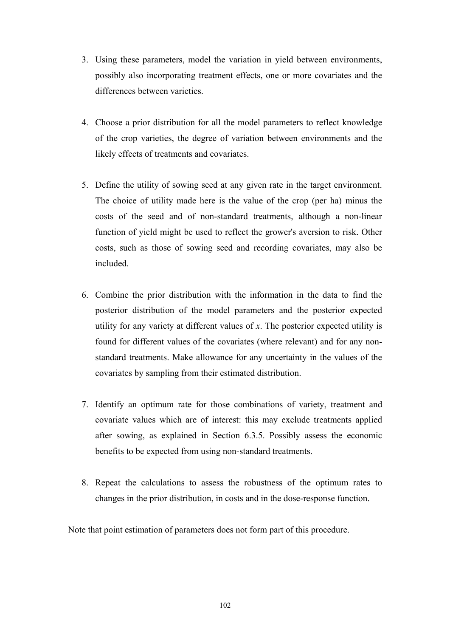- 3. Using these parameters, model the variation in yield between environments, possibly also incorporating treatment effects, one or more covariates and the differences between varieties.
- 4. Choose a prior distribution for all the model parameters to reflect knowledge of the crop varieties, the degree of variation between environments and the likely effects of treatments and covariates.
- 5. Define the utility of sowing seed at any given rate in the target environment. The choice of utility made here is the value of the crop (per ha) minus the costs of the seed and of non-standard treatments, although a non-linear function of yield might be used to reflect the grower's aversion to risk. Other costs, such as those of sowing seed and recording covariates, may also be included.
- 6. Combine the prior distribution with the information in the data to find the posterior distribution of the model parameters and the posterior expected utility for any variety at different values of *x*. The posterior expected utility is found for different values of the covariates (where relevant) and for any nonstandard treatments. Make allowance for any uncertainty in the values of the covariates by sampling from their estimated distribution.
- 7. Identify an optimum rate for those combinations of variety, treatment and covariate values which are of interest: this may exclude treatments applied after sowing, as explained in Section 6.3.5. Possibly assess the economic benefits to be expected from using non-standard treatments.
- 8. Repeat the calculations to assess the robustness of the optimum rates to changes in the prior distribution, in costs and in the dose-response function.

Note that point estimation of parameters does not form part of this procedure.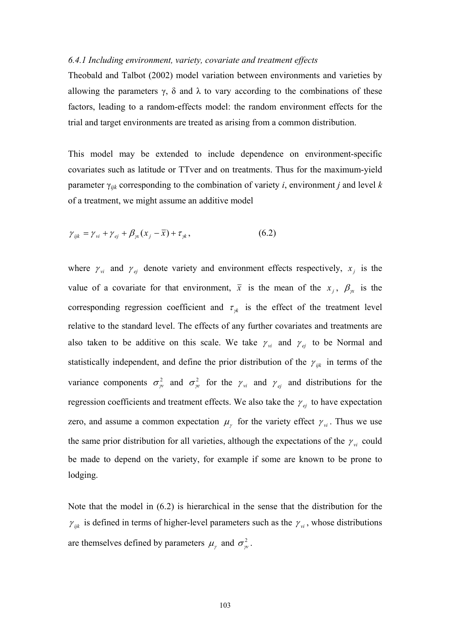### *6.4.1 Including environment, variety, covariate and treatment effects*

Theobald and Talbot (2002) model variation between environments and varieties by allowing the parameters  $\gamma$ ,  $\delta$  and  $\lambda$  to vary according to the combinations of these factors, leading to a random-effects model: the random environment effects for the trial and target environments are treated as arising from a common distribution.

This model may be extended to include dependence on environment-specific covariates such as latitude or TTver and on treatments. Thus for the maximum-yield parameter γ*ijk* corresponding to the combination of variety *i*, environment *j* and level *k* of a treatment, we might assume an additive model

$$
\gamma_{ijk} = \gamma_{vi} + \gamma_{ej} + \beta_{\gamma}(x_j - \overline{x}) + \tau_{jk},
$$
\n(6.2)

where  $\gamma_{vi}$  and  $\gamma_{ei}$  denote variety and environment effects respectively,  $x_i$  is the value of a covariate for that environment,  $\bar{x}$  is the mean of the  $x_i$ ,  $\beta_{\alpha}$  is the corresponding regression coefficient and  $\tau_{ik}$  is the effect of the treatment level relative to the standard level. The effects of any further covariates and treatments are also taken to be additive on this scale. We take  $\gamma_{vi}$  and  $\gamma_{ei}$  to be Normal and statistically independent, and define the prior distribution of the  $\gamma_{ijk}$  in terms of the variance components  $\sigma_{\gamma}^2$  and  $\sigma_{\gamma}^2$  for the  $\gamma_{\gamma}$  and  $\gamma_{e_j}$  and distributions for the regression coefficients and treatment effects. We also take the  $\gamma_{ei}$  to have expectation zero, and assume a common expectation  $\mu_r$  for the variety effect  $\gamma_{vi}$ . Thus we use the same prior distribution for all varieties, although the expectations of the  $\gamma_{vi}$  could be made to depend on the variety, for example if some are known to be prone to lodging.

Note that the model in (6.2) is hierarchical in the sense that the distribution for the  $\gamma_{ijk}$  is defined in terms of higher-level parameters such as the  $\gamma_{vi}$ , whose distributions are themselves defined by parameters  $\mu_{\gamma}$  and  $\sigma_{\gamma}^2$ .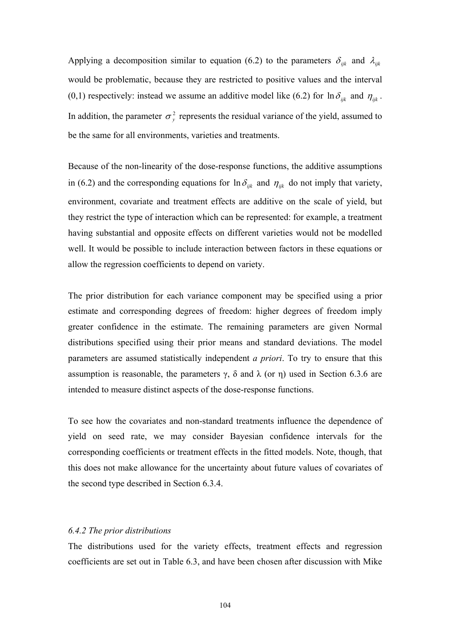Applying a decomposition similar to equation (6.2) to the parameters  $\delta_{ijk}$  and  $\lambda_{ijk}$ would be problematic, because they are restricted to positive values and the interval (0,1) respectively: instead we assume an additive model like (6.2) for  $\ln \delta_{ijk}$  and  $\eta_{ijk}$ . In addition, the parameter  $\sigma_{\nu}^2$  represents the residual variance of the yield, assumed to be the same for all environments, varieties and treatments.

Because of the non-linearity of the dose-response functions, the additive assumptions in (6.2) and the corresponding equations for  $\ln \delta_{ijk}$  and  $\eta_{ijk}$  do not imply that variety, environment, covariate and treatment effects are additive on the scale of yield, but they restrict the type of interaction which can be represented: for example, a treatment having substantial and opposite effects on different varieties would not be modelled well. It would be possible to include interaction between factors in these equations or allow the regression coefficients to depend on variety.

The prior distribution for each variance component may be specified using a prior estimate and corresponding degrees of freedom: higher degrees of freedom imply greater confidence in the estimate. The remaining parameters are given Normal distributions specified using their prior means and standard deviations. The model parameters are assumed statistically independent *a priori*. To try to ensure that this assumption is reasonable, the parameters  $\gamma$ , δ and λ (or η) used in Section 6.3.6 are intended to measure distinct aspects of the dose-response functions.

To see how the covariates and non-standard treatments influence the dependence of yield on seed rate, we may consider Bayesian confidence intervals for the corresponding coefficients or treatment effects in the fitted models. Note, though, that this does not make allowance for the uncertainty about future values of covariates of the second type described in Section 6.3.4.

### *6.4.2 The prior distributions*

The distributions used for the variety effects, treatment effects and regression coefficients are set out in Table 6.3, and have been chosen after discussion with Mike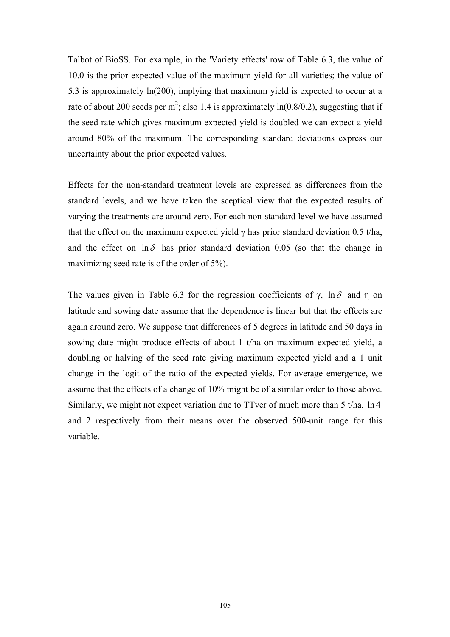Talbot of BioSS. For example, in the 'Variety effects' row of Table 6.3, the value of 10.0 is the prior expected value of the maximum yield for all varieties; the value of 5.3 is approximately ln(200), implying that maximum yield is expected to occur at a rate of about 200 seeds per m<sup>2</sup>; also 1.4 is approximately  $ln(0.8/0.2)$ , suggesting that if the seed rate which gives maximum expected yield is doubled we can expect a yield around 80% of the maximum. The corresponding standard deviations express our uncertainty about the prior expected values.

Effects for the non-standard treatment levels are expressed as differences from the standard levels, and we have taken the sceptical view that the expected results of varying the treatments are around zero. For each non-standard level we have assumed that the effect on the maximum expected yield  $\gamma$  has prior standard deviation 0.5 t/ha, and the effect on  $\ln \delta$  has prior standard deviation 0.05 (so that the change in maximizing seed rate is of the order of 5%).

The values given in Table 6.3 for the regression coefficients of  $\gamma$ , ln $\delta$  and  $\eta$  on latitude and sowing date assume that the dependence is linear but that the effects are again around zero. We suppose that differences of 5 degrees in latitude and 50 days in sowing date might produce effects of about 1 t/ha on maximum expected yield, a doubling or halving of the seed rate giving maximum expected yield and a 1 unit change in the logit of the ratio of the expected yields. For average emergence, we assume that the effects of a change of 10% might be of a similar order to those above. Similarly, we might not expect variation due to TTver of much more than 5 t/ha, ln 4 and 2 respectively from their means over the observed 500-unit range for this variable.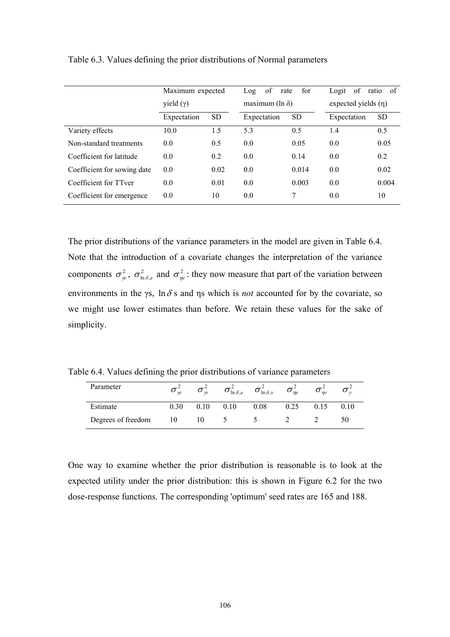|                             | Maximum expected<br>yield $(\gamma)$ |           | for<br>of<br>rate<br>Log<br>maximum ( $\ln \delta$ ) |           | of<br>of<br>Logit<br>ratio<br>expected yields $(\eta)$ |           |
|-----------------------------|--------------------------------------|-----------|------------------------------------------------------|-----------|--------------------------------------------------------|-----------|
|                             | Expectation                          | <b>SD</b> | Expectation                                          | <b>SD</b> | Expectation                                            | <b>SD</b> |
| Variety effects             | 10.0                                 | 1.5       | 5.3                                                  | 0.5       | 1.4                                                    | 0.5       |
| Non-standard treatments     | 0.0                                  | 0.5       | 0.0                                                  | 0.05      | 0.0                                                    | 0.05      |
| Coefficient for latitude    | 0.0                                  | 0.2       | 0.0                                                  | 0.14      | 0.0                                                    | 0.2       |
| Coefficient for sowing date | 0.0                                  | 0.02      | 0.0                                                  | 0.014     | 0.0                                                    | 0.02      |
| Coefficient for TTver       | 0.0                                  | 0.01      | 0.0                                                  | 0.003     | 0.0                                                    | 0.004     |
| Coefficient for emergence   | 0.0                                  | 10        | 0.0                                                  | 7         | 0.0                                                    | 10        |

Table 6.3. Values defining the prior distributions of Normal parameters

The prior distributions of the variance parameters in the model are given in Table 6.4. Note that the introduction of a covariate changes the interpretation of the variance components  $\sigma_{\gamma e}^2$ ,  $\sigma_{\ln \delta, e}^2$  and  $\sigma_{\eta e}^2$ : they now measure that part of the variation between environments in the γs,  $\ln \delta s$  and  $\eta s$  which is *not* accounted for by the covariate, so we might use lower estimates than before. We retain these values for the sake of simplicity.

Table 6.4. Values defining the prior distributions of variance parameters

| Parameter          | $\boldsymbol{\omega}_{w}$ | $\sigma_{w}$ | $\sigma_{\ln\delta,e}$ | $\sigma_{\ln\delta,\nu}^2$ | $\sigma_{ne}$ | $\boldsymbol{o}_m$ |      |
|--------------------|---------------------------|--------------|------------------------|----------------------------|---------------|--------------------|------|
| Estimate           | 30                        | 0.10         | 0.10                   | 0.08                       | 0.25          | 0.15               | 0.10 |
| Degrees of freedom |                           |              |                        |                            |               |                    | 50   |

One way to examine whether the prior distribution is reasonable is to look at the expected utility under the prior distribution: this is shown in Figure 6.2 for the two dose-response functions. The corresponding 'optimum' seed rates are 165 and 188.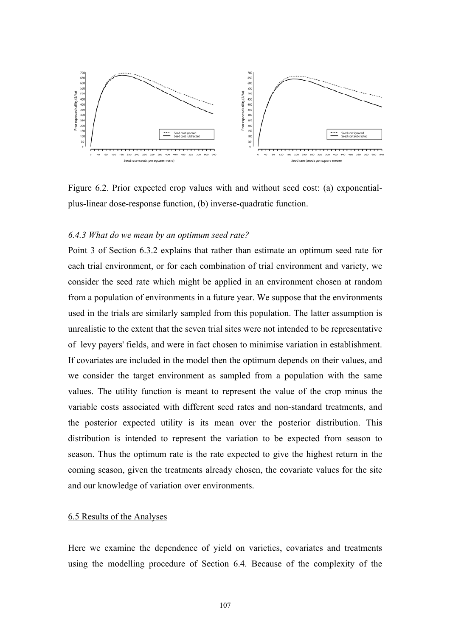

Figure 6.2. Prior expected crop values with and without seed cost: (a) exponentialplus-linear dose-response function, (b) inverse-quadratic function.

### *6.4.3 What do we mean by an optimum seed rate?*

Point 3 of Section 6.3.2 explains that rather than estimate an optimum seed rate for each trial environment, or for each combination of trial environment and variety, we consider the seed rate which might be applied in an environment chosen at random from a population of environments in a future year. We suppose that the environments used in the trials are similarly sampled from this population. The latter assumption is unrealistic to the extent that the seven trial sites were not intended to be representative of levy payers' fields, and were in fact chosen to minimise variation in establishment. If covariates are included in the model then the optimum depends on their values, and we consider the target environment as sampled from a population with the same values. The utility function is meant to represent the value of the crop minus the variable costs associated with different seed rates and non-standard treatments, and the posterior expected utility is its mean over the posterior distribution. This distribution is intended to represent the variation to be expected from season to season. Thus the optimum rate is the rate expected to give the highest return in the coming season, given the treatments already chosen, the covariate values for the site and our knowledge of variation over environments.

### 6.5 Results of the Analyses

Here we examine the dependence of yield on varieties, covariates and treatments using the modelling procedure of Section 6.4. Because of the complexity of the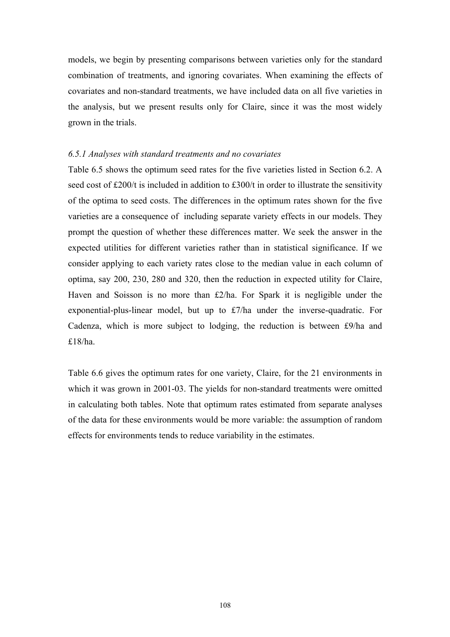models, we begin by presenting comparisons between varieties only for the standard combination of treatments, and ignoring covariates. When examining the effects of covariates and non-standard treatments, we have included data on all five varieties in the analysis, but we present results only for Claire, since it was the most widely grown in the trials.

### *6.5.1 Analyses with standard treatments and no covariates*

Table 6.5 shows the optimum seed rates for the five varieties listed in Section 6.2. A seed cost of £200/t is included in addition to £300/t in order to illustrate the sensitivity of the optima to seed costs. The differences in the optimum rates shown for the five varieties are a consequence of including separate variety effects in our models. They prompt the question of whether these differences matter. We seek the answer in the expected utilities for different varieties rather than in statistical significance. If we consider applying to each variety rates close to the median value in each column of optima, say 200, 230, 280 and 320, then the reduction in expected utility for Claire, Haven and Soisson is no more than £2/ha. For Spark it is negligible under the exponential-plus-linear model, but up to £7/ha under the inverse-quadratic. For Cadenza, which is more subject to lodging, the reduction is between £9/ha and £18/ha.

Table 6.6 gives the optimum rates for one variety, Claire, for the 21 environments in which it was grown in 2001-03. The yields for non-standard treatments were omitted in calculating both tables. Note that optimum rates estimated from separate analyses of the data for these environments would be more variable: the assumption of random effects for environments tends to reduce variability in the estimates.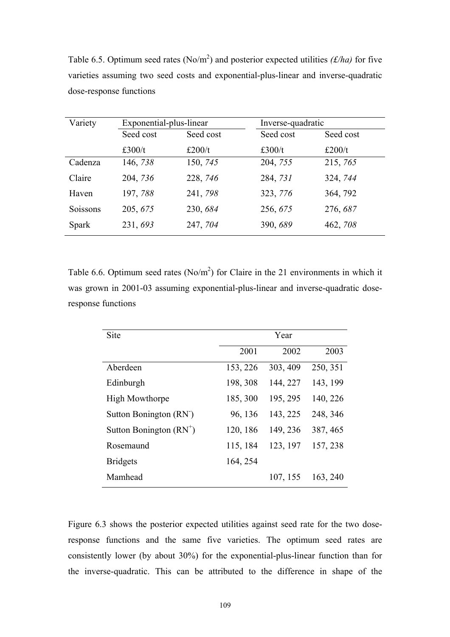Table 6.5. Optimum seed rates (No/m<sup>2</sup>) and posterior expected utilities *(f/ha)* for five varieties assuming two seed costs and exponential-plus-linear and inverse-quadratic dose-response functions

| Variety      | Exponential-plus-linear |           | Inverse-quadratic |           |  |
|--------------|-------------------------|-----------|-------------------|-----------|--|
|              | Seed cost               | Seed cost | Seed cost         | Seed cost |  |
|              | £300/t                  | £200/t    | £300/t            | £200/t    |  |
| Cadenza      | 146, 738                | 150, 745  | 204, 755          | 215, 765  |  |
| Claire       | 204, 736                | 228, 746  | 284, 731          | 324, 744  |  |
| Haven        | 197,788                 | 241, 798  | 323, 776          | 364, 792  |  |
| Soissons     | 205, 675                | 230, 684  | 256, 675          | 276, 687  |  |
| <b>Spark</b> | 231, 693                | 247, 704  | 390, 689          | 462, 708  |  |

Table 6.6. Optimum seed rates  $(No/m<sup>2</sup>)$  for Claire in the 21 environments in which it was grown in 2001-03 assuming exponential-plus-linear and inverse-quadratic doseresponse functions

| Site                                | Year     |          |          |
|-------------------------------------|----------|----------|----------|
|                                     | 2001     | 2002     | 2003     |
| Aberdeen                            | 153, 226 | 303, 409 | 250, 351 |
| Edinburgh                           | 198, 308 | 144, 227 | 143, 199 |
| <b>High Mowthorpe</b>               | 185, 300 | 195, 295 | 140, 226 |
| Sutton Bonington (RN <sup>-</sup> ) | 96, 136  | 143, 225 | 248, 346 |
| Sutton Bonington $(RN^+)$           | 120, 186 | 149, 236 | 387, 465 |
| Rosemaund                           | 115, 184 | 123, 197 | 157, 238 |
| <b>Bridgets</b>                     | 164, 254 |          |          |
| Mamhead                             |          | 107, 155 | 163, 240 |

Figure 6.3 shows the posterior expected utilities against seed rate for the two doseresponse functions and the same five varieties. The optimum seed rates are consistently lower (by about 30%) for the exponential-plus-linear function than for the inverse-quadratic. This can be attributed to the difference in shape of the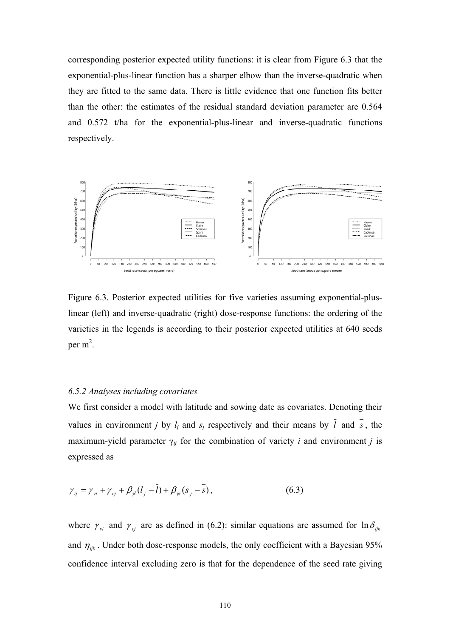corresponding posterior expected utility functions: it is clear from Figure 6.3 that the exponential-plus-linear function has a sharper elbow than the inverse-quadratic when they are fitted to the same data. There is little evidence that one function fits better than the other: the estimates of the residual standard deviation parameter are 0.564 and 0.572 t/ha for the exponential-plus-linear and inverse-quadratic functions respectively.



Figure 6.3. Posterior expected utilities for five varieties assuming exponential-pluslinear (left) and inverse-quadratic (right) dose-response functions: the ordering of the varieties in the legends is according to their posterior expected utilities at 640 seeds per  $m^2$ .

### *6.5.2 Analyses including covariates*

We first consider a model with latitude and sowing date as covariates. Denoting their values in environment *j* by  $l_j$  and  $s_j$  respectively and their means by  $\overline{l}$  and  $\overline{s}$ , the maximum-yield parameter  $\gamma_{ij}$  for the combination of variety *i* and environment *j* is expressed as

$$
\gamma_{ij} = \gamma_{vi} + \gamma_{ej} + \beta_{jl} (l_j - \bar{l}) + \beta_{js} (s_j - \bar{s}), \qquad (6.3)
$$

where  $\gamma_{vi}$  and  $\gamma_{ei}$  are as defined in (6.2): similar equations are assumed for  $\ln \delta_{ijk}$ and  $\eta_{ijk}$ . Under both dose-response models, the only coefficient with a Bayesian 95% confidence interval excluding zero is that for the dependence of the seed rate giving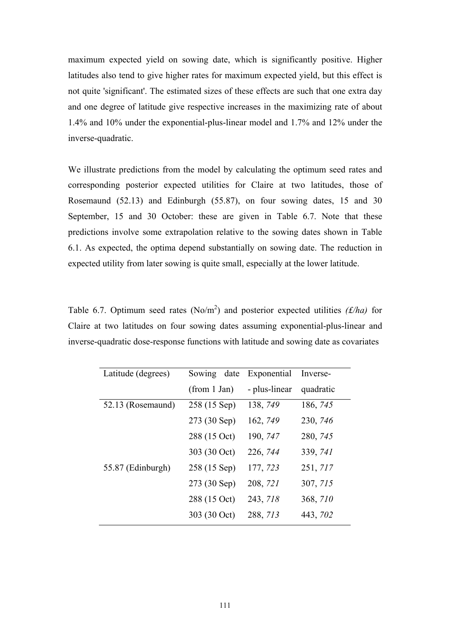maximum expected yield on sowing date, which is significantly positive. Higher latitudes also tend to give higher rates for maximum expected yield, but this effect is not quite 'significant'. The estimated sizes of these effects are such that one extra day and one degree of latitude give respective increases in the maximizing rate of about 1.4% and 10% under the exponential-plus-linear model and 1.7% and 12% under the inverse-quadratic.

We illustrate predictions from the model by calculating the optimum seed rates and corresponding posterior expected utilities for Claire at two latitudes, those of Rosemaund (52.13) and Edinburgh (55.87), on four sowing dates, 15 and 30 September, 15 and 30 October: these are given in Table 6.7. Note that these predictions involve some extrapolation relative to the sowing dates shown in Table 6.1. As expected, the optima depend substantially on sowing date. The reduction in expected utility from later sowing is quite small, especially at the lower latitude.

Table 6.7. Optimum seed rates  $(No/m^2)$  and posterior expected utilities *(£/ha)* for Claire at two latitudes on four sowing dates assuming exponential-plus-linear and inverse-quadratic dose-response functions with latitude and sowing date as covariates

| Latitude (degrees) | Sowing date  | Exponential   | Inverse-  |
|--------------------|--------------|---------------|-----------|
|                    | (from 1 Jan) | - plus-linear | quadratic |
| 52.13 (Rosemaund)  | 258 (15 Sep) | 138, 749      | 186, 745  |
|                    | 273 (30 Sep) | 162, 749      | 230, 746  |
|                    | 288 (15 Oct) | 190, 747      | 280, 745  |
|                    | 303 (30 Oct) | 226, 744      | 339, 741  |
| 55.87 (Edinburgh)  | 258 (15 Sep) | 177, 723      | 251, 717  |
|                    | 273 (30 Sep) | 208, 721      | 307, 715  |
|                    | 288 (15 Oct) | 243, 718      | 368, 710  |
|                    | 303 (30 Oct) | 288, 713      | 443, 702  |
|                    |              |               |           |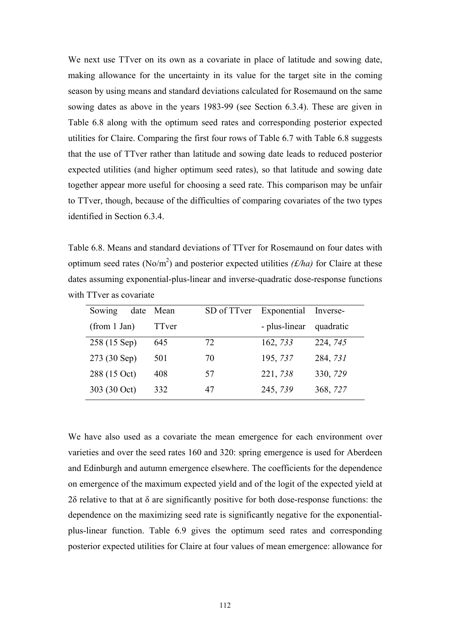We next use TTver on its own as a covariate in place of latitude and sowing date, making allowance for the uncertainty in its value for the target site in the coming season by using means and standard deviations calculated for Rosemaund on the same sowing dates as above in the years 1983-99 (see Section 6.3.4). These are given in Table 6.8 along with the optimum seed rates and corresponding posterior expected utilities for Claire. Comparing the first four rows of Table 6.7 with Table 6.8 suggests that the use of TTver rather than latitude and sowing date leads to reduced posterior expected utilities (and higher optimum seed rates), so that latitude and sowing date together appear more useful for choosing a seed rate. This comparison may be unfair to TTver, though, because of the difficulties of comparing covariates of the two types identified in Section 6.3.4.

Table 6.8. Means and standard deviations of TTver for Rosemaund on four dates with optimum seed rates (No/m<sup>2</sup>) and posterior expected utilities  $(f/ha)$  for Claire at these dates assuming exponential-plus-linear and inverse-quadratic dose-response functions with TTver as covariate

| Sowing<br>date | Mean  | SD of TTver | Exponential Inverse- |           |
|----------------|-------|-------------|----------------------|-----------|
| (from 1 Jan)   | TTver |             | - plus-linear        | quadratic |
| 258 (15 Sep)   | 645   | 72          | 162, 733             | 224, 745  |
| 273 (30 Sep)   | 501   | 70          | 195, 737             | 284, 731  |
| 288 (15 Oct)   | 408   | 57          | 221, 738             | 330, 729  |
| 303 (30 Oct)   | 332   | 47          | 245, 739             | 368, 727  |

We have also used as a covariate the mean emergence for each environment over varieties and over the seed rates 160 and 320: spring emergence is used for Aberdeen and Edinburgh and autumn emergence elsewhere. The coefficients for the dependence on emergence of the maximum expected yield and of the logit of the expected yield at 2δ relative to that at δ are significantly positive for both dose-response functions: the dependence on the maximizing seed rate is significantly negative for the exponentialplus-linear function. Table 6.9 gives the optimum seed rates and corresponding posterior expected utilities for Claire at four values of mean emergence: allowance for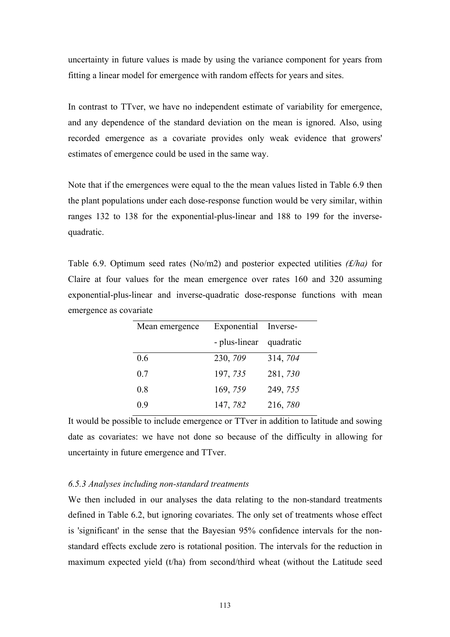uncertainty in future values is made by using the variance component for years from fitting a linear model for emergence with random effects for years and sites.

In contrast to TTver, we have no independent estimate of variability for emergence, and any dependence of the standard deviation on the mean is ignored. Also, using recorded emergence as a covariate provides only weak evidence that growers' estimates of emergence could be used in the same way.

Note that if the emergences were equal to the the mean values listed in Table 6.9 then the plant populations under each dose-response function would be very similar, within ranges 132 to 138 for the exponential-plus-linear and 188 to 199 for the inversequadratic.

Table 6.9. Optimum seed rates (No/m2) and posterior expected utilities *(£/ha)* for Claire at four values for the mean emergence over rates 160 and 320 assuming exponential-plus-linear and inverse-quadratic dose-response functions with mean emergence as covariate

| Mean emergence | Exponential Inverse-    |          |
|----------------|-------------------------|----------|
|                | - plus-linear quadratic |          |
| 0.6            | 230, 709                | 314, 704 |
| 0.7            | 197, 735                | 281, 730 |
| 0.8            | 169, 759                | 249, 755 |
| 0.9            | 147, 782                | 216, 780 |

It would be possible to include emergence or TTver in addition to latitude and sowing date as covariates: we have not done so because of the difficulty in allowing for uncertainty in future emergence and TTver.

### *6.5.3 Analyses including non-standard treatments*

We then included in our analyses the data relating to the non-standard treatments defined in Table 6.2, but ignoring covariates. The only set of treatments whose effect is 'significant' in the sense that the Bayesian 95% confidence intervals for the nonstandard effects exclude zero is rotational position. The intervals for the reduction in maximum expected yield (t/ha) from second/third wheat (without the Latitude seed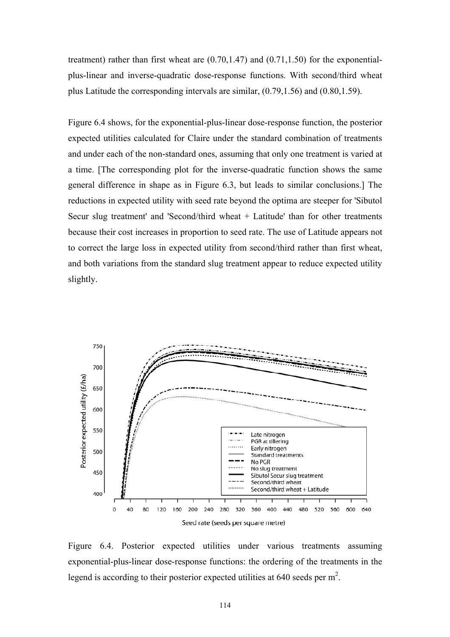treatment) rather than first wheat are  $(0.70, 1.47)$  and  $(0.71, 1.50)$  for the exponentialplus-linear and inverse-quadratic dose-response functions. With second/third wheat plus Latitude the corresponding intervals are similar, (0.79,1.56) and (0.80,1.59).

Figure 6.4 shows, for the exponential-plus-linear dose-response function, the posterior expected utilities calculated for Claire under the standard combination of treatments and under each of the non-standard ones, assuming that only one treatment is varied at a time. [The corresponding plot for the inverse-quadratic function shows the same general difference in shape as in Figure 6.3, but leads to similar conclusions.] The reductions in expected utility with seed rate beyond the optima are steeper for 'Sibutol Secur slug treatment' and 'Second/third wheat + Latitude' than for other treatments because their cost increases in proportion to seed rate. The use of Latitude appears not to correct the large loss in expected utility from second/third rather than first wheat, and both variations from the standard slug treatment appear to reduce expected utility slightly.



Figure 6.4. Posterior expected utilities under various treatments assuming exponential-plus-linear dose-response functions: the ordering of the treatments in the legend is according to their posterior expected utilities at 640 seeds per  $m^2$ .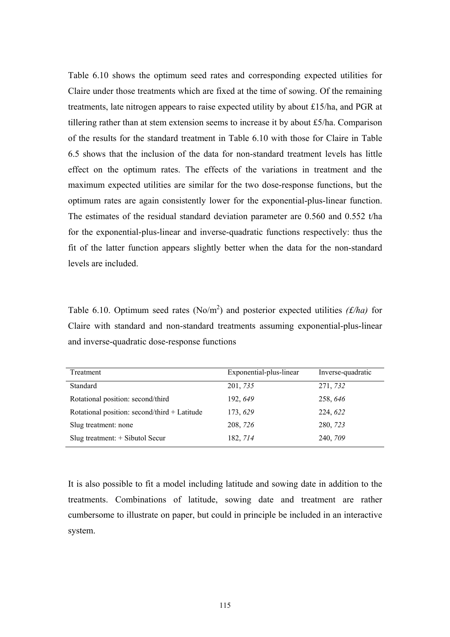Table 6.10 shows the optimum seed rates and corresponding expected utilities for Claire under those treatments which are fixed at the time of sowing. Of the remaining treatments, late nitrogen appears to raise expected utility by about £15/ha, and PGR at tillering rather than at stem extension seems to increase it by about £5/ha. Comparison of the results for the standard treatment in Table 6.10 with those for Claire in Table 6.5 shows that the inclusion of the data for non-standard treatment levels has little effect on the optimum rates. The effects of the variations in treatment and the maximum expected utilities are similar for the two dose-response functions, but the optimum rates are again consistently lower for the exponential-plus-linear function. The estimates of the residual standard deviation parameter are 0.560 and 0.552 t/ha for the exponential-plus-linear and inverse-quadratic functions respectively: thus the fit of the latter function appears slightly better when the data for the non-standard levels are included.

Table 6.10. Optimum seed rates  $(No/m^2)$  and posterior expected utilities *(£/ha)* for Claire with standard and non-standard treatments assuming exponential-plus-linear and inverse-quadratic dose-response functions

| Treatment                                    | Exponential-plus-linear | Inverse-quadratic |
|----------------------------------------------|-------------------------|-------------------|
| Standard                                     | 201, 735                | 271, 732          |
| Rotational position: second/third            | 192, 649                | 258, 646          |
| Rotational position: second/third + Latitude | 173, 629                | 224, 622          |
| Slug treatment: none                         | 208, 726                | 280, 723          |
| Slug treatment: + Sibutol Secur              | 182, 714                | 240, 709          |

It is also possible to fit a model including latitude and sowing date in addition to the treatments. Combinations of latitude, sowing date and treatment are rather cumbersome to illustrate on paper, but could in principle be included in an interactive system.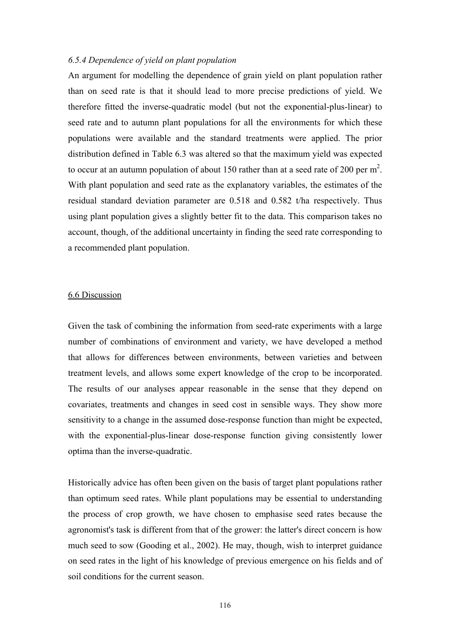### *6.5.4 Dependence of yield on plant population*

An argument for modelling the dependence of grain yield on plant population rather than on seed rate is that it should lead to more precise predictions of yield. We therefore fitted the inverse-quadratic model (but not the exponential-plus-linear) to seed rate and to autumn plant populations for all the environments for which these populations were available and the standard treatments were applied. The prior distribution defined in Table 6.3 was altered so that the maximum yield was expected to occur at an autumn population of about 150 rather than at a seed rate of 200 per  $m^2$ . With plant population and seed rate as the explanatory variables, the estimates of the residual standard deviation parameter are 0.518 and 0.582 t/ha respectively. Thus using plant population gives a slightly better fit to the data. This comparison takes no account, though, of the additional uncertainty in finding the seed rate corresponding to a recommended plant population.

### 6.6 Discussion

Given the task of combining the information from seed-rate experiments with a large number of combinations of environment and variety, we have developed a method that allows for differences between environments, between varieties and between treatment levels, and allows some expert knowledge of the crop to be incorporated. The results of our analyses appear reasonable in the sense that they depend on covariates, treatments and changes in seed cost in sensible ways. They show more sensitivity to a change in the assumed dose-response function than might be expected, with the exponential-plus-linear dose-response function giving consistently lower optima than the inverse-quadratic.

Historically advice has often been given on the basis of target plant populations rather than optimum seed rates. While plant populations may be essential to understanding the process of crop growth, we have chosen to emphasise seed rates because the agronomist's task is different from that of the grower: the latter's direct concern is how much seed to sow (Gooding et al., 2002). He may, though, wish to interpret guidance on seed rates in the light of his knowledge of previous emergence on his fields and of soil conditions for the current season.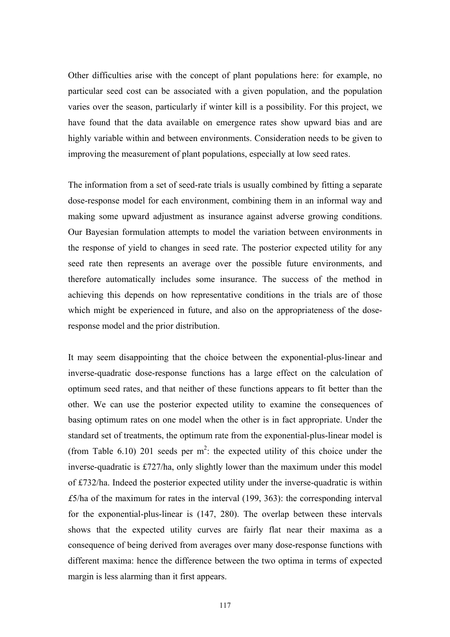Other difficulties arise with the concept of plant populations here: for example, no particular seed cost can be associated with a given population, and the population varies over the season, particularly if winter kill is a possibility. For this project, we have found that the data available on emergence rates show upward bias and are highly variable within and between environments. Consideration needs to be given to improving the measurement of plant populations, especially at low seed rates.

The information from a set of seed-rate trials is usually combined by fitting a separate dose-response model for each environment, combining them in an informal way and making some upward adjustment as insurance against adverse growing conditions. Our Bayesian formulation attempts to model the variation between environments in the response of yield to changes in seed rate. The posterior expected utility for any seed rate then represents an average over the possible future environments, and therefore automatically includes some insurance. The success of the method in achieving this depends on how representative conditions in the trials are of those which might be experienced in future, and also on the appropriateness of the doseresponse model and the prior distribution.

It may seem disappointing that the choice between the exponential-plus-linear and inverse-quadratic dose-response functions has a large effect on the calculation of optimum seed rates, and that neither of these functions appears to fit better than the other. We can use the posterior expected utility to examine the consequences of basing optimum rates on one model when the other is in fact appropriate. Under the standard set of treatments, the optimum rate from the exponential-plus-linear model is (from Table 6.10) 201 seeds per  $m^2$ : the expected utility of this choice under the inverse-quadratic is £727/ha, only slightly lower than the maximum under this model of £732/ha. Indeed the posterior expected utility under the inverse-quadratic is within *£*5/ha of the maximum for rates in the interval (199, 363): the corresponding interval for the exponential-plus-linear is (147, 280). The overlap between these intervals shows that the expected utility curves are fairly flat near their maxima as a consequence of being derived from averages over many dose-response functions with different maxima: hence the difference between the two optima in terms of expected margin is less alarming than it first appears.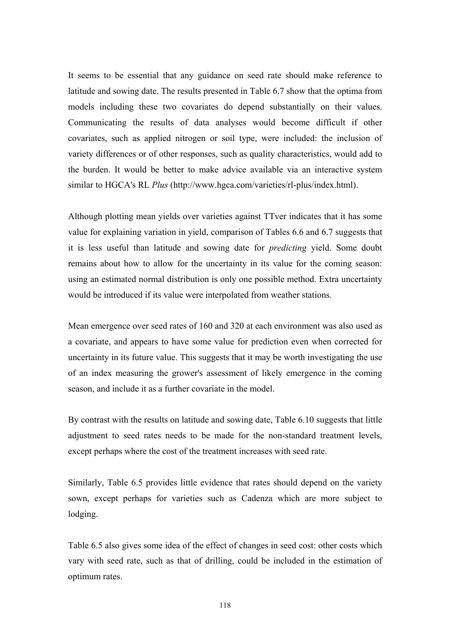It seems to be essential that any guidance on seed rate should make reference to latitude and sowing date. The results presented in Table 6.7 show that the optima from models including these two covariates do depend substantially on their values. Communicating the results of data analyses would become difficult if other covariates, such as applied nitrogen or soil type, were included: the inclusion of variety differences or of other responses, such as quality characteristics, would add to the burden. It would be better to make advice available via an interactive system similar to HGCA's RL *Plus* (http://www.hgca.com/varieties/rl-plus/index.html).

Although plotting mean yields over varieties against TTver indicates that it has some value for explaining variation in yield, comparison of Tables 6.6 and 6.7 suggests that it is less useful than latitude and sowing date for *predicting* yield. Some doubt remains about how to allow for the uncertainty in its value for the coming season: using an estimated normal distribution is only one possible method. Extra uncertainty would be introduced if its value were interpolated from weather stations.

Mean emergence over seed rates of 160 and 320 at each environment was also used as a covariate, and appears to have some value for prediction even when corrected for uncertainty in its future value. This suggests that it may be worth investigating the use of an index measuring the grower's assessment of likely emergence in the coming season, and include it as a further covariate in the model.

By contrast with the results on latitude and sowing date, Table 6.10 suggests that little adjustment to seed rates needs to be made for the non-standard treatment levels, except perhaps where the cost of the treatment increases with seed rate.

Similarly, Table 6.5 provides little evidence that rates should depend on the variety sown, except perhaps for varieties such as Cadenza which are more subject to lodging.

Table 6.5 also gives some idea of the effect of changes in seed cost: other costs which vary with seed rate, such as that of drilling, could be included in the estimation of optimum rates.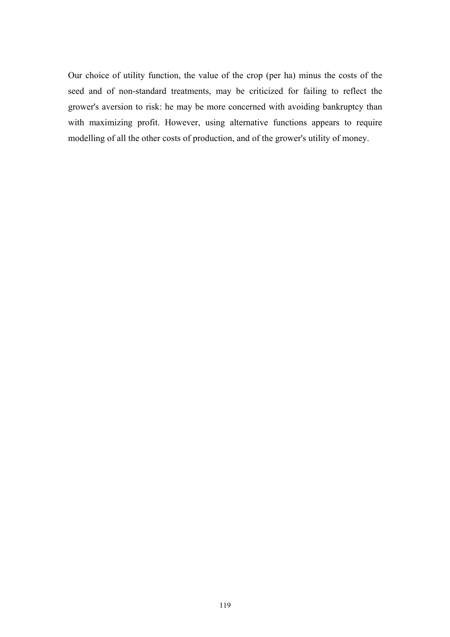Our choice of utility function, the value of the crop (per ha) minus the costs of the seed and of non-standard treatments, may be criticized for failing to reflect the grower's aversion to risk: he may be more concerned with avoiding bankruptcy than with maximizing profit. However, using alternative functions appears to require modelling of all the other costs of production, and of the grower's utility of money.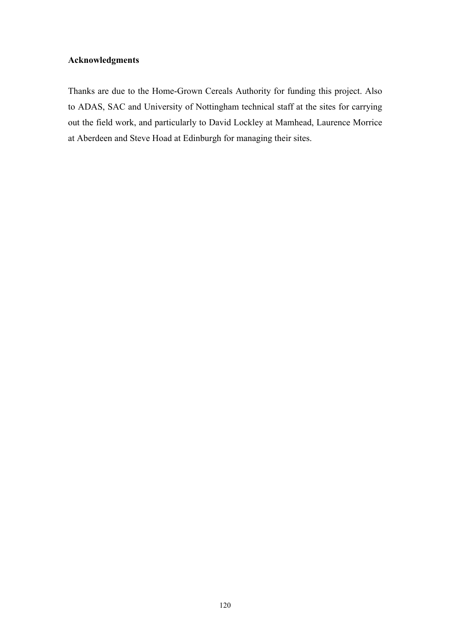### **Acknowledgments**

Thanks are due to the Home-Grown Cereals Authority for funding this project. Also to ADAS, SAC and University of Nottingham technical staff at the sites for carrying out the field work, and particularly to David Lockley at Mamhead, Laurence Morrice at Aberdeen and Steve Hoad at Edinburgh for managing their sites.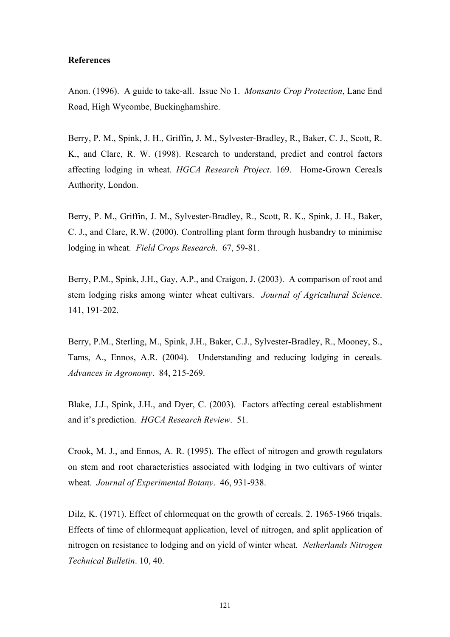### **References**

Anon. (1996). A guide to take-all. Issue No 1. *Monsanto Crop Protection*, Lane End Road, High Wycombe, Buckinghamshire.

Berry, P. M., Spink, J. H., Griffin, J. M., Sylvester-Bradley, R., Baker, C. J., Scott, R. K., and Clare, R. W. (1998). Research to understand, predict and control factors affecting lodging in wheat. *HGCA Research P*ro*ject*. 169. Home-Grown Cereals Authority, London.

Berry, P. M., Griffin, J. M., Sylvester-Bradley, R., Scott, R. K., Spink, J. H., Baker, C. J., and Clare, R.W. (2000). Controlling plant form through husbandry to minimise lodging in wheat*. Field Crops Research*. 67, 59-81.

Berry, P.M., Spink, J.H., Gay, A.P., and Craigon, J. (2003). A comparison of root and stem lodging risks among winter wheat cultivars. *Journal of Agricultural Science*. 141, 191-202.

Berry, P.M., Sterling, M., Spink, J.H., Baker, C.J., Sylvester-Bradley, R., Mooney, S., Tams, A., Ennos, A.R. (2004). Understanding and reducing lodging in cereals. *Advances in Agronomy*. 84, 215-269.

Blake, J.J., Spink, J.H., and Dyer, C. (2003). Factors affecting cereal establishment and it's prediction. *HGCA Research Review*. 51.

Crook, M. J., and Ennos, A. R. (1995). The effect of nitrogen and growth regulators on stem and root characteristics associated with lodging in two cultivars of winter wheat. *Journal of Experimental Botany*. 46, 931-938.

Dilz, K. (1971). Effect of chlormequat on the growth of cereals. 2. 1965-1966 trigals. Effects of time of chlormequat application, level of nitrogen, and split application of nitrogen on resistance to lodging and on yield of winter wheat*. Netherlands Nitrogen Technical Bulletin*. 10, 40.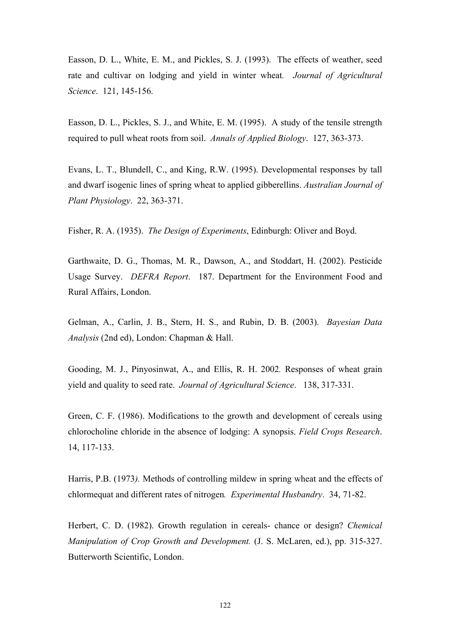Easson, D. L., White, E. M., and Pickles, S. J. (1993). The effects of weather, seed rate and cultivar on lodging and yield in winter wheat*. Journal of Agricultural Science*. 121, 145-156.

Easson, D. L., Pickles, S. J., and White, E. M. (1995). A study of the tensile strength required to pull wheat roots from soil. *Annals of Applied Biology*. 127, 363-373.

Evans, L. T., Blundell, C., and King, R.W. (1995). Developmental responses by tall and dwarf isogenic lines of spring wheat to applied gibberellins. *Australian Journal of Plant Physiology*. 22, 363-371.

Fisher, R. A. (1935). *The Design of Experiments*, Edinburgh: Oliver and Boyd.

Garthwaite, D. G., Thomas, M. R., Dawson, A., and Stoddart, H. (2002). Pesticide Usage Survey. *DEFRA Report*.187. Department for the Environment Food and Rural Affairs, London.

Gelman, A., Carlin, J. B., Stern, H. S., and Rubin, D. B. (2003). *Bayesian Data Analysis* (2nd ed), London: Chapman & Hall.

Gooding, M. J., Pinyosinwat, A., and Ellis, R. H. 2002*.* Responses of wheat grain yield and quality to seed rate. *Journal of Agricultural Science*. 138, 317-331.

Green, C. F. (1986). Modifications to the growth and development of cereals using chlorocholine chloride in the absence of lodging: A synopsis. *Field Crops Research*. 14, 117-133.

Harris, P.B. (1973*).* Methods of controlling mildew in spring wheat and the effects of chlormequat and different rates of nitrogen*. Experimental Husbandry*. 34, 71-82.

Herbert, C. D. (1982). Growth regulation in cereals- chance or design? *Chemical Manipulation of Crop Growth and Development.* (J. S. McLaren, ed.), pp. 315-327. Butterworth Scientific, London.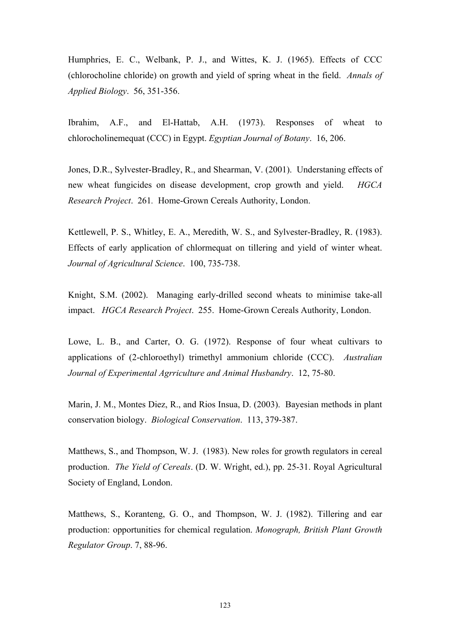Humphries, E. C., Welbank, P. J., and Wittes, K. J. (1965). Effects of CCC (chlorocholine chloride) on growth and yield of spring wheat in the field. *Annals of Applied Biology*. 56, 351-356.

Ibrahim, A.F., and El-Hattab, A.H. (1973). Responses of wheat to chlorocholinemequat (CCC) in Egypt. *Egyptian Journal of Botany*. 16, 206.

Jones, D.R., Sylvester-Bradley, R., and Shearman, V. (2001). Understaning effects of new wheat fungicides on disease development, crop growth and yield. *HGCA Research Project*. 261*.* Home-Grown Cereals Authority, London.

Kettlewell, P. S., Whitley, E. A., Meredith, W. S., and Sylvester-Bradley, R. (1983). Effects of early application of chlormequat on tillering and yield of winter wheat. *Journal of Agricultural Science*. 100, 735-738.

Knight, S.M. (2002). Managing early-drilled second wheats to minimise take-all impact. *HGCA Research Project*. 255. Home-Grown Cereals Authority, London.

Lowe, L. B., and Carter, O. G. (1972). Response of four wheat cultivars to applications of (2-chloroethyl) trimethyl ammonium chloride (CCC). *Australian Journal of Experimental Agrriculture and Animal Husbandry*. 12, 75-80.

Marin, J. M., Montes Diez, R., and Rios Insua, D. (2003). Bayesian methods in plant conservation biology. *Biological Conservation*. 113, 379-387.

Matthews, S., and Thompson, W. J. (1983). New roles for growth regulators in cereal production. *The Yield of Cereals*. (D. W. Wright, ed.), pp. 25-31. Royal Agricultural Society of England, London.

Matthews, S., Koranteng, G. O., and Thompson, W. J. (1982). Tillering and ear production: opportunities for chemical regulation. *Monograph, British Plant Growth Regulator Group*. 7, 88-96.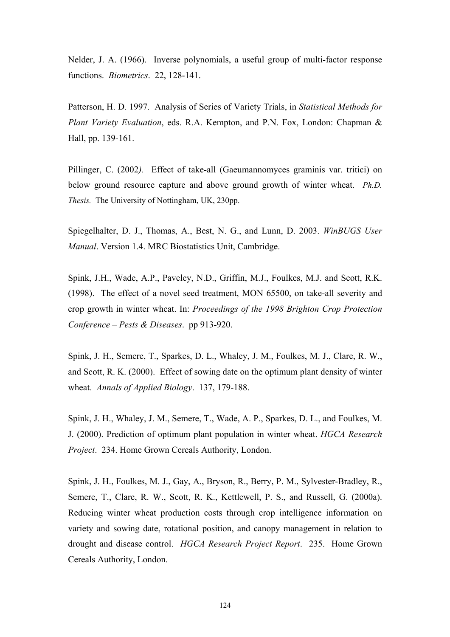Nelder, J. A. (1966). Inverse polynomials, a useful group of multi-factor response functions. *Biometrics*. 22, 128-141.

Patterson, H. D. 1997. Analysis of Series of Variety Trials, in *Statistical Methods for Plant Variety Evaluation*, eds. R.A. Kempton, and P.N. Fox, London: Chapman & Hall, pp. 139-161.

Pillinger, C. (2002*).* Effect of take-all (Gaeumannomyces graminis var. tritici) on below ground resource capture and above ground growth of winter wheat. *Ph.D. Thesis.* The University of Nottingham, UK, 230pp.

Spiegelhalter, D. J., Thomas, A., Best, N. G., and Lunn, D. 2003. *WinBUGS User Manual*. Version 1.4. MRC Biostatistics Unit, Cambridge.

Spink, J.H., Wade, A.P., Paveley, N.D., Griffin, M.J., Foulkes, M.J. and Scott, R.K. (1998). The effect of a novel seed treatment, MON 65500, on take-all severity and crop growth in winter wheat. In: *Proceedings of the 1998 Brighton Crop Protection Conference – Pests & Diseases*. pp 913-920.

Spink, J. H., Semere, T., Sparkes, D. L., Whaley, J. M., Foulkes, M. J., Clare, R. W., and Scott, R. K. (2000). Effect of sowing date on the optimum plant density of winter wheat. *Annals of Applied Biology*. 137, 179-188.

Spink, J. H., Whaley, J. M., Semere, T., Wade, A. P., Sparkes, D. L., and Foulkes, M. J. (2000). Prediction of optimum plant population in winter wheat. *HGCA Research Project*. 234. Home Grown Cereals Authority, London.

Spink, J. H., Foulkes, M. J., Gay, A., Bryson, R., Berry, P. M., Sylvester-Bradley, R., Semere, T., Clare, R. W., Scott, R. K., Kettlewell, P. S., and Russell, G. (2000a). Reducing winter wheat production costs through crop intelligence information on variety and sowing date, rotational position, and canopy management in relation to drought and disease control. *HGCA Research Project Report*. 235. Home Grown Cereals Authority, London.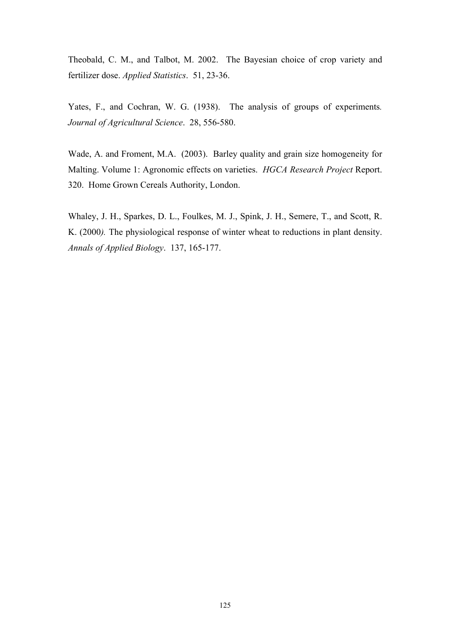Theobald, C. M., and Talbot, M. 2002. The Bayesian choice of crop variety and fertilizer dose. *Applied Statistics*. 51, 23-36.

Yates, F., and Cochran, W. G. (1938). The analysis of groups of experiments*. Journal of Agricultural Science*. 28, 556-580.

Wade, A. and Froment, M.A. (2003). Barley quality and grain size homogeneity for Malting. Volume 1: Agronomic effects on varieties. *HGCA Research Project* Report. 320. Home Grown Cereals Authority, London.

Whaley, J. H., Sparkes, D. L., Foulkes, M. J., Spink, J. H., Semere, T., and Scott, R. K. (2000*).* The physiological response of winter wheat to reductions in plant density. *Annals of Applied Biology*. 137, 165-177.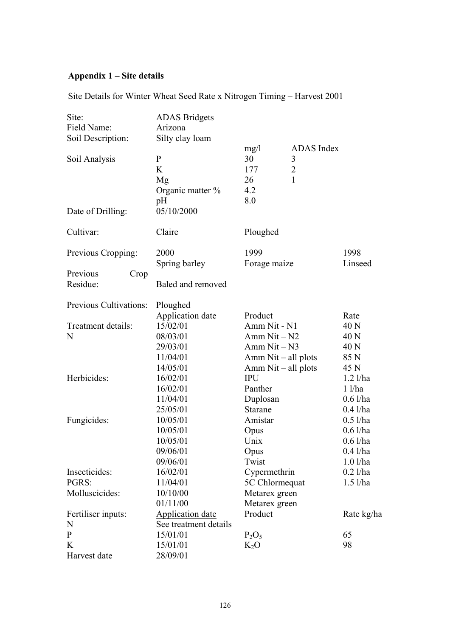# **Appendix 1 – Site details**

Site Details for Winter Wheat Seed Rate x Nitrogen Timing – Harvest 2001

| Site:                  | <b>ADAS</b> Bridgets    |                       |                |            |
|------------------------|-------------------------|-----------------------|----------------|------------|
| Field Name:            | Arizona                 |                       |                |            |
| Soil Description:      | Silty clay loam         |                       |                |            |
|                        |                         | mg/1                  | ADAS Index     |            |
| Soil Analysis          | $\mathbf{P}$            | 30                    | 3              |            |
|                        | K                       | 177                   | $\overline{2}$ |            |
|                        | Mg                      | 26                    | $\mathbf{1}$   |            |
|                        | Organic matter %        | 4.2                   |                |            |
|                        | pH                      | 8.0                   |                |            |
| Date of Drilling:      | 05/10/2000              |                       |                |            |
| Cultivar:              | Claire                  | Ploughed              |                |            |
| Previous Cropping:     | 2000                    | 1999                  |                | 1998       |
|                        | Spring barley           | Forage maize          |                | Linseed    |
| Previous<br>Crop       |                         |                       |                |            |
| Residue:               | Baled and removed       |                       |                |            |
| Previous Cultivations: | Ploughed                |                       |                |            |
|                        | <b>Application date</b> | Product               |                | Rate       |
| Treatment details:     | 15/02/01                | Amm Nit - N1          |                | 40 N       |
| N                      | 08/03/01                | Amm $Nit - N2$        |                | 40 N       |
|                        | 29/03/01                | Amm $Nit - N3$        |                | 40 N       |
|                        | 11/04/01                | Amm $Nit - all plots$ |                | 85 N       |
|                        | 14/05/01                | $Amm$ Nit – all plots |                | 45 N       |
| Herbicides:            | 16/02/01                | <b>IPU</b>            |                | $1.2$ l/ha |
|                        | 16/02/01                | Panther               |                | $1$ $1/ha$ |
|                        | 11/04/01                | Duplosan              |                | $0.6$ l/ha |
|                        | 25/05/01                | <b>Starane</b>        |                | $0.4$ l/ha |
| Fungicides:            | 10/05/01                | Amistar               |                | $0.5$ l/ha |
|                        | 10/05/01                | Opus                  |                | $0.6$ l/ha |
|                        | 10/05/01                | Unix                  |                | $0.6$ l/ha |
|                        | 09/06/01                | Opus                  |                | $0.4$ l/ha |
|                        | 09/06/01                | Twist                 |                | $1.0$ l/ha |
| Insecticides:          | 16/02/01                | Cypermethrin          |                | $0.2$ l/ha |
| PGRS:                  | 11/04/01                | 5C Chlormequat        |                | $1.5$ l/ha |
| Molluscicides:         | 10/10/00                | Metarex green         |                |            |
|                        | 01/11/00                | Metarex green         |                |            |
| Fertiliser inputs:     | <b>Application date</b> | Product               |                | Rate kg/ha |
| N                      | See treatment details   |                       |                |            |
| $\mathbf{P}$           | 15/01/01                | $P_2O_5$              |                | 65         |
| K                      | 15/01/01                | $K_2O$                |                | 98         |
| Harvest date           | 28/09/01                |                       |                |            |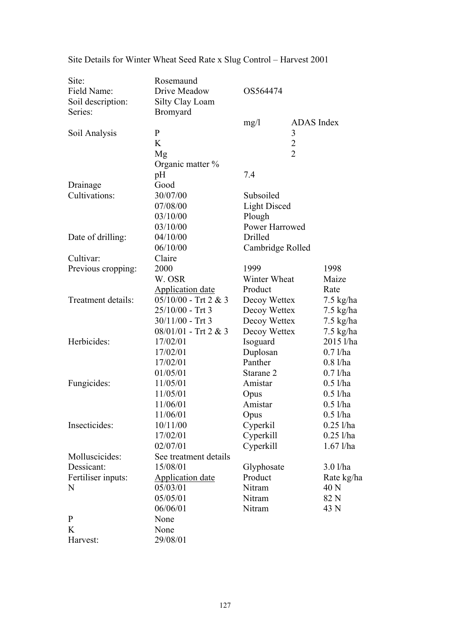| Site:              | Rosemaund               |                     |                |                     |
|--------------------|-------------------------|---------------------|----------------|---------------------|
| Field Name:        | Drive Meadow            | OS564474            |                |                     |
| Soil description:  | Silty Clay Loam         |                     |                |                     |
| Series:            | Bromyard                |                     |                |                     |
|                    |                         | mg/l                | ADAS Index     |                     |
| Soil Analysis      | $\mathbf{P}$            | 3                   |                |                     |
|                    | K                       |                     | $\overline{2}$ |                     |
|                    | Mg                      |                     | $\overline{2}$ |                     |
|                    | Organic matter %        |                     |                |                     |
|                    | pH                      | 7.4                 |                |                     |
| Drainage           | Good                    |                     |                |                     |
| Cultivations:      | 30/07/00                | Subsoiled           |                |                     |
|                    | 07/08/00                | <b>Light Disced</b> |                |                     |
|                    | 03/10/00                | Plough              |                |                     |
|                    | 03/10/00                | Power Harrowed      |                |                     |
| Date of drilling:  | 04/10/00                | Drilled             |                |                     |
|                    | 06/10/00                | Cambridge Rolled    |                |                     |
| Cultivar:          | Claire                  |                     |                |                     |
| Previous cropping: | 2000                    | 1999                |                | 1998                |
|                    | W. OSR                  | Winter Wheat        |                | Maize               |
|                    | <b>Application date</b> | Product             |                | Rate                |
| Treatment details: | $05/10/00$ - Trt 2 & 3  | Decoy Wettex        |                | $7.5 \text{ kg/ha}$ |
|                    | $25/10/00$ - Trt 3      | Decoy Wettex        |                | $7.5 \text{ kg/ha}$ |
|                    | $30/11/00$ - Trt 3      | Decoy Wettex        |                | $7.5 \text{ kg/ha}$ |
|                    | 08/01/01 - Trt 2 & 3    | Decoy Wettex        |                | $7.5 \text{ kg/ha}$ |
| Herbicides:        | 17/02/01                | Isoguard            |                | 2015 l/ha           |
|                    | 17/02/01                | Duplosan            |                | $0.7$ l/ha          |
|                    | 17/02/01                | Panther             |                | $0.8$ l/ha          |
|                    | 01/05/01                | Starane 2           |                | $0.7$ l/ha          |
| Fungicides:        | 11/05/01                | Amistar             |                | $0.5$ l/ha          |
|                    | 11/05/01                | Opus                |                | $0.5$ l/ha          |
|                    | 11/06/01                | Amistar             |                | $0.5$ l/ha          |
|                    | 11/06/01                | Opus                |                | $0.5$ l/ha          |
| Insecticides:      | 10/11/00                | Cyperkil            |                | $0.25$ l/ha         |
|                    | 17/02/01                | Cyperkill           |                | $0.25$ l/ha         |
|                    | 02/07/01                | Cyperkill           |                | $1.67$ l/ha         |
| Molluscicides:     | See treatment details   |                     |                |                     |
| Dessicant:         | 15/08/01                | Glyphosate          |                | 3.01/ha             |
| Fertiliser inputs: | <b>Application date</b> | Product             |                | Rate kg/ha          |
| N                  | 05/03/01                | Nitram<br>40 N      |                |                     |
|                    | 05/05/01                | Nitram              |                | 82 N                |
|                    | 06/06/01                | Nitram              |                | 43 N                |
| $\mathbf{P}$       | None                    |                     |                |                     |
| K                  | None                    |                     |                |                     |
| Harvest:           | 29/08/01                |                     |                |                     |

Site Details for Winter Wheat Seed Rate x Slug Control – Harvest 2001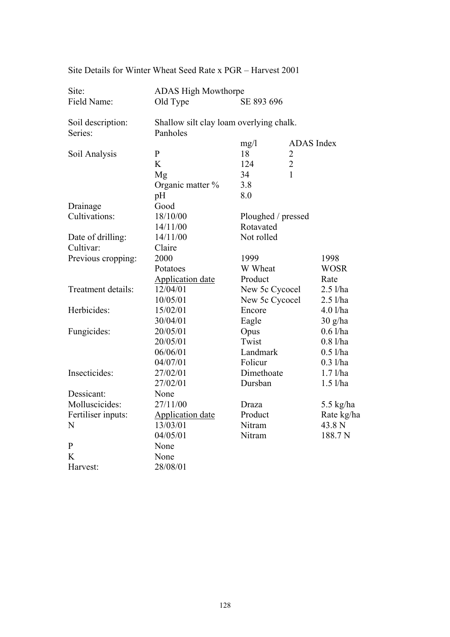| Site:              | <b>ADAS High Mowthorpe</b>              |                    |                   |  |  |
|--------------------|-----------------------------------------|--------------------|-------------------|--|--|
| Field Name:        | Old Type                                | SE 893 696         |                   |  |  |
| Soil description:  | Shallow silt clay loam overlying chalk. |                    |                   |  |  |
| Series:            | Panholes                                |                    |                   |  |  |
|                    |                                         | mg/1               | <b>ADAS</b> Index |  |  |
| Soil Analysis      | $\mathbf{P}$                            | 18                 | 2                 |  |  |
|                    | K                                       | 124                | $\overline{2}$    |  |  |
|                    | Mg                                      | $\mathbf{1}$<br>34 |                   |  |  |
|                    | Organic matter %                        | 3.8                |                   |  |  |
|                    | pH                                      | 8.0                |                   |  |  |
| Drainage           | Good                                    |                    |                   |  |  |
| Cultivations:      | 18/10/00                                | Ploughed / pressed |                   |  |  |
|                    | 14/11/00                                | Rotavated          |                   |  |  |
| Date of drilling:  | 14/11/00                                | Not rolled         |                   |  |  |
| Cultivar:          | Claire                                  |                    |                   |  |  |
| Previous cropping: | 2000                                    | 1999               | 1998              |  |  |
|                    | Potatoes                                | W Wheat            | <b>WOSR</b>       |  |  |
|                    | <b>Application date</b>                 | Product            | Rate              |  |  |
| Treatment details: | 12/04/01                                | New 5c Cycocel     | $2.5$ l/ha        |  |  |
|                    | 10/05/01                                | New 5c Cycocel     | $2.5$ l/ha        |  |  |
| Herbicides:        | 15/02/01                                | Encore             | $4.0$ l/ha        |  |  |
|                    | 30/04/01                                | Eagle              | 30 g/ha           |  |  |
| Fungicides:        | 20/05/01                                | Opus               | $0.6$ l/ha        |  |  |
|                    | 20/05/01                                | Twist              | $0.8$ l/ha        |  |  |
|                    | 06/06/01                                | Landmark           | $0.5$ l/ha        |  |  |
|                    | 04/07/01                                | Folicur            | $0.3$ l/ha        |  |  |
| Insecticides:      | 27/02/01                                | Dimethoate         | $1.7$ l/ha        |  |  |
|                    | 27/02/01                                | Dursban            | $1.5$ l/ha        |  |  |
| Dessicant:         | None                                    |                    |                   |  |  |
| Molluscicides:     | 27/11/00                                | Draza              | $5.5$ kg/ha       |  |  |
| Fertiliser inputs: | <b>Application date</b>                 | Product            | Rate kg/ha        |  |  |
| N                  | 13/03/01                                | Nitram             | 43.8 N            |  |  |
|                    | 04/05/01                                | Nitram             | 188.7N            |  |  |
| $\mathbf{P}$       | None                                    |                    |                   |  |  |
| K                  | None                                    |                    |                   |  |  |
| Harvest:           | 28/08/01                                |                    |                   |  |  |

Site Details for Winter Wheat Seed Rate x PGR – Harvest 2001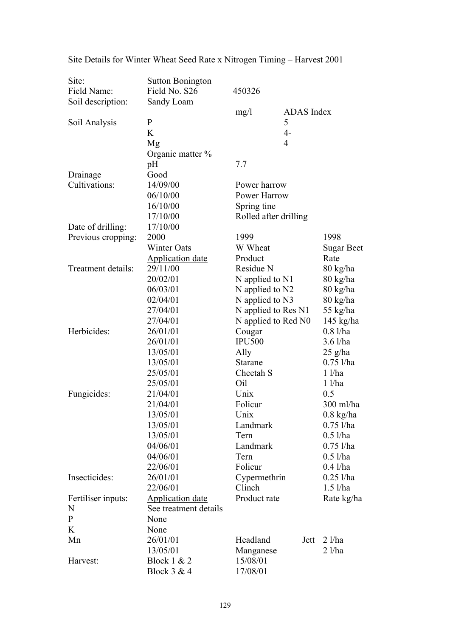| Site:              | <b>Sutton Bonington</b> |                       |                     |                      |
|--------------------|-------------------------|-----------------------|---------------------|----------------------|
| Field Name:        | Field No. S26           | 450326                |                     |                      |
| Soil description:  | Sandy Loam              |                       |                     |                      |
|                    |                         | mg/1                  | ADAS Index          |                      |
| Soil Analysis      | $\mathbf{P}$            |                       | 5                   |                      |
|                    | K                       |                       | $4-$                |                      |
|                    | Mg                      |                       | $\overline{4}$      |                      |
|                    | Organic matter $\%$     |                       |                     |                      |
|                    | pH                      | 7.7                   |                     |                      |
| Drainage           | Good                    |                       |                     |                      |
| Cultivations:      | 14/09/00                | Power harrow          |                     |                      |
|                    | 06/10/00                | Power Harrow          |                     |                      |
|                    | 16/10/00                | Spring tine           |                     |                      |
|                    | 17/10/00                | Rolled after drilling |                     |                      |
|                    | 17/10/00                |                       |                     |                      |
| Date of drilling:  | 2000                    | 1999                  |                     | 1998                 |
| Previous cropping: |                         |                       |                     |                      |
|                    | Winter Oats             | W Wheat               |                     | <b>Sugar Beet</b>    |
|                    | <b>Application date</b> | Product               |                     | Rate                 |
| Treatment details: | 29/11/00                | Residue N             |                     | 80 kg/ha             |
|                    | 20/02/01                | N applied to N1       |                     | 80 kg/ha<br>80 kg/ha |
|                    | 06/03/01                |                       | N applied to N2     |                      |
|                    | 02/04/01                | N applied to N3       |                     | 80 kg/ha<br>55 kg/ha |
|                    | 27/04/01                |                       | N applied to Res N1 |                      |
|                    | 27/04/01                | N applied to Red N0   |                     | $145$ kg/ha          |
| Herbicides:        | 26/01/01                | Cougar                |                     | 0.81/ha              |
|                    | 26/01/01                | <b>IPU500</b>         |                     | $3.6$ l/ha           |
|                    | 13/05/01                | Ally                  |                     | $25$ g/ha            |
|                    | 13/05/01                | Starane               |                     | $0.75$ l/ha          |
|                    | 25/05/01                | Cheetah S             |                     | $1$ $1/ha$           |
|                    | 25/05/01                | Oil                   |                     | $1$ $1/ha$           |
| Fungicides:        | 21/04/01                | Unix                  |                     | 0.5                  |
|                    | 21/04/01                | Folicur               |                     | 300 ml/ha            |
|                    | 13/05/01                | Unix                  |                     | $0.8$ kg/ha          |
|                    | 13/05/01                | Landmark              |                     | $0.75$ l/ha          |
|                    | 13/05/01                | Tern                  |                     | $0.5$ l/ha           |
|                    | 04/06/01                | Landmark              |                     | $0.75$ l/ha          |
|                    | 04/06/01                | Tern                  |                     | $0.5$ l/ha           |
|                    | 22/06/01                | Folicur               |                     | $0.4$ l/ha           |
| Insecticides:      | 26/01/01                | Cypermethrin          |                     | $0.25$ l/ha          |
|                    | 22/06/01                | Clinch                |                     | $1.5$ l/ha           |
| Fertiliser inputs: | Application date        | Product rate          |                     | Rate kg/ha           |
| N                  | See treatment details   |                       |                     |                      |
| $\mathbf{P}$       | None                    |                       |                     |                      |
| K                  | None                    |                       |                     |                      |
| Mn                 | 26/01/01                | Headland              | Jett                | $2$ l/ha             |
|                    | 13/05/01                | Manganese             |                     | $2$ l/ha             |
| Harvest:           | Block 1 & 2             | 15/08/01              |                     |                      |
|                    | Block 3 & 4             | 17/08/01              |                     |                      |
|                    |                         |                       |                     |                      |

Site Details for Winter Wheat Seed Rate x Nitrogen Timing – Harvest 2001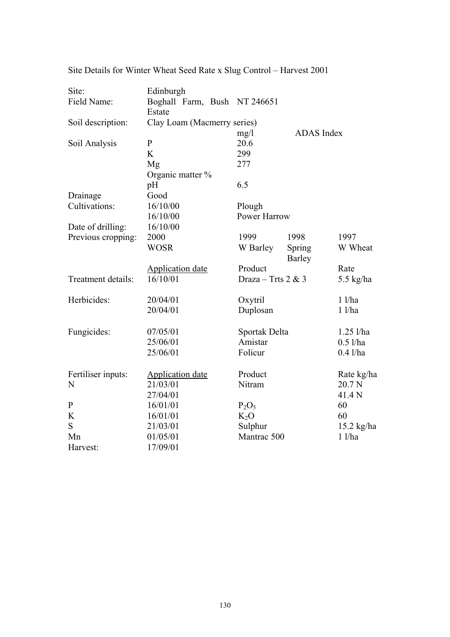| Site:              | Edinburgh                              |                    |                   |              |
|--------------------|----------------------------------------|--------------------|-------------------|--------------|
| Field Name:        | Boghall Farm, Bush NT 246651<br>Estate |                    |                   |              |
| Soil description:  | Clay Loam (Macmerry series)            |                    |                   |              |
|                    |                                        | mg/1               | <b>ADAS</b> Index |              |
| Soil Analysis      | $\mathbf{P}$                           | 20.6               |                   |              |
|                    | K                                      | 299                |                   |              |
|                    | Mg                                     | 277                |                   |              |
|                    | Organic matter %                       |                    |                   |              |
|                    | pH                                     | 6.5                |                   |              |
| Drainage           | Good                                   |                    |                   |              |
| Cultivations:      | 16/10/00                               | Plough             |                   |              |
|                    | 16/10/00                               | Power Harrow       |                   |              |
| Date of drilling:  | 16/10/00                               |                    |                   |              |
| Previous cropping: | 2000                                   | 1999               | 1998              | 1997         |
|                    | <b>WOSR</b>                            | W Barley           | Spring<br>Barley  | W Wheat      |
|                    | <b>Application date</b>                | Product            |                   | Rate         |
| Treatment details: | 16/10/01                               | Draza – Trts 2 & 3 |                   | $5.5$ kg/ha  |
| Herbicides:        | 20/04/01                               | Oxytril            |                   | $1$ $1/ha$   |
|                    | 20/04/01                               | Duplosan           |                   | $1$ $1/ha$   |
| Fungicides:        | 07/05/01                               | Sportak Delta      |                   | $1.25$ l/ha  |
|                    | 25/06/01                               | Amistar            |                   | $0.5$ l/ha   |
|                    | 25/06/01                               | Folicur            |                   | $0.4$ l/ha   |
| Fertiliser inputs: | <b>Application date</b>                | Product            |                   | Rate kg/ha   |
| N                  | 21/03/01                               | Nitram             |                   | 20.7 N       |
|                    | 27/04/01                               |                    |                   | 41.4 N       |
| $\mathbf P$        | 16/01/01                               | $P_2O_5$           |                   | 60           |
| K                  | 16/01/01                               | $K_2O$             |                   | 60           |
| S                  | 21/03/01                               | Sulphur            |                   | $15.2$ kg/ha |
| Mn                 | 01/05/01                               | Mantrac 500        |                   | $1$ $1/ha$   |
| Harvest:           | 17/09/01                               |                    |                   |              |

Site Details for Winter Wheat Seed Rate x Slug Control – Harvest 2001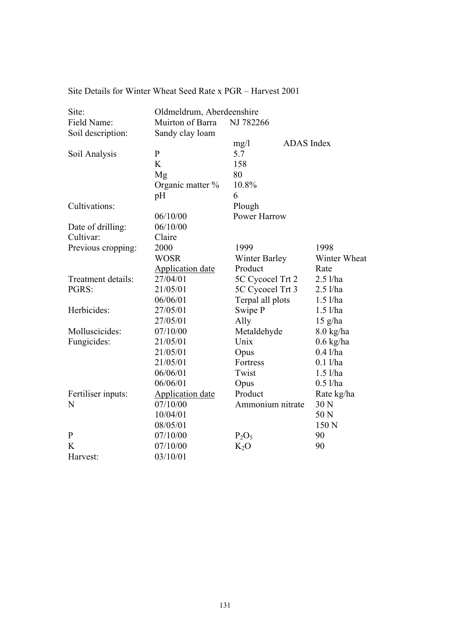|  |  |  |  |  |  | Site Details for Winter Wheat Seed Rate x PGR – Harvest 2001 |
|--|--|--|--|--|--|--------------------------------------------------------------|
|--|--|--|--|--|--|--------------------------------------------------------------|

| Site:              | Oldmeldrum, Aberdeenshire |                      |                     |
|--------------------|---------------------------|----------------------|---------------------|
| Field Name:        | Muirton of Barra          | NJ 782266            |                     |
| Soil description:  | Sandy clay loam           |                      |                     |
|                    |                           | ADAS Index<br>mg/1   |                     |
| Soil Analysis      | $\mathbf{P}$              | 5.7                  |                     |
|                    | K                         | 158                  |                     |
|                    | Mg                        | 80                   |                     |
|                    | Organic matter %          | 10.8%                |                     |
|                    | pH                        | 6                    |                     |
| Cultivations:      |                           | Plough               |                     |
|                    | 06/10/00                  | Power Harrow         |                     |
| Date of drilling:  | 06/10/00                  |                      |                     |
| Cultivar:          | Claire                    |                      |                     |
| Previous cropping: | 2000                      | 1999                 | 1998                |
|                    | <b>WOSR</b>               | <b>Winter Barley</b> | Winter Wheat        |
|                    | <b>Application date</b>   | Product              | Rate                |
| Treatment details: | 27/04/01                  | 5C Cycocel Trt 2     | $2.5$ l/ha          |
| PGRS:              | 21/05/01                  | 5C Cycocel Trt 3     | $2.5$ l/ha          |
|                    | 06/06/01                  | Terpal all plots     | $1.5$ l/ha          |
| Herbicides:        | 27/05/01                  | Swipe P              | $1.5$ l/ha          |
|                    | 27/05/01                  | Ally                 | $15$ g/ha           |
| Molluscicides:     | 07/10/00                  | Metaldehyde          | $8.0 \text{ kg/ha}$ |
| Fungicides:        | 21/05/01                  | Unix                 | $0.6$ kg/ha         |
|                    | 21/05/01                  | Opus                 | $0.4$ l/ha          |
|                    | 21/05/01                  | Fortress             | $0.1$ l/ha          |
|                    | 06/06/01                  | Twist                | $1.5$ l/ha          |
|                    | 06/06/01                  | Opus                 | $0.5$ l/ha          |
| Fertiliser inputs: | <b>Application date</b>   | Product              | Rate kg/ha          |
| N                  | 07/10/00                  | Ammonium nitrate     | 30 N                |
|                    | 10/04/01                  |                      | 50 N                |
|                    | 08/05/01                  |                      | 150 N               |
| $\mathbf{P}$       | 07/10/00                  | $P_2O_5$             | 90                  |
| K                  | 07/10/00                  | $K_2O$               | 90                  |
| Harvest:           | 03/10/01                  |                      |                     |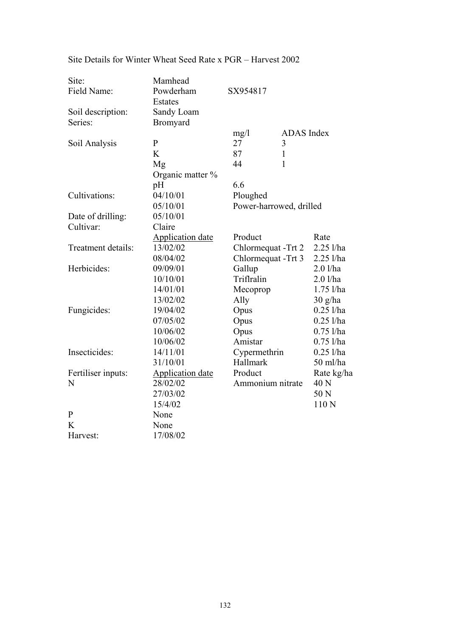| Site:              | Mamhead                 |                         |                   |             |
|--------------------|-------------------------|-------------------------|-------------------|-------------|
| Field Name:        | Powderham               | SX954817                |                   |             |
|                    | Estates                 |                         |                   |             |
| Soil description:  | Sandy Loam              |                         |                   |             |
| Series:            | <b>Bromyard</b>         |                         |                   |             |
|                    |                         | mg/1                    | <b>ADAS</b> Index |             |
| Soil Analysis      | $\mathbf{P}$            | 27                      | 3                 |             |
|                    | K                       | 87                      | $\mathbf{1}$      |             |
|                    | Mg                      | 44                      | 1                 |             |
|                    | Organic matter $\%$     |                         |                   |             |
|                    | pH                      | 6.6                     |                   |             |
| Cultivations:      | 04/10/01                | Ploughed                |                   |             |
|                    | 05/10/01                | Power-harrowed, drilled |                   |             |
| Date of drilling:  | 05/10/01                |                         |                   |             |
| Cultivar:          | Claire                  |                         |                   |             |
|                    | <b>Application date</b> | Product                 |                   | Rate        |
| Treatment details: | 13/02/02                | Chlormequat - Trt 2     |                   | $2.25$ l/ha |
|                    | 08/04/02                | Chlormequat -Trt 3      |                   | 2.25 l/ha   |
| Herbicides:        | 09/09/01                | Gallup                  |                   | $2.0$ l/ha  |
|                    | 10/10/01                | Triflralin              |                   | $2.0$ l/ha  |
|                    | 14/01/01                | Mecoprop                |                   | $1.75$ l/ha |
|                    | 13/02/02                | Ally                    |                   | 30 g/ha     |
| Fungicides:        | 19/04/02                | Opus                    |                   | $0.25$ l/ha |
|                    | 07/05/02                | Opus                    |                   | $0.25$ l/ha |
|                    | 10/06/02                | Opus                    |                   | $0.75$ l/ha |
|                    | 10/06/02                | Amistar                 |                   | $0.75$ l/ha |
| Insecticides:      | 14/11/01                | Cypermethrin            |                   | $0.25$ l/ha |
|                    | 31/10/01                | Hallmark                |                   | 50 ml/ha    |
| Fertiliser inputs: | <b>Application date</b> | Product                 |                   | Rate kg/ha  |
| N                  | 28/02/02                | Ammonium nitrate        |                   | 40 N        |
|                    | 27/03/02                |                         |                   | 50 N        |
|                    | 15/4/02                 |                         |                   | 110 N       |
| $\mathbf{P}$       | None                    |                         |                   |             |
| K                  | None                    |                         |                   |             |
| Harvest:           | 17/08/02                |                         |                   |             |

# Site Details for Winter Wheat Seed Rate x PGR – Harvest 2002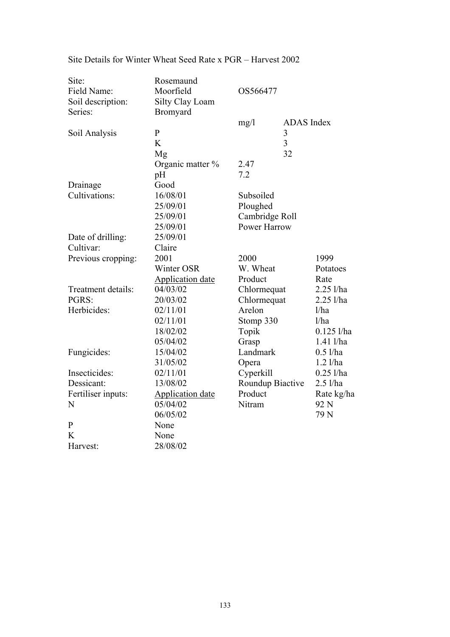| Site:              | Rosemaund               |                     |                   |               |
|--------------------|-------------------------|---------------------|-------------------|---------------|
| Field Name:        | Moorfield               | OS566477            |                   |               |
| Soil description:  | Silty Clay Loam         |                     |                   |               |
| Series:            | Bromyard                |                     |                   |               |
|                    |                         | mg/1                | <b>ADAS</b> Index |               |
| Soil Analysis      | $\mathbf{P}$            |                     | 3                 |               |
|                    | K                       |                     | 3                 |               |
|                    | Mg                      |                     | 32                |               |
|                    | Organic matter %        | 2.47                |                   |               |
|                    | pH                      | 7.2                 |                   |               |
| Drainage           | Good                    |                     |                   |               |
| Cultivations:      | 16/08/01                | Subsoiled           |                   |               |
|                    | 25/09/01                | Ploughed            |                   |               |
|                    | 25/09/01                | Cambridge Roll      |                   |               |
|                    | 25/09/01                | <b>Power Harrow</b> |                   |               |
| Date of drilling:  | 25/09/01                |                     |                   |               |
| Cultivar:          | Claire                  |                     |                   |               |
| Previous cropping: | 2001                    | 2000                |                   | 1999          |
|                    | Winter OSR              | W. Wheat            |                   | Potatoes      |
|                    | <b>Application date</b> | Product             |                   | Rate          |
| Treatment details: | 04/03/02                | Chlormequat         |                   | $2.25$ l/ha   |
| PGRS:              | 20/03/02                | Chlormequat         |                   | $2.25$ l/ha   |
| Herbicides:        | 02/11/01                | Arelon              |                   | 1/ha          |
|                    | 02/11/01                | Stomp 330           |                   | 1/ha          |
|                    | 18/02/02                | Topik               |                   | $0.125$ l/ha  |
|                    | 05/04/02                | Grasp               |                   | $1.41$ $1/ha$ |
| Fungicides:        | 15/04/02                | Landmark            |                   | $0.5$ l/ha    |
|                    | 31/05/02                | Opera               |                   | $1.2$ l/ha    |
| Insecticides:      | 02/11/01                | Cyperkill           |                   | $0.25$ l/ha   |
| Dessicant:         | 13/08/02                | Roundup Biactive    |                   | $2.5$ l/ha    |
| Fertiliser inputs: | <b>Application date</b> | Product             |                   | Rate kg/ha    |
| N                  | 05/04/02                | Nitram              |                   | 92 N          |
|                    | 06/05/02                |                     |                   | 79 N          |
| $\mathbf{P}$       | None                    |                     |                   |               |
| K                  | None                    |                     |                   |               |
| Harvest:           | 28/08/02                |                     |                   |               |

## Site Details for Winter Wheat Seed Rate x PGR – Harvest 2002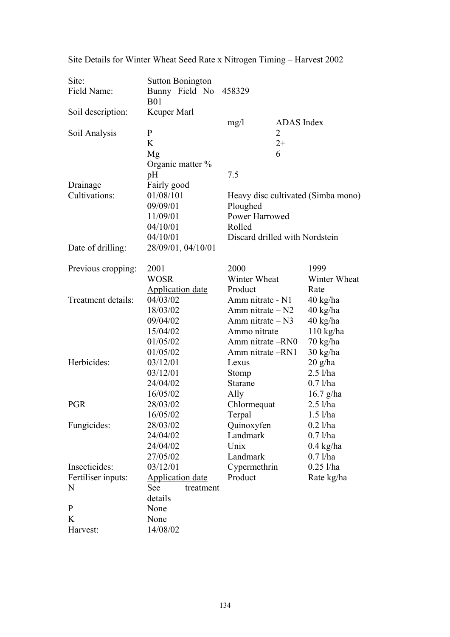| Site:              | <b>Sutton Bonington</b>             |                                |                   |                                    |
|--------------------|-------------------------------------|--------------------------------|-------------------|------------------------------------|
| Field Name:        | Bunny Field No                      | 458329                         |                   |                                    |
|                    | <b>B01</b>                          |                                |                   |                                    |
| Soil description:  | Keuper Marl                         |                                |                   |                                    |
|                    |                                     | mg/1                           | <b>ADAS</b> Index |                                    |
| Soil Analysis      | $\mathbf{P}$                        |                                | 2                 |                                    |
|                    | K                                   |                                | $2+$              |                                    |
|                    | Mg                                  | 6                              |                   |                                    |
|                    | Organic matter $\%$                 |                                |                   |                                    |
|                    | pH                                  | 7.5                            |                   |                                    |
| Drainage           | Fairly good                         |                                |                   |                                    |
| Cultivations:      | 01/08/101                           |                                |                   | Heavy disc cultivated (Simba mono) |
|                    | 09/09/01                            | Ploughed                       |                   |                                    |
|                    | 11/09/01                            | Power Harrowed                 |                   |                                    |
|                    | 04/10/01                            | Rolled                         |                   |                                    |
|                    | 04/10/01                            | Discard drilled with Nordstein |                   |                                    |
| Date of drilling:  | 28/09/01, 04/10/01                  |                                |                   |                                    |
|                    |                                     |                                |                   |                                    |
| Previous cropping: | 2001                                | 2000                           |                   | 1999                               |
|                    | WOSR                                | Winter Wheat                   |                   | Winter Wheat                       |
|                    | <b>Application date</b>             | Product                        |                   | Rate                               |
| Treatment details: | 04/03/02                            | Amm nitrate - N1               |                   | $40 \text{ kg/ha}$                 |
|                    | 18/03/02                            | Amm nitrate $- N2$             |                   | 40 kg/ha                           |
|                    | 09/04/02                            | Amm nitrate $- N3$             |                   | 40 kg/ha                           |
|                    | 15/04/02                            | Ammo nitrate                   |                   | $110$ kg/ha                        |
|                    | 01/05/02                            | Amm nitrate -RN0               |                   | $70 \text{ kg/ha}$                 |
|                    | 01/05/02                            | Amm nitrate -RN1               |                   | 30 kg/ha                           |
| Herbicides:        | 03/12/01                            | Lexus                          |                   | $20$ g/ha                          |
|                    | 03/12/01                            | Stomp                          |                   | $2.5$ l/ha                         |
|                    | 24/04/02                            | Starane                        |                   | $0.7$ l/ha                         |
|                    | 16/05/02                            | Ally                           |                   | $16.7$ g/ha                        |
| <b>PGR</b>         | 28/03/02                            | Chlormequat                    |                   | $2.5$ l/ha                         |
|                    | 16/05/02                            | Terpal                         |                   | $1.5$ l/ha                         |
| Fungicides:        | 28/03/02                            | Quinoxyfen                     |                   | $0.2$ l/ha                         |
|                    | 24/04/02                            | Landmark                       |                   | $0.7$ l/ha                         |
|                    | 24/04/02                            | Unix                           |                   | $0.4 \text{ kg/ha}$                |
|                    | 27/05/02                            | Landmark                       |                   | $0.7$ l/ha                         |
| Insecticides:      | 03/12/01                            | Cypermethrin                   |                   | $0.25$ l/ha                        |
| Fertiliser inputs: | Application date                    | Product                        |                   | Rate kg/ha                         |
| N                  | See<br>treatment                    |                                |                   |                                    |
|                    |                                     |                                |                   |                                    |
|                    |                                     |                                |                   |                                    |
|                    |                                     |                                |                   |                                    |
|                    |                                     |                                |                   |                                    |
| P<br>K<br>Harvest: | details<br>None<br>None<br>14/08/02 |                                |                   |                                    |

Site Details for Winter Wheat Seed Rate x Nitrogen Timing – Harvest 2002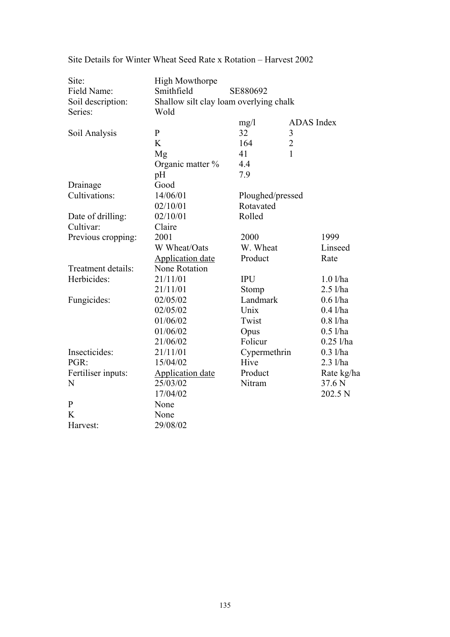| Site:<br>Field Name:<br>Soil description:<br>Series: | <b>High Mowthorpe</b><br>Smithfield<br>Shallow silt clay loam overlying chalk<br>Wold | SE880692                      |                   |
|------------------------------------------------------|---------------------------------------------------------------------------------------|-------------------------------|-------------------|
|                                                      |                                                                                       | mg/l                          | <b>ADAS</b> Index |
| Soil Analysis                                        | $\mathbf{P}$                                                                          | 32                            | 3                 |
|                                                      | K                                                                                     | 164                           | $\overline{2}$    |
|                                                      | Mg                                                                                    | 41                            | 1                 |
|                                                      | Organic matter %                                                                      | 4.4                           |                   |
|                                                      | pH                                                                                    | 7.9                           |                   |
| Drainage                                             | Good                                                                                  |                               |                   |
| Cultivations:                                        | 14/06/01                                                                              |                               |                   |
|                                                      | 02/10/01                                                                              | Ploughed/pressed<br>Rotavated |                   |
|                                                      |                                                                                       |                               |                   |
| Date of drilling:                                    | 02/10/01                                                                              | Rolled                        |                   |
| Cultivar:                                            | Claire                                                                                |                               |                   |
| Previous cropping:                                   | 2001                                                                                  | 2000                          | 1999              |
|                                                      | W Wheat/Oats                                                                          | W. Wheat                      | Linseed           |
|                                                      | <b>Application date</b>                                                               | Product                       | Rate              |
| Treatment details:                                   | None Rotation                                                                         |                               |                   |
| Herbicides:                                          | 21/11/01                                                                              | <b>IPU</b>                    | $1.0$ l/ha        |
|                                                      | 21/11/01                                                                              | Stomp                         | $2.5$ l/ha        |
| Fungicides:                                          | 02/05/02                                                                              | Landmark                      | $0.6$ l/ha        |
|                                                      | 02/05/02                                                                              | Unix                          | $0.4$ l/ha        |
|                                                      | 01/06/02                                                                              | Twist                         | $0.8$ l/ha        |
|                                                      | 01/06/02                                                                              | Opus                          | $0.5$ l/ha        |
|                                                      | 21/06/02                                                                              | Folicur                       | $0.25$ l/ha       |
| Insecticides:                                        | 21/11/01                                                                              | Cypermethrin                  | $0.3$ l/ha        |
| PGR:                                                 | 15/04/02                                                                              | Hive                          | $2.3$ l/ha        |
| Fertiliser inputs:                                   | <b>Application date</b>                                                               | Product                       | Rate kg/ha        |
| N                                                    | 25/03/02                                                                              | Nitram                        | 37.6 N            |
|                                                      | 17/04/02                                                                              |                               | 202.5 N           |
| $\mathbf{P}$                                         | None                                                                                  |                               |                   |
| K                                                    | None                                                                                  |                               |                   |
| Harvest:                                             | 29/08/02                                                                              |                               |                   |

Site Details for Winter Wheat Seed Rate x Rotation – Harvest 2002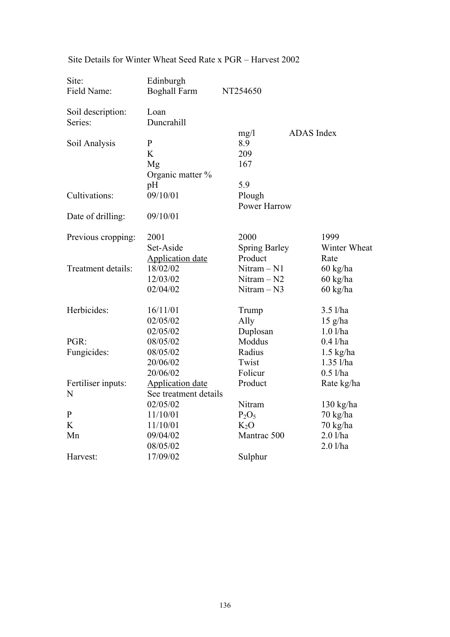| Site:              | Edinburgh               |                      |                     |
|--------------------|-------------------------|----------------------|---------------------|
| Field Name:        | <b>Boghall Farm</b>     | NT254650             |                     |
| Soil description:  | Loan                    |                      |                     |
| Series:            | Duncrahill              |                      |                     |
|                    |                         | mg/1                 | <b>ADAS</b> Index   |
| Soil Analysis      | $\mathbf{P}$            | 8.9                  |                     |
|                    | K                       | 209                  |                     |
|                    | Mg                      | 167                  |                     |
|                    | Organic matter %        |                      |                     |
|                    | pH                      | 5.9                  |                     |
| Cultivations:      | 09/10/01                | Plough               |                     |
|                    |                         | <b>Power Harrow</b>  |                     |
| Date of drilling:  | 09/10/01                |                      |                     |
| Previous cropping: | 2001                    | 2000                 | 1999                |
|                    | Set-Aside               | <b>Spring Barley</b> | Winter Wheat        |
|                    | <b>Application date</b> | Product              | Rate                |
| Treatment details: | 18/02/02                | Nitram - N1          | 60 kg/ha            |
|                    | 12/03/02                | $Nitram - N2$        | 60 kg/ha            |
|                    | 02/04/02                | $Nitram - N3$        | $60 \text{ kg/ha}$  |
| Herbicides:        | 16/11/01                | Trump                | $3.5$ l/ha          |
|                    | 02/05/02                | Ally                 | $15$ g/ha           |
|                    | 02/05/02                | Duplosan             | $1.0$ l/ha          |
| PGR:               | 08/05/02                | Moddus               | $0.4$ l/ha          |
| Fungicides:        | 08/05/02                | Radius               | $1.5$ kg/ha         |
|                    | 20/06/02                | Twist                | $1.35$ l/ha         |
|                    | 20/06/02                | Folicur              | $0.5$ l/ha          |
| Fertiliser inputs: | <b>Application date</b> | Product              | Rate kg/ha          |
| N                  | See treatment details   |                      |                     |
|                    | 02/05/02                | Nitram               | $130 \text{ kg/ha}$ |
| $\mathbf{P}$       | 11/10/01                | $P_2O_5$             | 70 kg/ha            |
| K                  | 11/10/01                | $K_2O$               | 70 kg/ha            |
| Mn                 | 09/04/02                | Mantrac 500          | $2.0$ l/ha          |
|                    | 08/05/02                |                      | 2.01/ha             |
| Harvest:           | 17/09/02                | Sulphur              |                     |

# Site Details for Winter Wheat Seed Rate x PGR – Harvest 2002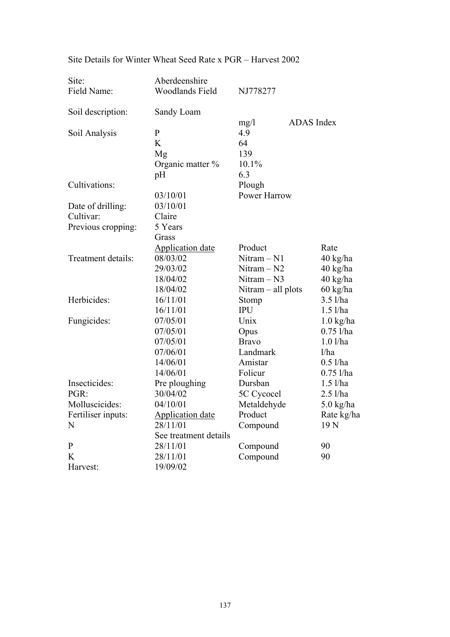| Site:              | Aberdeenshire           |                      |                     |
|--------------------|-------------------------|----------------------|---------------------|
| Field Name:        | <b>Woodlands Field</b>  | NJ778277             |                     |
| Soil description:  | Sandy Loam              |                      |                     |
|                    |                         | mg/1                 | <b>ADAS</b> Index   |
| Soil Analysis      | $\mathbf{P}$            | 4.9                  |                     |
|                    | K                       | 64                   |                     |
|                    | Mg                      | 139                  |                     |
|                    | Organic matter %        | 10.1%                |                     |
|                    | pH                      | 6.3                  |                     |
| Cultivations:      |                         | Plough               |                     |
|                    | 03/10/01                | <b>Power Harrow</b>  |                     |
| Date of drilling:  | 03/10/01                |                      |                     |
| Cultivar:          | Claire                  |                      |                     |
| Previous cropping: | 5 Years                 |                      |                     |
|                    | Grass                   |                      |                     |
|                    | <b>Application date</b> | Product              | Rate                |
| Treatment details: | 08/03/02                | $Nitram - N1$        | 40 kg/ha            |
|                    | 29/03/02                | $Nitram - N2$        | 40 kg/ha            |
|                    | 18/04/02                | $Nitram - N3$        | 40 kg/ha            |
|                    | 18/04/02                | Nitram $-$ all plots | 60 kg/ha            |
| Herbicides:        | 16/11/01                | Stomp                | $3.5$ l/ha          |
|                    | 16/11/01                | <b>IPU</b>           | $1.5$ l/ha          |
| Fungicides:        | 07/05/01                | Unix                 | $1.0 \text{ kg/ha}$ |
|                    | 07/05/01                | Opus                 | $0.75$ l/ha         |
|                    | 07/05/01                | <b>Bravo</b>         | $1.0$ l/ha          |
|                    | 07/06/01                | Landmark             | 1/ha                |
|                    | 14/06/01                | Amistar              | $0.5$ l/ha          |
|                    | 14/06/01                | Folicur              | $0.75$ l/ha         |
| Insecticides:      | Pre ploughing           | Dursban              | $1.5$ l/ha          |
| PGR:               | 30/04/02                | 5C Cycocel           | $2.5$ l/ha          |
| Molluscicides:     | 04/10/01                | Metaldehyde          | $5.0$ kg/ha         |
| Fertiliser inputs: | <b>Application date</b> | Product              | Rate kg/ha          |
| N                  | 28/11/01                | Compound             | 19 <sub>N</sub>     |
|                    | See treatment details   |                      |                     |
| $\mathbf{P}$       | 28/11/01                | Compound             | 90                  |
| K                  | 28/11/01                | Compound             | 90                  |
| Harvest:           | 19/09/02                |                      |                     |

## Site Details for Winter Wheat Seed Rate x PGR – Harvest 2002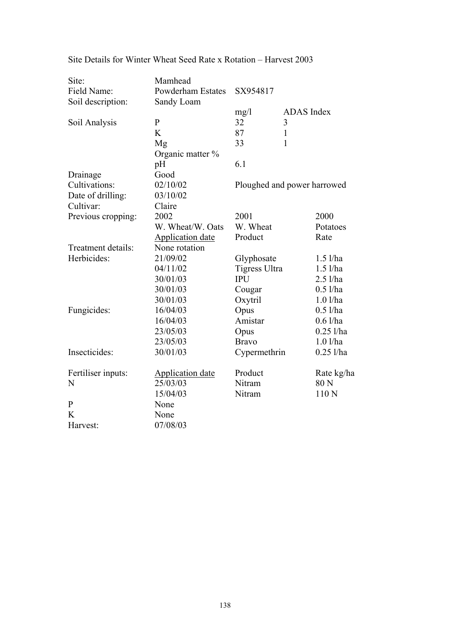| Site:              | Mamhead                  |               |                             |
|--------------------|--------------------------|---------------|-----------------------------|
| Field Name:        | <b>Powderham Estates</b> | SX954817      |                             |
| Soil description:  | Sandy Loam               |               |                             |
|                    |                          | mg/l          | <b>ADAS</b> Index           |
| Soil Analysis      | $\mathbf{P}$             | 32            | 3                           |
|                    | K                        | 87            | $\mathbf{1}$                |
|                    | Mg                       | 33            | 1                           |
|                    | Organic matter %         |               |                             |
|                    | pH                       | 6.1           |                             |
| Drainage           | Good                     |               |                             |
| Cultivations:      | 02/10/02                 |               | Ploughed and power harrowed |
| Date of drilling:  | 03/10/02                 |               |                             |
| Cultivar:          | Claire                   |               |                             |
| Previous cropping: | 2002                     | 2001          | 2000                        |
|                    | W. Wheat/W. Oats         | W. Wheat      | Potatoes                    |
|                    | <b>Application date</b>  | Product       | Rate                        |
| Treatment details: | None rotation            |               |                             |
| Herbicides:        | 21/09/02                 | Glyphosate    | $1.5$ l/ha                  |
|                    | 04/11/02                 | Tigress Ultra | $1.5$ l/ha                  |
|                    | 30/01/03                 | <b>IPU</b>    | $2.5$ l/ha                  |
|                    | 30/01/03                 | Cougar        | $0.5$ l/ha                  |
|                    | 30/01/03                 | Oxytril       | $1.0$ l/ha                  |
| Fungicides:        | 16/04/03                 | Opus          | $0.5$ l/ha                  |
|                    | 16/04/03                 | Amistar       | $0.6$ l/ha                  |
|                    | 23/05/03                 | Opus          | $0.25$ l/ha                 |
|                    | 23/05/03                 | <b>Bravo</b>  | $1.0$ l/ha                  |
| Insecticides:      | 30/01/03                 | Cypermethrin  | $0.25$ l/ha                 |
| Fertiliser inputs: | <b>Application date</b>  | Product       | Rate kg/ha                  |
| N                  | 25/03/03                 | Nitram        | 80 N                        |
|                    | 15/04/03                 | Nitram        | 110N                        |
| $\mathbf P$        | None                     |               |                             |
| K                  | None                     |               |                             |
| Harvest:           | 07/08/03                 |               |                             |

Site Details for Winter Wheat Seed Rate x Rotation – Harvest 2003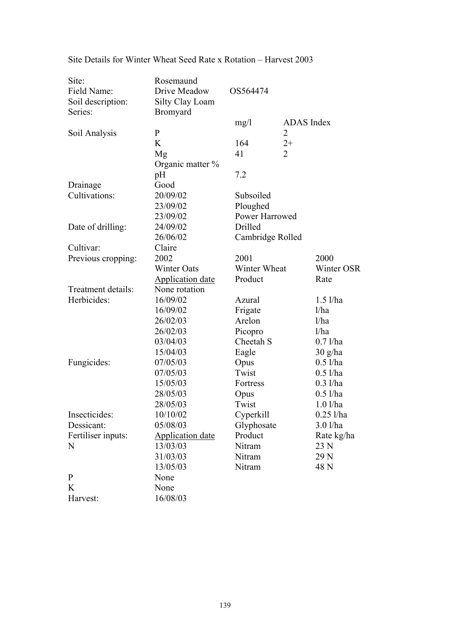| Site:              | Rosemaund               |                  |                |                   |
|--------------------|-------------------------|------------------|----------------|-------------------|
| Field Name:        | Drive Meadow            | OS564474         |                |                   |
| Soil description:  | Silty Clay Loam         |                  |                |                   |
| Series:            | <b>Bromyard</b>         |                  |                |                   |
|                    |                         | mg/1             | ADAS Index     |                   |
| Soil Analysis      | $\mathbf{P}$            |                  | 2              |                   |
|                    | K                       | 164              | $2+$           |                   |
|                    | Mg                      | 41               | $\overline{2}$ |                   |
|                    | Organic matter %        |                  |                |                   |
|                    | pH                      | 7.2              |                |                   |
| Drainage           | Good                    |                  |                |                   |
| Cultivations:      | 20/09/02                | Subsoiled        |                |                   |
|                    | 23/09/02                | Ploughed         |                |                   |
|                    | 23/09/02                | Power Harrowed   |                |                   |
| Date of drilling:  | 24/09/02                | Drilled          |                |                   |
|                    | 26/06/02                | Cambridge Rolled |                |                   |
| Cultivar:          | Claire                  |                  |                |                   |
| Previous cropping: | 2002                    | 2001             |                | 2000              |
|                    | <b>Winter Oats</b>      | Winter Wheat     |                | Winter OSR        |
|                    | <b>Application date</b> | Product          |                | Rate              |
| Treatment details: | None rotation           |                  |                |                   |
| Herbicides:        | 16/09/02                | Azural           |                | $1.5$ l/ha        |
|                    | 16/09/02                | Frigate          |                | 1/ha              |
|                    | 26/02/03                | Arelon           |                | 1/ha              |
|                    | 26/02/03                | Picopro          |                | 1/ha              |
|                    | 03/04/03                | Cheetah S        |                | $0.7$ l/ha        |
|                    | 15/04/03                | Eagle            |                | $30 \frac{g}{ha}$ |
| Fungicides:        | 07/05/03                | Opus             |                | $0.5$ l/ha        |
|                    | 07/05/03                | Twist            |                | $0.5$ l/ha        |
|                    | 15/05/03                | Fortress         |                | $0.3$ l/ha        |
|                    | 28/05/03                | Opus             |                | $0.5$ l/ha        |
|                    | 28/05/03                | Twist            |                | $1.0$ l/ha        |
| Insecticides:      | 10/10/02                | Cyperkill        |                | $0.25$ l/ha       |
| Dessicant:         | 05/08/03                | Glyphosate       |                | $3.0$ l/ha        |
| Fertiliser inputs: | Application date        | Product          |                | Rate kg/ha        |
| N                  | 13/03/03                | Nitram           |                | 23 N              |
|                    | 31/03/03                | Nitram           |                | 29 N              |
|                    | 13/05/03                | Nitram           |                | 48 N              |
| $\mathbf{P}$       | None                    |                  |                |                   |
| K                  | None                    |                  |                |                   |
| Harvest:           | 16/08/03                |                  |                |                   |

Site Details for Winter Wheat Seed Rate x Rotation – Harvest 2003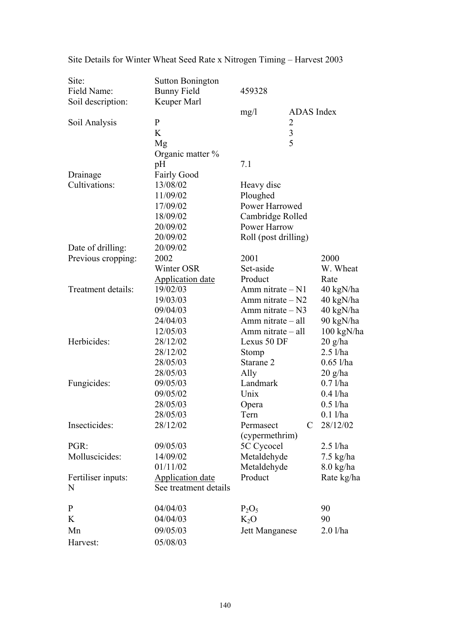| Site:              | <b>Sutton Bonington</b> |                         |                     |  |  |
|--------------------|-------------------------|-------------------------|---------------------|--|--|
| Field Name:        | <b>Bunny Field</b>      | 459328                  |                     |  |  |
| Soil description:  | Keuper Marl             |                         |                     |  |  |
|                    |                         | mg/1                    | ADAS Index          |  |  |
| Soil Analysis      | $\mathbf{P}$            | 2                       |                     |  |  |
|                    | K                       | $\overline{\mathbf{3}}$ |                     |  |  |
|                    | Mg                      | 5                       |                     |  |  |
|                    | Organic matter $\%$     |                         |                     |  |  |
|                    | pH                      | 7.1                     |                     |  |  |
| Drainage           | <b>Fairly Good</b>      |                         |                     |  |  |
| Cultivations:      | 13/08/02                | Heavy disc              |                     |  |  |
|                    | 11/09/02                | Ploughed                |                     |  |  |
|                    | 17/09/02                | Power Harrowed          |                     |  |  |
|                    | 18/09/02                | Cambridge Rolled        |                     |  |  |
|                    | 20/09/02                | Power Harrow            |                     |  |  |
|                    | 20/09/02                | Roll (post drilling)    |                     |  |  |
| Date of drilling:  | 20/09/02                |                         |                     |  |  |
| Previous cropping: | 2002                    | 2001                    | 2000                |  |  |
|                    | Winter OSR              | Set-aside               | W. Wheat            |  |  |
|                    | <b>Application date</b> | Product                 | Rate                |  |  |
| Treatment details: | 19/02/03                | Amm nitrate $- N1$      | 40 kgN/ha           |  |  |
|                    | 19/03/03                | Amm nitrate $- N2$      | 40 kgN/ha           |  |  |
|                    | 09/04/03                | Amm nitrate $- N3$      | 40 kgN/ha           |  |  |
|                    | 24/04/03                | $Amm$ nitrate $-$ all   | 90 kgN/ha           |  |  |
|                    | 12/05/03                | Amm nitrate – all       | 100 kgN/ha          |  |  |
| Herbicides:        | 28/12/02                | Lexus 50 DF             | $20$ g/ha           |  |  |
|                    | 28/12/02                | Stomp                   | $2.5$ l/ha          |  |  |
|                    | 28/05/03                | Starane 2               | $0.65$ l/ha         |  |  |
|                    | 28/05/03                | Ally                    | $20$ g/ha           |  |  |
| Fungicides:        | 09/05/03                | Landmark                | $0.7$ l/ha          |  |  |
|                    | 09/05/02                | Unix                    | $0.4$ l/ha          |  |  |
|                    | 28/05/03                | Opera                   | $0.5$ l/ha          |  |  |
|                    | 28/05/03                | Tern                    | $0.1$ l/ha          |  |  |
| Insecticides:      | 28/12/02                | Permasect<br>C          | 28/12/02            |  |  |
|                    |                         | (cypermethrim)          |                     |  |  |
| PGR:               | 09/05/03                | 5C Cycocel              | $2.5$ l/ha          |  |  |
| Molluscicides:     | 14/09/02                | Metaldehyde             | $7.5 \text{ kg/ha}$ |  |  |
|                    | 01/11/02                | Metaldehyde             | $8.0$ kg/ha         |  |  |
| Fertiliser inputs: | <b>Application date</b> | Product                 | Rate kg/ha          |  |  |
| N                  | See treatment details   |                         |                     |  |  |
| $\mathbf P$        | 04/04/03                | $P_2O_5$                | 90                  |  |  |
| K                  | 04/04/03                | $K_2O$                  | 90                  |  |  |
| Mn                 | 09/05/03                | Jett Manganese          | $2.0$ l/ha          |  |  |
|                    |                         |                         |                     |  |  |
| Harvest:           | 05/08/03                |                         |                     |  |  |

Site Details for Winter Wheat Seed Rate x Nitrogen Timing – Harvest 2003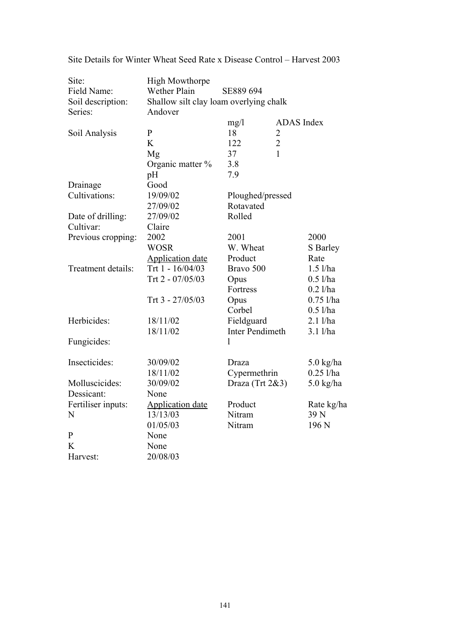| Site:<br>Field Name:<br>Soil description: | <b>High Mowthorpe</b><br><b>Wether Plain</b><br>SE889 694<br>Shallow silt clay loam overlying chalk |                                |                   |                     |
|-------------------------------------------|-----------------------------------------------------------------------------------------------------|--------------------------------|-------------------|---------------------|
| Series:                                   | Andover                                                                                             |                                |                   |                     |
|                                           |                                                                                                     | mg/1                           | <b>ADAS</b> Index |                     |
| Soil Analysis                             | $\mathbf{P}$                                                                                        | 18                             | $\overline{c}$    |                     |
|                                           | K                                                                                                   | 122                            | $\overline{2}$    |                     |
|                                           | Mg                                                                                                  | 37                             | 1                 |                     |
|                                           | Organic matter %                                                                                    | 3.8                            |                   |                     |
|                                           | pH                                                                                                  | 7.9                            |                   |                     |
| Drainage                                  | Good                                                                                                |                                |                   |                     |
| Cultivations:                             | 19/09/02                                                                                            | Ploughed/pressed               |                   |                     |
|                                           | 27/09/02                                                                                            | Rotavated                      |                   |                     |
| Date of drilling:                         | 27/09/02                                                                                            | Rolled                         |                   |                     |
| Cultivar:                                 | Claire                                                                                              |                                |                   |                     |
| Previous cropping:                        | 2002                                                                                                | 2001                           |                   | 2000                |
|                                           | <b>WOSR</b>                                                                                         | W. Wheat                       |                   | S Barley            |
|                                           | <b>Application date</b>                                                                             | Product                        |                   | Rate                |
| Treatment details:                        | Trt 1 - 16/04/03                                                                                    | Bravo 500                      |                   | $1.5$ l/ha          |
|                                           | Trt 2 - 07/05/03                                                                                    | Opus                           |                   | $0.5$ l/ha          |
|                                           |                                                                                                     | Fortress                       |                   | $0.2$ l/ha          |
|                                           | Trt 3 - 27/05/03                                                                                    | Opus                           |                   | $0.75$ l/ha         |
|                                           |                                                                                                     | Corbel                         |                   | $0.5$ l/ha          |
| Herbicides:                               | 18/11/02                                                                                            | Fieldguard                     |                   | 2.1 l/ha            |
|                                           | 18/11/02                                                                                            | <b>Inter Pendimeth</b>         |                   | 3.1 l/ha            |
| Fungicides:                               |                                                                                                     | 1                              |                   |                     |
|                                           |                                                                                                     |                                |                   |                     |
| Insecticides:                             | 30/09/02                                                                                            | Draza                          |                   | $5.0 \text{ kg/ha}$ |
|                                           | 18/11/02                                                                                            | Cypermethrin                   |                   | $0.25$ l/ha         |
| Molluscicides:                            | 30/09/02                                                                                            |                                |                   |                     |
| Dessicant:                                | None                                                                                                | Draza (Trt 2&3)<br>$5.0$ kg/ha |                   |                     |
| Fertiliser inputs:                        | <b>Application date</b>                                                                             | Product                        |                   | Rate kg/ha          |
| N                                         | 13/13/03                                                                                            | Nitram                         |                   | 39 N                |
|                                           | 01/05/03                                                                                            | Nitram                         |                   | 196 <sub>N</sub>    |
| $\mathbf{P}$                              | None                                                                                                |                                |                   |                     |
| K                                         | None                                                                                                |                                |                   |                     |
| Harvest:                                  | 20/08/03                                                                                            |                                |                   |                     |
|                                           |                                                                                                     |                                |                   |                     |

Site Details for Winter Wheat Seed Rate x Disease Control – Harvest 2003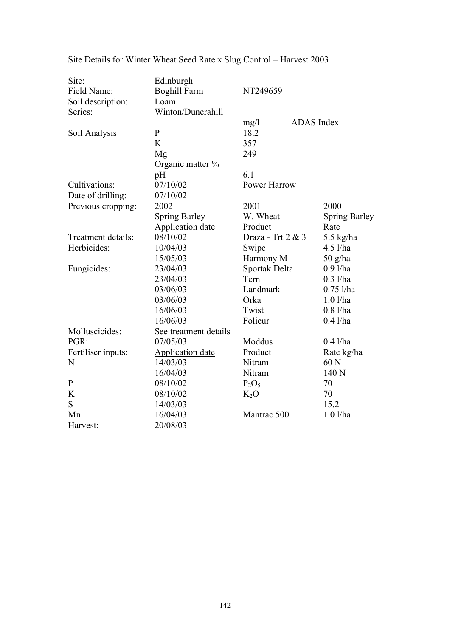| Site:              | Edinburgh               |                     |                      |
|--------------------|-------------------------|---------------------|----------------------|
| Field Name:        | <b>Boghill Farm</b>     | NT249659            |                      |
| Soil description:  | Loam                    |                     |                      |
| Series:            | Winton/Duncrahill       |                     |                      |
|                    |                         | mg/1                | <b>ADAS</b> Index    |
| Soil Analysis      | $\mathbf{P}$            | 18.2                |                      |
|                    | K                       | 357                 |                      |
|                    | Mg                      | 249                 |                      |
|                    | Organic matter %        |                     |                      |
|                    | pH                      | 6.1                 |                      |
| Cultivations:      | 07/10/02                | <b>Power Harrow</b> |                      |
| Date of drilling:  | 07/10/02                |                     |                      |
| Previous cropping: | 2002                    | 2001                | 2000                 |
|                    | <b>Spring Barley</b>    | W. Wheat            | <b>Spring Barley</b> |
|                    | <b>Application date</b> | Product             | Rate                 |
| Treatment details: | 08/10/02                | Draza - Trt 2 & 3   | 5.5 $kg/ha$          |
| Herbicides:        | 10/04/03                | Swipe               | $4.5$ l/ha           |
|                    | 15/05/03                | Harmony M           | $50$ g/ha            |
| Fungicides:        | 23/04/03                | Sportak Delta       | $0.9$ l/ha           |
|                    | 23/04/03                | Tern                | $0.3$ l/ha           |
|                    | 03/06/03                | Landmark            | $0.75$ l/ha          |
|                    | 03/06/03                | Orka                | $1.0$ l/ha           |
|                    | 16/06/03                | Twist               | $0.8$ l/ha           |
|                    | 16/06/03                | Folicur             | $0.4$ l/ha           |
| Molluscicides:     | See treatment details   |                     |                      |
| PGR:               | 07/05/03                | Moddus              | $0.4$ l/ha           |
| Fertiliser inputs: | <b>Application date</b> | Product             | Rate kg/ha           |
| N                  | 14/03/03                | Nitram              | 60 N                 |
|                    | 16/04/03                | Nitram              | 140 N                |
| $\mathbf P$        | 08/10/02                | $P_2O_5$            | 70                   |
| K                  | 08/10/02                | $K_2O$              | 70                   |
| S                  | 14/03/03                |                     | 15.2                 |
| Mn                 | 16/04/03                | Mantrac 500         | $1.0$ l/ha           |
| Harvest:           | 20/08/03                |                     |                      |

Site Details for Winter Wheat Seed Rate x Slug Control – Harvest 2003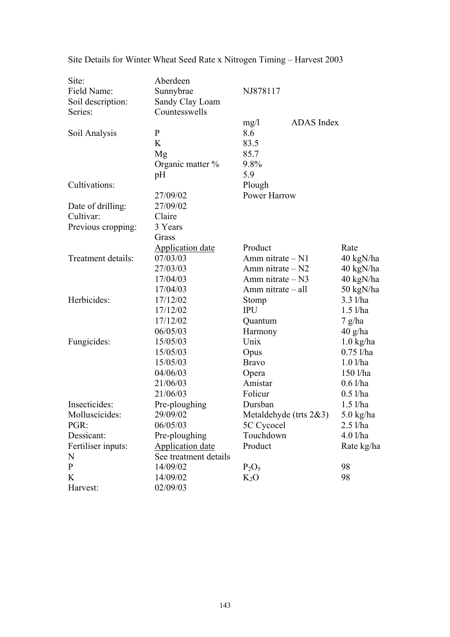| Site:              | Aberdeen                |                            |                     |
|--------------------|-------------------------|----------------------------|---------------------|
| Field Name:        | Sunnybrae               | NJ878117                   |                     |
| Soil description:  | Sandy Clay Loam         |                            |                     |
| Series:            | Countesswells           |                            |                     |
|                    |                         | ADAS Index<br>mg/1         |                     |
| Soil Analysis      | $\mathbf{P}$            | 8.6                        |                     |
|                    | K                       | 83.5                       |                     |
|                    | Mg                      | 85.7                       |                     |
|                    | Organic matter %        | 9.8%                       |                     |
|                    | pH                      | 5.9                        |                     |
| Cultivations:      |                         | Plough                     |                     |
|                    | 27/09/02                | Power Harrow               |                     |
| Date of drilling:  | 27/09/02                |                            |                     |
| Cultivar:          | Claire                  |                            |                     |
| Previous cropping: | 3 Years                 |                            |                     |
|                    | Grass                   |                            |                     |
|                    | <b>Application date</b> | Product                    | Rate                |
| Treatment details: | 07/03/03                | Amm nitrate $- N1$         | 40 kgN/ha           |
|                    | 27/03/03                | Amm nitrate $- N2$         | 40 kgN/ha           |
|                    | 17/04/03                | Amm nitrate - N3           | 40 kgN/ha           |
|                    | 17/04/03                | Amm nitrate - all          | 50 kgN/ha           |
| Herbicides:        | 17/12/02                | Stomp                      | $3.3$ $1/ha$        |
|                    | 17/12/02                | <b>IPU</b>                 | $1.5$ l/ha          |
|                    | 17/12/02                | Quantum                    | $7$ g/ha            |
|                    | 06/05/03                | Harmony                    | $40$ g/ha           |
| Fungicides:        | 15/05/03                | Unix                       | $1.0 \text{ kg/ha}$ |
|                    | 15/05/03                | Opus                       | $0.75$ l/ha         |
|                    | 15/05/03                | <b>Bravo</b>               | $1.0$ l/ha          |
|                    | 04/06/03                | Opera                      | 150 l/ha            |
|                    | 21/06/03                | Amistar                    | $0.6$ l/ha          |
|                    | 21/06/03                | Folicur                    | $0.5$ l/ha          |
| Insecticides:      | Pre-ploughing           | Dursban                    | $1.5$ l/ha          |
| Molluscicides:     | 29/09/02                | Metaldehyde (trts $2&3)$ ) | $5.0$ kg/ha         |
| PGR:               | 06/05/03                | 5C Cycocel                 | $2.5$ l/ha          |
| Dessicant:         | Pre-ploughing           | Touchdown                  | $4.0$ l/ha          |
| Fertiliser inputs: | <b>Application date</b> | Product                    | Rate kg/ha          |
| N                  | See treatment details   |                            |                     |
| $\mathbf{P}$       | 14/09/02                | $P_2O_5$                   | 98                  |
| K                  | 14/09/02                | $K_2O$                     | 98                  |
| Harvest:           | 02/09/03                |                            |                     |

Site Details for Winter Wheat Seed Rate x Nitrogen Timing – Harvest 2003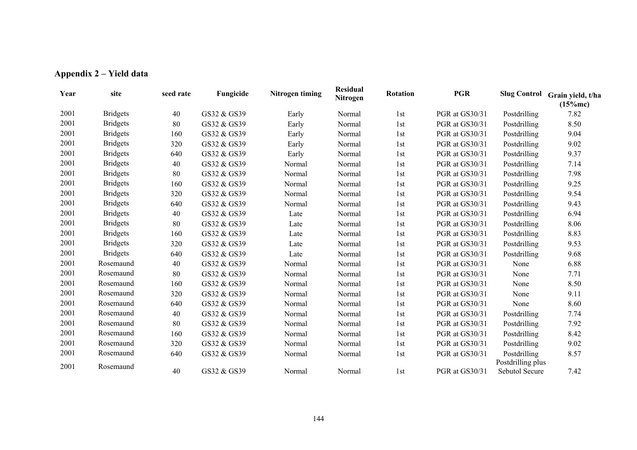|  | Appendix 2 – Yield data |
|--|-------------------------|
|--|-------------------------|

| Year | site            | seed rate | Fungicide   | Nitrogen timing | <b>Residual</b><br>Nitrogen | <b>Rotation</b> | <b>PGR</b>     | <b>Slug Control</b>               | Grain yield, t/ha<br>(15%mc) |
|------|-----------------|-----------|-------------|-----------------|-----------------------------|-----------------|----------------|-----------------------------------|------------------------------|
| 2001 | <b>Bridgets</b> | 40        | GS32 & GS39 | Early           | Normal                      | 1st             | PGR at GS30/31 | Postdrilling                      | 7.82                         |
| 2001 | <b>Bridgets</b> | 80        | GS32 & GS39 | Early           | Normal                      | 1st             | PGR at GS30/31 | Postdrilling                      | 8.50                         |
| 2001 | <b>Bridgets</b> | 160       | GS32 & GS39 | Early           | Normal                      | 1st             | PGR at GS30/31 | Postdrilling                      | 9.04                         |
| 2001 | <b>Bridgets</b> | 320       | GS32 & GS39 | Early           | Normal                      | 1st             | PGR at GS30/31 | Postdrilling                      | 9.02                         |
| 2001 | <b>Bridgets</b> | 640       | GS32 & GS39 | Early           | Normal                      | 1st             | PGR at GS30/31 | Postdrilling                      | 9.37                         |
| 2001 | <b>Bridgets</b> | 40        | GS32 & GS39 | Normal          | Normal                      | 1st             | PGR at GS30/31 | Postdrilling                      | 7.14                         |
| 2001 | <b>Bridgets</b> | 80        | GS32 & GS39 | Normal          | Normal                      | 1st             | PGR at GS30/31 | Postdrilling                      | 7.98                         |
| 2001 | <b>Bridgets</b> | 160       | GS32 & GS39 | Normal          | Normal                      | 1st             | PGR at GS30/31 | Postdrilling                      | 9.25                         |
| 2001 | <b>Bridgets</b> | 320       | GS32 & GS39 | Normal          | Normal                      | 1st             | PGR at GS30/31 | Postdrilling                      | 9.54                         |
| 2001 | <b>Bridgets</b> | 640       | GS32 & GS39 | Normal          | Normal                      | 1st             | PGR at GS30/31 | Postdrilling                      | 9.43                         |
| 2001 | <b>Bridgets</b> | 40        | GS32 & GS39 | Late            | Normal                      | 1st             | PGR at GS30/31 | Postdrilling                      | 6.94                         |
| 2001 | <b>Bridgets</b> | 80        | GS32 & GS39 | Late            | Normal                      | 1st             | PGR at GS30/31 | Postdrilling                      | 8.06                         |
| 2001 | <b>Bridgets</b> | 160       | GS32 & GS39 | Late            | Normal                      | 1st             | PGR at GS30/31 | Postdrilling                      | 8.83                         |
| 2001 | <b>Bridgets</b> | 320       | GS32 & GS39 | Late            | Normal                      | 1st             | PGR at GS30/31 | Postdrilling                      | 9.53                         |
| 2001 | <b>Bridgets</b> | 640       | GS32 & GS39 | Late            | Normal                      | 1st             | PGR at GS30/31 | Postdrilling                      | 9.68                         |
| 2001 | Rosemaund       | 40        | GS32 & GS39 | Normal          | Normal                      | 1st             | PGR at GS30/31 | None                              | 6.88                         |
| 2001 | Rosemaund       | 80        | GS32 & GS39 | Normal          | Normal                      | 1st             | PGR at GS30/31 | None                              | 7.71                         |
| 2001 | Rosemaund       | 160       | GS32 & GS39 | Normal          | Normal                      | 1st             | PGR at GS30/31 | None                              | 8.50                         |
| 2001 | Rosemaund       | 320       | GS32 & GS39 | Normal          | Normal                      | 1st             | PGR at GS30/31 | None                              | 9.11                         |
| 2001 | Rosemaund       | 640       | GS32 & GS39 | Normal          | Normal                      | 1st             | PGR at GS30/31 | None                              | 8.60                         |
| 2001 | Rosemaund       | 40        | GS32 & GS39 | Normal          | Normal                      | 1st             | PGR at GS30/31 | Postdrilling                      | 7.74                         |
| 2001 | Rosemaund       | 80        | GS32 & GS39 | Normal          | Normal                      | 1st             | PGR at GS30/31 | Postdrilling                      | 7.92                         |
| 2001 | Rosemaund       | 160       | GS32 & GS39 | Normal          | Normal                      | 1st             | PGR at GS30/31 | Postdrilling                      | 8.42                         |
| 2001 | Rosemaund       | 320       | GS32 & GS39 | Normal          | Normal                      | 1st             | PGR at GS30/31 | Postdrilling                      | 9.02                         |
| 2001 | Rosemaund       | 640       | GS32 & GS39 | Normal          | Normal                      | 1st             | PGR at GS30/31 | Postdrilling<br>Postdrilling plus | 8.57                         |
| 2001 | Rosemaund       | 40        | GS32 & GS39 | Normal          | Normal                      | 1st             | PGR at GS30/31 | Sebutol Secure                    | 7.42                         |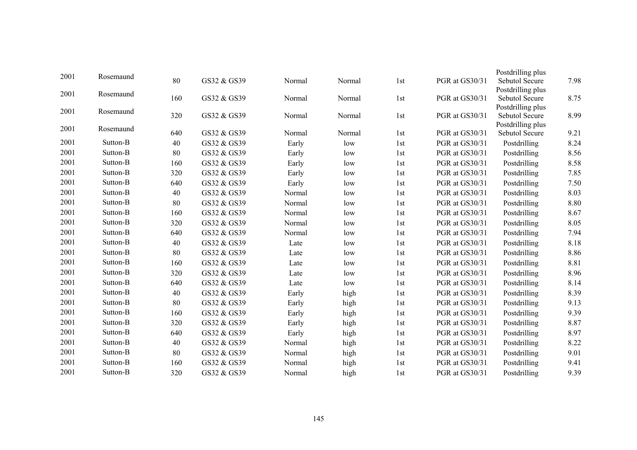|      |           |     |             |        |        |     |                | Postdrilling plus                   |      |
|------|-----------|-----|-------------|--------|--------|-----|----------------|-------------------------------------|------|
| 2001 | Rosemaund | 80  | GS32 & GS39 | Normal | Normal | 1st | PGR at GS30/31 | Sebutol Secure                      | 7.98 |
| 2001 | Rosemaund |     |             |        |        |     |                | Postdrilling plus                   |      |
|      |           | 160 | GS32 & GS39 | Normal | Normal | 1st | PGR at GS30/31 | Sebutol Secure                      | 8.75 |
| 2001 | Rosemaund |     |             |        |        |     |                | Postdrilling plus                   |      |
|      |           | 320 | GS32 & GS39 | Normal | Normal | 1st | PGR at GS30/31 | Sebutol Secure                      | 8.99 |
| 2001 | Rosemaund | 640 | GS32 & GS39 | Normal | Normal | 1st | PGR at GS30/31 | Postdrilling plus<br>Sebutol Secure | 9.21 |
| 2001 | Sutton-B  | 40  | GS32 & GS39 | Early  | low    | 1st | PGR at GS30/31 | Postdrilling                        | 8.24 |
| 2001 | Sutton-B  | 80  | GS32 & GS39 | Early  | low    | 1st | PGR at GS30/31 | Postdrilling                        | 8.56 |
| 2001 | Sutton-B  | 160 | GS32 & GS39 | Early  | low    | 1st | PGR at GS30/31 | Postdrilling                        | 8.58 |
| 2001 | Sutton-B  |     |             |        |        |     |                |                                     |      |
|      |           | 320 | GS32 & GS39 | Early  | low    | 1st | PGR at GS30/31 | Postdrilling                        | 7.85 |
| 2001 | Sutton-B  | 640 | GS32 & GS39 | Early  | low    | 1st | PGR at GS30/31 | Postdrilling                        | 7.50 |
| 2001 | Sutton-B  | 40  | GS32 & GS39 | Normal | low    | 1st | PGR at GS30/31 | Postdrilling                        | 8.03 |
| 2001 | Sutton-B  | 80  | GS32 & GS39 | Normal | low    | 1st | PGR at GS30/31 | Postdrilling                        | 8.80 |
| 2001 | Sutton-B  | 160 | GS32 & GS39 | Normal | low    | 1st | PGR at GS30/31 | Postdrilling                        | 8.67 |
| 2001 | Sutton-B  | 320 | GS32 & GS39 | Normal | low    | 1st | PGR at GS30/31 | Postdrilling                        | 8.05 |
| 2001 | Sutton-B  | 640 | GS32 & GS39 | Normal | low    | 1st | PGR at GS30/31 | Postdrilling                        | 7.94 |
| 2001 | Sutton-B  | 40  | GS32 & GS39 | Late   | low    | 1st | PGR at GS30/31 | Postdrilling                        | 8.18 |
| 2001 | Sutton-B  | 80  | GS32 & GS39 | Late   | low    | 1st | PGR at GS30/31 | Postdrilling                        | 8.86 |
| 2001 | Sutton-B  | 160 | GS32 & GS39 | Late   | low    | 1st | PGR at GS30/31 | Postdrilling                        | 8.81 |
| 2001 | Sutton-B  | 320 | GS32 & GS39 | Late   | low    | 1st | PGR at GS30/31 | Postdrilling                        | 8.96 |
| 2001 | Sutton-B  | 640 | GS32 & GS39 | Late   | low    | 1st | PGR at GS30/31 | Postdrilling                        | 8.14 |
| 2001 | Sutton-B  | 40  | GS32 & GS39 | Early  | high   | 1st | PGR at GS30/31 | Postdrilling                        | 8.39 |
| 2001 | Sutton-B  | 80  | GS32 & GS39 | Early  | high   | 1st | PGR at GS30/31 | Postdrilling                        | 9.13 |
| 2001 | Sutton-B  | 160 | GS32 & GS39 | Early  | high   | 1st | PGR at GS30/31 | Postdrilling                        | 9.39 |
| 2001 | Sutton-B  | 320 | GS32 & GS39 | Early  | high   | 1st | PGR at GS30/31 | Postdrilling                        | 8.87 |
| 2001 | Sutton-B  | 640 | GS32 & GS39 | Early  | high   | 1st | PGR at GS30/31 | Postdrilling                        | 8.97 |
| 2001 | Sutton-B  | 40  | GS32 & GS39 | Normal | high   | 1st | PGR at GS30/31 | Postdrilling                        | 8.22 |
| 2001 | Sutton-B  | 80  | GS32 & GS39 | Normal | high   | 1st | PGR at GS30/31 | Postdrilling                        | 9.01 |
| 2001 | Sutton-B  | 160 | GS32 & GS39 | Normal | high   | 1st | PGR at GS30/31 | Postdrilling                        | 9.41 |
| 2001 | Sutton-B  | 320 | GS32 & GS39 | Normal | high   | 1st | PGR at GS30/31 | Postdrilling                        | 9.39 |
|      |           |     |             |        |        |     |                |                                     |      |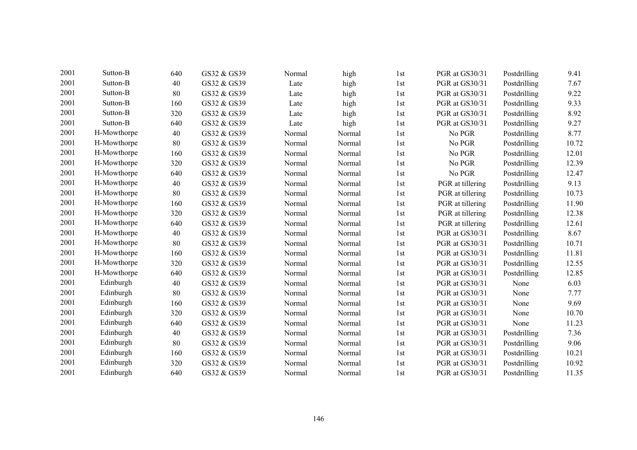| 2001 | Sutton-B    | 640 | GS32 & GS39 | Normal | high   | 1st | PGR at GS30/31   | Postdrilling | 9.41  |
|------|-------------|-----|-------------|--------|--------|-----|------------------|--------------|-------|
| 2001 | Sutton-B    | 40  | GS32 & GS39 | Late   | high   | 1st | PGR at GS30/31   | Postdrilling | 7.67  |
| 2001 | Sutton-B    | 80  | GS32 & GS39 | Late   | high   | 1st | PGR at GS30/31   | Postdrilling | 9.22  |
| 2001 | Sutton-B    | 160 | GS32 & GS39 | Late   | high   | 1st | PGR at GS30/31   | Postdrilling | 9.33  |
| 2001 | Sutton-B    | 320 | GS32 & GS39 | Late   | high   | 1st | PGR at GS30/31   | Postdrilling | 8.92  |
| 2001 | Sutton-B    | 640 | GS32 & GS39 | Late   | high   | 1st | PGR at GS30/31   | Postdrilling | 9.27  |
| 2001 | H-Mowthorpe | 40  | GS32 & GS39 | Normal | Normal | 1st | No PGR           | Postdrilling | 8.77  |
| 2001 | H-Mowthorpe | 80  | GS32 & GS39 | Normal | Normal | 1st | No PGR           | Postdrilling | 10.72 |
| 2001 | H-Mowthorpe | 160 | GS32 & GS39 | Normal | Normal | 1st | No PGR           | Postdrilling | 12.01 |
| 2001 | H-Mowthorpe | 320 | GS32 & GS39 | Normal | Normal | 1st | No PGR           | Postdrilling | 12.39 |
| 2001 | H-Mowthorpe | 640 | GS32 & GS39 | Normal | Normal | 1st | No PGR           | Postdrilling | 12.47 |
| 2001 | H-Mowthorpe | 40  | GS32 & GS39 | Normal | Normal | 1st | PGR at tillering | Postdrilling | 9.13  |
| 2001 | H-Mowthorpe | 80  | GS32 & GS39 | Normal | Normal | 1st | PGR at tillering | Postdrilling | 10.73 |
| 2001 | H-Mowthorpe | 160 | GS32 & GS39 | Normal | Normal | 1st | PGR at tillering | Postdrilling | 11.90 |
| 2001 | H-Mowthorpe | 320 | GS32 & GS39 | Normal | Normal | 1st | PGR at tillering | Postdrilling | 12.38 |
| 2001 | H-Mowthorpe | 640 | GS32 & GS39 | Normal | Normal | 1st | PGR at tillering | Postdrilling | 12.61 |
| 2001 | H-Mowthorpe | 40  | GS32 & GS39 | Normal | Normal | 1st | PGR at GS30/31   | Postdrilling | 8.67  |
| 2001 | H-Mowthorpe | 80  | GS32 & GS39 | Normal | Normal | 1st | PGR at GS30/31   | Postdrilling | 10.71 |
| 2001 | H-Mowthorpe | 160 | GS32 & GS39 | Normal | Normal | 1st | PGR at GS30/31   | Postdrilling | 11.81 |
| 2001 | H-Mowthorpe | 320 | GS32 & GS39 | Normal | Normal | 1st | PGR at GS30/31   | Postdrilling | 12.55 |
| 2001 | H-Mowthorpe | 640 | GS32 & GS39 | Normal | Normal | 1st | PGR at GS30/31   | Postdrilling | 12.85 |
| 2001 | Edinburgh   | 40  | GS32 & GS39 | Normal | Normal | 1st | PGR at GS30/31   | None         | 6.03  |
| 2001 | Edinburgh   | 80  | GS32 & GS39 | Normal | Normal | 1st | PGR at GS30/31   | None         | 7.77  |
| 2001 | Edinburgh   | 160 | GS32 & GS39 | Normal | Normal | 1st | PGR at GS30/31   | None         | 9.69  |
| 2001 | Edinburgh   | 320 | GS32 & GS39 | Normal | Normal | 1st | PGR at GS30/31   | None         | 10.70 |
| 2001 | Edinburgh   | 640 | GS32 & GS39 | Normal | Normal | 1st | PGR at GS30/31   | None         | 11.23 |
| 2001 | Edinburgh   | 40  | GS32 & GS39 | Normal | Normal | 1st | PGR at GS30/31   | Postdrilling | 7.36  |
| 2001 | Edinburgh   | 80  | GS32 & GS39 | Normal | Normal | 1st | PGR at GS30/31   | Postdrilling | 9.06  |
| 2001 | Edinburgh   | 160 | GS32 & GS39 | Normal | Normal | 1st | PGR at GS30/31   | Postdrilling | 10.21 |
| 2001 | Edinburgh   | 320 | GS32 & GS39 | Normal | Normal | 1st | PGR at GS30/31   | Postdrilling | 10.92 |
| 2001 | Edinburgh   | 640 | GS32 & GS39 | Normal | Normal | 1st | PGR at GS30/31   | Postdrilling | 11.35 |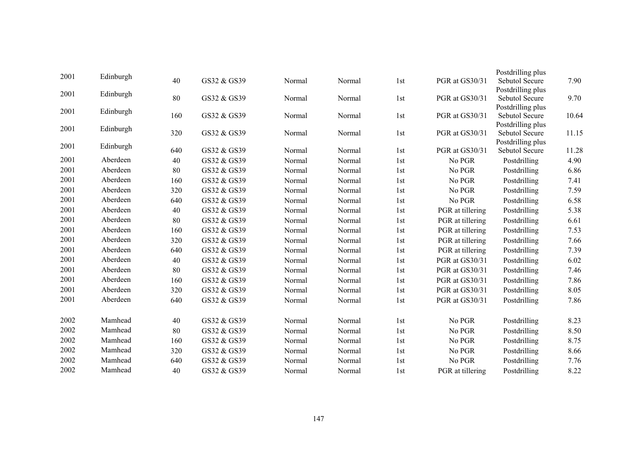|      |           |     |             |        |        |                 |                  | Postdrilling plus                   |       |
|------|-----------|-----|-------------|--------|--------|-----------------|------------------|-------------------------------------|-------|
| 2001 | Edinburgh | 40  | GS32 & GS39 | Normal | Normal | 1st             | PGR at GS30/31   | Sebutol Secure                      | 7.90  |
| 2001 | Edinburgh |     |             |        |        |                 |                  | Postdrilling plus                   |       |
|      |           | 80  | GS32 & GS39 | Normal | Normal | 1st             | PGR at GS30/31   | Sebutol Secure                      | 9.70  |
| 2001 | Edinburgh |     |             |        |        |                 |                  | Postdrilling plus                   |       |
|      |           | 160 | GS32 & GS39 | Normal | Normal | 1st             | PGR at GS30/31   | Sebutol Secure<br>Postdrilling plus | 10.64 |
| 2001 | Edinburgh | 320 | GS32 & GS39 | Normal | Normal | 1st             | PGR at GS30/31   | Sebutol Secure                      | 11.15 |
|      |           |     |             |        |        |                 |                  | Postdrilling plus                   |       |
| 2001 | Edinburgh | 640 | GS32 & GS39 | Normal | Normal | 1st             | PGR at GS30/31   | Sebutol Secure                      | 11.28 |
| 2001 | Aberdeen  | 40  | GS32 & GS39 | Normal | Normal | 1st             | No PGR           | Postdrilling                        | 4.90  |
| 2001 | Aberdeen  | 80  | GS32 & GS39 | Normal | Normal | 1st             | No PGR           | Postdrilling                        | 6.86  |
| 2001 | Aberdeen  | 160 | GS32 & GS39 | Normal | Normal | 1st             | No PGR           | Postdrilling                        | 7.41  |
| 2001 | Aberdeen  | 320 | GS32 & GS39 | Normal | Normal | 1st             | No PGR           | Postdrilling                        | 7.59  |
| 2001 | Aberdeen  | 640 | GS32 & GS39 | Normal | Normal | 1st             | No PGR           | Postdrilling                        | 6.58  |
| 2001 | Aberdeen  | 40  | GS32 & GS39 | Normal | Normal | 1st             | PGR at tillering | Postdrilling                        | 5.38  |
| 2001 | Aberdeen  | 80  | GS32 & GS39 | Normal | Normal | 1st             | PGR at tillering | Postdrilling                        | 6.61  |
| 2001 | Aberdeen  | 160 | GS32 & GS39 | Normal | Normal | 1st             | PGR at tillering | Postdrilling                        | 7.53  |
| 2001 | Aberdeen  | 320 | GS32 & GS39 | Normal | Normal | 1st             | PGR at tillering | Postdrilling                        | 7.66  |
| 2001 | Aberdeen  | 640 | GS32 & GS39 | Normal | Normal | 1st             | PGR at tillering | Postdrilling                        | 7.39  |
| 2001 | Aberdeen  | 40  | GS32 & GS39 | Normal | Normal | 1st             | PGR at GS30/31   | Postdrilling                        | 6.02  |
| 2001 | Aberdeen  | 80  | GS32 & GS39 | Normal | Normal | 1st             | PGR at GS30/31   | Postdrilling                        | 7.46  |
| 2001 | Aberdeen  | 160 | GS32 & GS39 | Normal | Normal | 1st             | PGR at GS30/31   | Postdrilling                        | 7.86  |
| 2001 | Aberdeen  | 320 | GS32 & GS39 | Normal | Normal | 1st             | PGR at GS30/31   | Postdrilling                        | 8.05  |
| 2001 | Aberdeen  | 640 | GS32 & GS39 | Normal | Normal | 1st             | PGR at GS30/31   | Postdrilling                        | 7.86  |
|      |           |     |             |        |        |                 |                  |                                     |       |
| 2002 | Mamhead   | 40  | GS32 & GS39 | Normal | Normal | 1 <sub>st</sub> | No PGR           | Postdrilling                        | 8.23  |
| 2002 | Mamhead   | 80  | GS32 & GS39 | Normal | Normal | 1st             | No PGR           | Postdrilling                        | 8.50  |
| 2002 | Mamhead   | 160 | GS32 & GS39 | Normal | Normal | 1st             | No PGR           | Postdrilling                        | 8.75  |
| 2002 | Mamhead   | 320 | GS32 & GS39 | Normal | Normal | 1st             | No PGR           | Postdrilling                        | 8.66  |
| 2002 | Mamhead   | 640 | GS32 & GS39 | Normal | Normal | 1st             | No PGR           | Postdrilling                        | 7.76  |
| 2002 | Mamhead   | 40  | GS32 & GS39 | Normal | Normal | 1st             | PGR at tillering | Postdrilling                        | 8.22  |
|      |           |     |             |        |        |                 |                  |                                     |       |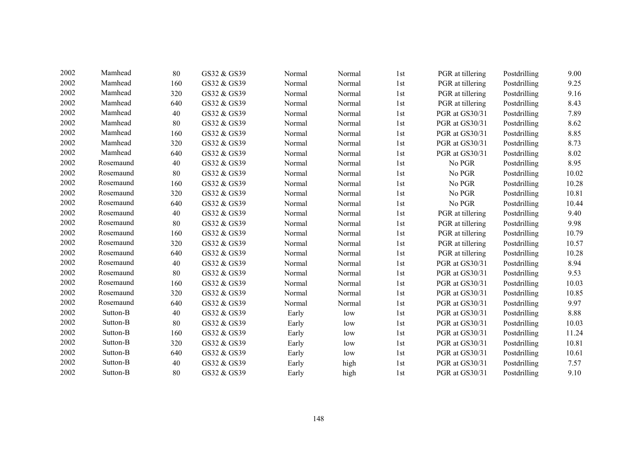| 2002 | Mamhead   | 80  | GS32 & GS39 | Normal | Normal | 1st | PGR at tillering | Postdrilling | 9.00  |
|------|-----------|-----|-------------|--------|--------|-----|------------------|--------------|-------|
| 2002 | Mamhead   | 160 | GS32 & GS39 | Normal | Normal | 1st | PGR at tillering | Postdrilling | 9.25  |
| 2002 | Mamhead   | 320 | GS32 & GS39 | Normal | Normal | 1st | PGR at tillering | Postdrilling | 9.16  |
| 2002 | Mamhead   | 640 | GS32 & GS39 | Normal | Normal | 1st | PGR at tillering | Postdrilling | 8.43  |
| 2002 | Mamhead   | 40  | GS32 & GS39 | Normal | Normal | 1st | PGR at GS30/31   | Postdrilling | 7.89  |
| 2002 | Mamhead   | 80  | GS32 & GS39 | Normal | Normal | 1st | PGR at GS30/31   | Postdrilling | 8.62  |
| 2002 | Mamhead   | 160 | GS32 & GS39 | Normal | Normal | 1st | PGR at GS30/31   | Postdrilling | 8.85  |
| 2002 | Mamhead   | 320 | GS32 & GS39 | Normal | Normal | 1st | PGR at GS30/31   | Postdrilling | 8.73  |
| 2002 | Mamhead   | 640 | GS32 & GS39 | Normal | Normal | 1st | PGR at GS30/31   | Postdrilling | 8.02  |
| 2002 | Rosemaund | 40  | GS32 & GS39 | Normal | Normal | 1st | No PGR           | Postdrilling | 8.95  |
| 2002 | Rosemaund | 80  | GS32 & GS39 | Normal | Normal | 1st | No PGR           | Postdrilling | 10.02 |
| 2002 | Rosemaund | 160 | GS32 & GS39 | Normal | Normal | 1st | No PGR           | Postdrilling | 10.28 |
| 2002 | Rosemaund | 320 | GS32 & GS39 | Normal | Normal | 1st | No PGR           | Postdrilling | 10.81 |
| 2002 | Rosemaund | 640 | GS32 & GS39 | Normal | Normal | 1st | No PGR           | Postdrilling | 10.44 |
| 2002 | Rosemaund | 40  | GS32 & GS39 | Normal | Normal | 1st | PGR at tillering | Postdrilling | 9.40  |
| 2002 | Rosemaund | 80  | GS32 & GS39 | Normal | Normal | 1st | PGR at tillering | Postdrilling | 9.98  |
| 2002 | Rosemaund | 160 | GS32 & GS39 | Normal | Normal | 1st | PGR at tillering | Postdrilling | 10.79 |
| 2002 | Rosemaund | 320 | GS32 & GS39 | Normal | Normal | 1st | PGR at tillering | Postdrilling | 10.57 |
| 2002 | Rosemaund | 640 | GS32 & GS39 | Normal | Normal | 1st | PGR at tillering | Postdrilling | 10.28 |
| 2002 | Rosemaund | 40  | GS32 & GS39 | Normal | Normal | 1st | PGR at GS30/31   | Postdrilling | 8.94  |
| 2002 | Rosemaund | 80  | GS32 & GS39 | Normal | Normal | 1st | PGR at GS30/31   | Postdrilling | 9.53  |
| 2002 | Rosemaund | 160 | GS32 & GS39 | Normal | Normal | 1st | PGR at GS30/31   | Postdrilling | 10.03 |
| 2002 | Rosemaund | 320 | GS32 & GS39 | Normal | Normal | 1st | PGR at GS30/31   | Postdrilling | 10.85 |
| 2002 | Rosemaund | 640 | GS32 & GS39 | Normal | Normal | 1st | PGR at GS30/31   | Postdrilling | 9.97  |
| 2002 | Sutton-B  | 40  | GS32 & GS39 | Early  | low    | 1st | PGR at GS30/31   | Postdrilling | 8.88  |
| 2002 | Sutton-B  | 80  | GS32 & GS39 | Early  | low    | 1st | PGR at GS30/31   | Postdrilling | 10.03 |
| 2002 | Sutton-B  | 160 | GS32 & GS39 | Early  | low    | 1st | PGR at GS30/31   | Postdrilling | 11.24 |
| 2002 | Sutton-B  | 320 | GS32 & GS39 | Early  | low    | 1st | PGR at GS30/31   | Postdrilling | 10.81 |
| 2002 | Sutton-B  | 640 | GS32 & GS39 | Early  | low    | 1st | PGR at GS30/31   | Postdrilling | 10.61 |
| 2002 | Sutton-B  | 40  | GS32 & GS39 | Early  | high   | 1st | PGR at GS30/31   | Postdrilling | 7.57  |
| 2002 | Sutton-B  | 80  | GS32 & GS39 | Early  | high   | 1st | PGR at GS30/31   | Postdrilling | 9.10  |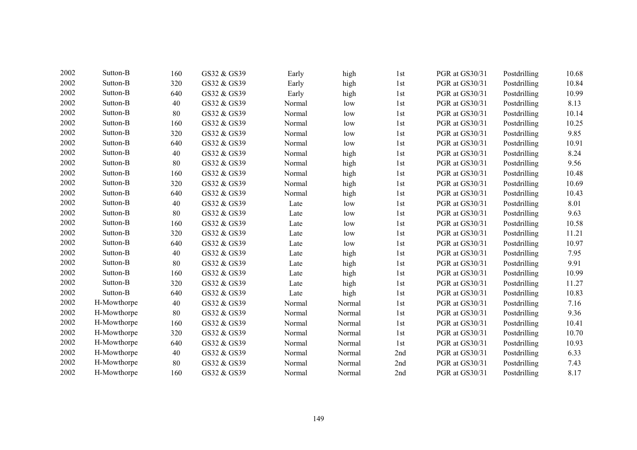| 2002 | Sutton-B    | 160 | GS32 & GS39 | Early  | high   | 1st | PGR at GS30/31 | Postdrilling | 10.68 |
|------|-------------|-----|-------------|--------|--------|-----|----------------|--------------|-------|
| 2002 | Sutton-B    | 320 | GS32 & GS39 | Early  | high   | 1st | PGR at GS30/31 | Postdrilling | 10.84 |
| 2002 | Sutton-B    | 640 | GS32 & GS39 | Early  | high   | 1st | PGR at GS30/31 | Postdrilling | 10.99 |
| 2002 | Sutton-B    | 40  | GS32 & GS39 | Normal | low    | 1st | PGR at GS30/31 | Postdrilling | 8.13  |
| 2002 | Sutton-B    | 80  | GS32 & GS39 | Normal | low    | 1st | PGR at GS30/31 | Postdrilling | 10.14 |
| 2002 | Sutton-B    | 160 | GS32 & GS39 | Normal | low    | 1st | PGR at GS30/31 | Postdrilling | 10.25 |
| 2002 | Sutton-B    | 320 | GS32 & GS39 | Normal | low    | 1st | PGR at GS30/31 | Postdrilling | 9.85  |
| 2002 | Sutton-B    | 640 | GS32 & GS39 | Normal | low    | 1st | PGR at GS30/31 | Postdrilling | 10.91 |
| 2002 | Sutton-B    | 40  | GS32 & GS39 | Normal | high   | 1st | PGR at GS30/31 | Postdrilling | 8.24  |
| 2002 | Sutton-B    | 80  | GS32 & GS39 | Normal | high   | 1st | PGR at GS30/31 | Postdrilling | 9.56  |
| 2002 | Sutton-B    | 160 | GS32 & GS39 | Normal | high   | 1st | PGR at GS30/31 | Postdrilling | 10.48 |
| 2002 | Sutton-B    | 320 | GS32 & GS39 | Normal | high   | 1st | PGR at GS30/31 | Postdrilling | 10.69 |
| 2002 | Sutton-B    | 640 | GS32 & GS39 | Normal | high   | 1st | PGR at GS30/31 | Postdrilling | 10.43 |
| 2002 | Sutton-B    | 40  | GS32 & GS39 | Late   | low    | 1st | PGR at GS30/31 | Postdrilling | 8.01  |
| 2002 | Sutton-B    | 80  | GS32 & GS39 | Late   | low    | 1st | PGR at GS30/31 | Postdrilling | 9.63  |
| 2002 | Sutton-B    | 160 | GS32 & GS39 | Late   | low    | 1st | PGR at GS30/31 | Postdrilling | 10.58 |
| 2002 | Sutton-B    | 320 | GS32 & GS39 | Late   | low    | 1st | PGR at GS30/31 | Postdrilling | 11.21 |
| 2002 | Sutton-B    | 640 | GS32 & GS39 | Late   | low    | 1st | PGR at GS30/31 | Postdrilling | 10.97 |
| 2002 | Sutton-B    | 40  | GS32 & GS39 | Late   | high   | 1st | PGR at GS30/31 | Postdrilling | 7.95  |
| 2002 | Sutton-B    | 80  | GS32 & GS39 | Late   | high   | 1st | PGR at GS30/31 | Postdrilling | 9.91  |
| 2002 | Sutton-B    | 160 | GS32 & GS39 | Late   | high   | 1st | PGR at GS30/31 | Postdrilling | 10.99 |
| 2002 | Sutton-B    | 320 | GS32 & GS39 | Late   | high   | 1st | PGR at GS30/31 | Postdrilling | 11.27 |
| 2002 | Sutton-B    | 640 | GS32 & GS39 | Late   | high   | 1st | PGR at GS30/31 | Postdrilling | 10.83 |
| 2002 | H-Mowthorpe | 40  | GS32 & GS39 | Normal | Normal | 1st | PGR at GS30/31 | Postdrilling | 7.16  |
| 2002 | H-Mowthorpe | 80  | GS32 & GS39 | Normal | Normal | 1st | PGR at GS30/31 | Postdrilling | 9.36  |
| 2002 | H-Mowthorpe | 160 | GS32 & GS39 | Normal | Normal | 1st | PGR at GS30/31 | Postdrilling | 10.41 |
| 2002 | H-Mowthorpe | 320 | GS32 & GS39 | Normal | Normal | 1st | PGR at GS30/31 | Postdrilling | 10.70 |
| 2002 | H-Mowthorpe | 640 | GS32 & GS39 | Normal | Normal | 1st | PGR at GS30/31 | Postdrilling | 10.93 |
| 2002 | H-Mowthorpe | 40  | GS32 & GS39 | Normal | Normal | 2nd | PGR at GS30/31 | Postdrilling | 6.33  |
| 2002 | H-Mowthorpe | 80  | GS32 & GS39 | Normal | Normal | 2nd | PGR at GS30/31 | Postdrilling | 7.43  |
| 2002 | H-Mowthorpe | 160 | GS32 & GS39 | Normal | Normal | 2nd | PGR at GS30/31 | Postdrilling | 8.17  |
|      |             |     |             |        |        |     |                |              |       |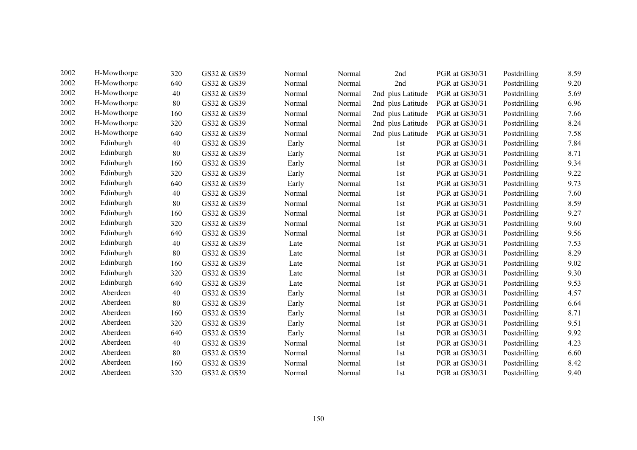| 2002 | H-Mowthorpe | 320 | GS32 & GS39 | Normal | Normal | 2nd               | PGR at GS30/31 | Postdrilling | 8.59 |
|------|-------------|-----|-------------|--------|--------|-------------------|----------------|--------------|------|
| 2002 | H-Mowthorpe | 640 | GS32 & GS39 | Normal | Normal | 2nd               | PGR at GS30/31 | Postdrilling | 9.20 |
| 2002 | H-Mowthorpe | 40  | GS32 & GS39 | Normal | Normal | 2nd plus Latitude | PGR at GS30/31 | Postdrilling | 5.69 |
| 2002 | H-Mowthorpe | 80  | GS32 & GS39 | Normal | Normal | 2nd plus Latitude | PGR at GS30/31 | Postdrilling | 6.96 |
| 2002 | H-Mowthorpe | 160 | GS32 & GS39 | Normal | Normal | 2nd plus Latitude | PGR at GS30/31 | Postdrilling | 7.66 |
| 2002 | H-Mowthorpe | 320 | GS32 & GS39 | Normal | Normal | 2nd plus Latitude | PGR at GS30/31 | Postdrilling | 8.24 |
| 2002 | H-Mowthorpe | 640 | GS32 & GS39 | Normal | Normal | 2nd plus Latitude | PGR at GS30/31 | Postdrilling | 7.58 |
| 2002 | Edinburgh   | 40  | GS32 & GS39 | Early  | Normal | 1st               | PGR at GS30/31 | Postdrilling | 7.84 |
| 2002 | Edinburgh   | 80  | GS32 & GS39 | Early  | Normal | 1st               | PGR at GS30/31 | Postdrilling | 8.71 |
| 2002 | Edinburgh   | 160 | GS32 & GS39 | Early  | Normal | 1st               | PGR at GS30/31 | Postdrilling | 9.34 |
| 2002 | Edinburgh   | 320 | GS32 & GS39 | Early  | Normal | 1st               | PGR at GS30/31 | Postdrilling | 9.22 |
| 2002 | Edinburgh   | 640 | GS32 & GS39 | Early  | Normal | 1st               | PGR at GS30/31 | Postdrilling | 9.73 |
| 2002 | Edinburgh   | 40  | GS32 & GS39 | Normal | Normal | 1st               | PGR at GS30/31 | Postdrilling | 7.60 |
| 2002 | Edinburgh   | 80  | GS32 & GS39 | Normal | Normal | 1st               | PGR at GS30/31 | Postdrilling | 8.59 |
| 2002 | Edinburgh   | 160 | GS32 & GS39 | Normal | Normal | 1st               | PGR at GS30/31 | Postdrilling | 9.27 |
| 2002 | Edinburgh   | 320 | GS32 & GS39 | Normal | Normal | 1st               | PGR at GS30/31 | Postdrilling | 9.60 |
| 2002 | Edinburgh   | 640 | GS32 & GS39 | Normal | Normal | 1st               | PGR at GS30/31 | Postdrilling | 9.56 |
| 2002 | Edinburgh   | 40  | GS32 & GS39 | Late   | Normal | 1st               | PGR at GS30/31 | Postdrilling | 7.53 |
| 2002 | Edinburgh   | 80  | GS32 & GS39 | Late   | Normal | 1st               | PGR at GS30/31 | Postdrilling | 8.29 |
| 2002 | Edinburgh   | 160 | GS32 & GS39 | Late   | Normal | 1st               | PGR at GS30/31 | Postdrilling | 9.02 |
| 2002 | Edinburgh   | 320 | GS32 & GS39 | Late   | Normal | 1st               | PGR at GS30/31 | Postdrilling | 9.30 |
| 2002 | Edinburgh   | 640 | GS32 & GS39 | Late   | Normal | 1st               | PGR at GS30/31 | Postdrilling | 9.53 |
| 2002 | Aberdeen    | 40  | GS32 & GS39 | Early  | Normal | 1st               | PGR at GS30/31 | Postdrilling | 4.57 |
| 2002 | Aberdeen    | 80  | GS32 & GS39 | Early  | Normal | 1st               | PGR at GS30/31 | Postdrilling | 6.64 |
| 2002 | Aberdeen    | 160 | GS32 & GS39 | Early  | Normal | 1st               | PGR at GS30/31 | Postdrilling | 8.71 |
| 2002 | Aberdeen    | 320 | GS32 & GS39 | Early  | Normal | 1st               | PGR at GS30/31 | Postdrilling | 9.51 |
| 2002 | Aberdeen    | 640 | GS32 & GS39 | Early  | Normal | 1st               | PGR at GS30/31 | Postdrilling | 9.92 |
| 2002 | Aberdeen    | 40  | GS32 & GS39 | Normal | Normal | 1st               | PGR at GS30/31 | Postdrilling | 4.23 |
| 2002 | Aberdeen    | 80  | GS32 & GS39 | Normal | Normal | 1st               | PGR at GS30/31 | Postdrilling | 6.60 |
| 2002 | Aberdeen    | 160 | GS32 & GS39 | Normal | Normal | 1st               | PGR at GS30/31 | Postdrilling | 8.42 |
| 2002 | Aberdeen    | 320 | GS32 & GS39 | Normal | Normal | 1st               | PGR at GS30/31 | Postdrilling | 9.40 |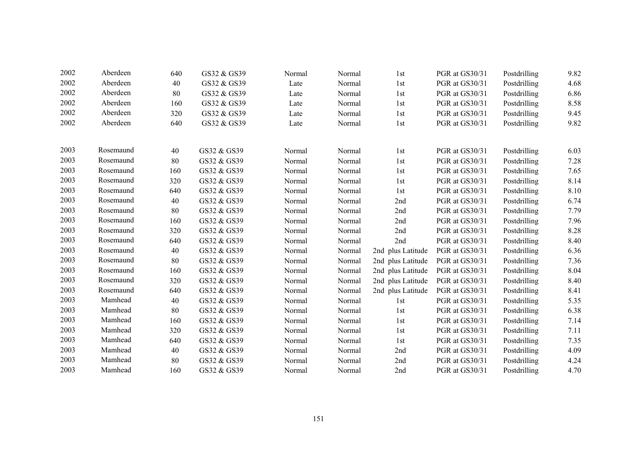| 2002 | Aberdeen  | 640 | GS32 & GS39 | Normal | Normal | 1st               | PGR at GS30/31 | Postdrilling | 9.82 |
|------|-----------|-----|-------------|--------|--------|-------------------|----------------|--------------|------|
| 2002 | Aberdeen  | 40  | GS32 & GS39 | Late   | Normal | 1st               | PGR at GS30/31 | Postdrilling | 4.68 |
| 2002 | Aberdeen  | 80  | GS32 & GS39 | Late   | Normal | 1st               | PGR at GS30/31 | Postdrilling | 6.86 |
| 2002 | Aberdeen  | 160 | GS32 & GS39 | Late   | Normal | 1st               | PGR at GS30/31 | Postdrilling | 8.58 |
| 2002 | Aberdeen  | 320 | GS32 & GS39 | Late   | Normal | 1st               | PGR at GS30/31 | Postdrilling | 9.45 |
| 2002 | Aberdeen  | 640 | GS32 & GS39 | Late   | Normal | 1st               | PGR at GS30/31 | Postdrilling | 9.82 |
| 2003 | Rosemaund | 40  | GS32 & GS39 | Normal | Normal | 1st               | PGR at GS30/31 | Postdrilling | 6.03 |
| 2003 | Rosemaund | 80  | GS32 & GS39 | Normal | Normal | 1st               | PGR at GS30/31 | Postdrilling | 7.28 |
| 2003 | Rosemaund | 160 | GS32 & GS39 | Normal | Normal | 1st               | PGR at GS30/31 | Postdrilling | 7.65 |
| 2003 | Rosemaund | 320 | GS32 & GS39 | Normal | Normal | 1st               | PGR at GS30/31 | Postdrilling | 8.14 |
| 2003 | Rosemaund | 640 | GS32 & GS39 | Normal | Normal | 1st               | PGR at GS30/31 | Postdrilling | 8.10 |
| 2003 | Rosemaund | 40  | GS32 & GS39 | Normal | Normal | 2nd               | PGR at GS30/31 | Postdrilling | 6.74 |
| 2003 | Rosemaund | 80  | GS32 & GS39 | Normal | Normal | 2nd               | PGR at GS30/31 | Postdrilling | 7.79 |
| 2003 | Rosemaund | 160 | GS32 & GS39 | Normal | Normal | 2nd               | PGR at GS30/31 | Postdrilling | 7.96 |
| 2003 | Rosemaund | 320 | GS32 & GS39 | Normal | Normal | 2nd               | PGR at GS30/31 | Postdrilling | 8.28 |
| 2003 | Rosemaund | 640 | GS32 & GS39 | Normal | Normal | 2nd               | PGR at GS30/31 | Postdrilling | 8.40 |
| 2003 | Rosemaund | 40  | GS32 & GS39 | Normal | Normal | 2nd plus Latitude | PGR at GS30/31 | Postdrilling | 6.36 |
| 2003 | Rosemaund | 80  | GS32 & GS39 | Normal | Normal | 2nd plus Latitude | PGR at GS30/31 | Postdrilling | 7.36 |
| 2003 | Rosemaund | 160 | GS32 & GS39 | Normal | Normal | 2nd plus Latitude | PGR at GS30/31 | Postdrilling | 8.04 |
| 2003 | Rosemaund | 320 | GS32 & GS39 | Normal | Normal | 2nd plus Latitude | PGR at GS30/31 | Postdrilling | 8.40 |
| 2003 | Rosemaund | 640 | GS32 & GS39 | Normal | Normal | 2nd plus Latitude | PGR at GS30/31 | Postdrilling | 8.41 |
| 2003 | Mamhead   | 40  | GS32 & GS39 | Normal | Normal | 1st               | PGR at GS30/31 | Postdrilling | 5.35 |
| 2003 | Mamhead   | 80  | GS32 & GS39 | Normal | Normal | 1st               | PGR at GS30/31 | Postdrilling | 6.38 |
| 2003 | Mamhead   | 160 | GS32 & GS39 | Normal | Normal | 1st               | PGR at GS30/31 | Postdrilling | 7.14 |
| 2003 | Mamhead   | 320 | GS32 & GS39 | Normal | Normal | 1st               | PGR at GS30/31 | Postdrilling | 7.11 |
| 2003 | Mamhead   | 640 | GS32 & GS39 | Normal | Normal | 1st               | PGR at GS30/31 | Postdrilling | 7.35 |
| 2003 | Mamhead   | 40  | GS32 & GS39 | Normal | Normal | 2nd               | PGR at GS30/31 | Postdrilling | 4.09 |
| 2003 | Mamhead   | 80  | GS32 & GS39 | Normal | Normal | 2nd               | PGR at GS30/31 | Postdrilling | 4.24 |
| 2003 | Mamhead   | 160 | GS32 & GS39 | Normal | Normal | 2nd               | PGR at GS30/31 | Postdrilling | 4.70 |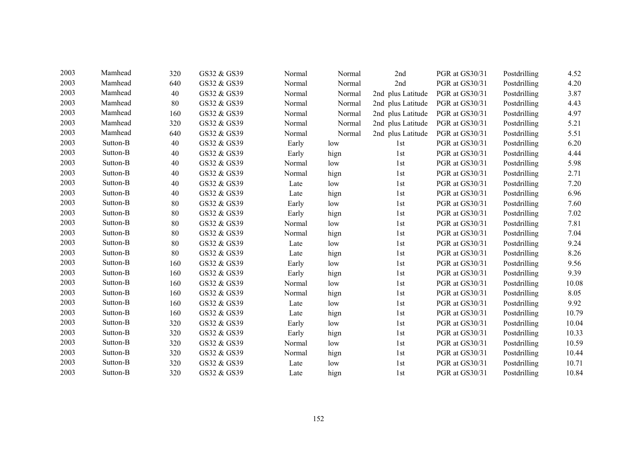| 2003 | Mamhead  | 320 | GS32 & GS39 | Normal | Normal | 2nd               | PGR at GS30/31 | Postdrilling | 4.52  |
|------|----------|-----|-------------|--------|--------|-------------------|----------------|--------------|-------|
| 2003 | Mamhead  | 640 | GS32 & GS39 | Normal | Normal | 2nd               | PGR at GS30/31 | Postdrilling | 4.20  |
| 2003 | Mamhead  | 40  | GS32 & GS39 | Normal | Normal | 2nd plus Latitude | PGR at GS30/31 | Postdrilling | 3.87  |
| 2003 | Mamhead  | 80  | GS32 & GS39 | Normal | Normal | 2nd plus Latitude | PGR at GS30/31 | Postdrilling | 4.43  |
| 2003 | Mamhead  | 160 | GS32 & GS39 | Normal | Normal | 2nd plus Latitude | PGR at GS30/31 | Postdrilling | 4.97  |
| 2003 | Mamhead  | 320 | GS32 & GS39 | Normal | Normal | 2nd plus Latitude | PGR at GS30/31 | Postdrilling | 5.21  |
| 2003 | Mamhead  | 640 | GS32 & GS39 | Normal | Normal | 2nd plus Latitude | PGR at GS30/31 | Postdrilling | 5.51  |
| 2003 | Sutton-B | 40  | GS32 & GS39 | Early  | low    | 1st               | PGR at GS30/31 | Postdrilling | 6.20  |
| 2003 | Sutton-B | 40  | GS32 & GS39 | Early  | hign   | 1st               | PGR at GS30/31 | Postdrilling | 4.44  |
| 2003 | Sutton-B | 40  | GS32 & GS39 | Normal | low    | 1st               | PGR at GS30/31 | Postdrilling | 5.98  |
| 2003 | Sutton-B | 40  | GS32 & GS39 | Normal | hign   | 1st               | PGR at GS30/31 | Postdrilling | 2.71  |
| 2003 | Sutton-B | 40  | GS32 & GS39 | Late   | low    | 1st               | PGR at GS30/31 | Postdrilling | 7.20  |
| 2003 | Sutton-B | 40  | GS32 & GS39 | Late   | hign   | 1st               | PGR at GS30/31 | Postdrilling | 6.96  |
| 2003 | Sutton-B | 80  | GS32 & GS39 | Early  | low    | 1st               | PGR at GS30/31 | Postdrilling | 7.60  |
| 2003 | Sutton-B | 80  | GS32 & GS39 | Early  | hign   | 1st               | PGR at GS30/31 | Postdrilling | 7.02  |
| 2003 | Sutton-B | 80  | GS32 & GS39 | Normal | low    | 1st               | PGR at GS30/31 | Postdrilling | 7.81  |
| 2003 | Sutton-B | 80  | GS32 & GS39 | Normal | hign   | 1st               | PGR at GS30/31 | Postdrilling | 7.04  |
| 2003 | Sutton-B | 80  | GS32 & GS39 | Late   | low    | 1st               | PGR at GS30/31 | Postdrilling | 9.24  |
| 2003 | Sutton-B | 80  | GS32 & GS39 | Late   | hign   | 1st               | PGR at GS30/31 | Postdrilling | 8.26  |
| 2003 | Sutton-B | 160 | GS32 & GS39 | Early  | low    | 1st               | PGR at GS30/31 | Postdrilling | 9.56  |
| 2003 | Sutton-B | 160 | GS32 & GS39 | Early  | hign   | 1st               | PGR at GS30/31 | Postdrilling | 9.39  |
| 2003 | Sutton-B | 160 | GS32 & GS39 | Normal | low    | 1st               | PGR at GS30/31 | Postdrilling | 10.08 |
| 2003 | Sutton-B | 160 | GS32 & GS39 | Normal | hign   | 1st               | PGR at GS30/31 | Postdrilling | 8.05  |
| 2003 | Sutton-B | 160 | GS32 & GS39 | Late   | low    | 1st               | PGR at GS30/31 | Postdrilling | 9.92  |
| 2003 | Sutton-B | 160 | GS32 & GS39 | Late   | hign   | 1st               | PGR at GS30/31 | Postdrilling | 10.79 |
| 2003 | Sutton-B | 320 | GS32 & GS39 | Early  | low    | 1st               | PGR at GS30/31 | Postdrilling | 10.04 |
| 2003 | Sutton-B | 320 | GS32 & GS39 | Early  | hign   | 1st               | PGR at GS30/31 | Postdrilling | 10.33 |
| 2003 | Sutton-B | 320 | GS32 & GS39 | Normal | low    | 1st               | PGR at GS30/31 | Postdrilling | 10.59 |
| 2003 | Sutton-B | 320 | GS32 & GS39 | Normal | hign   | 1st               | PGR at GS30/31 | Postdrilling | 10.44 |
| 2003 | Sutton-B | 320 | GS32 & GS39 | Late   | low    | 1st               | PGR at GS30/31 | Postdrilling | 10.71 |
| 2003 | Sutton-B | 320 | GS32 & GS39 | Late   | hign   | 1st               | PGR at GS30/31 | Postdrilling | 10.84 |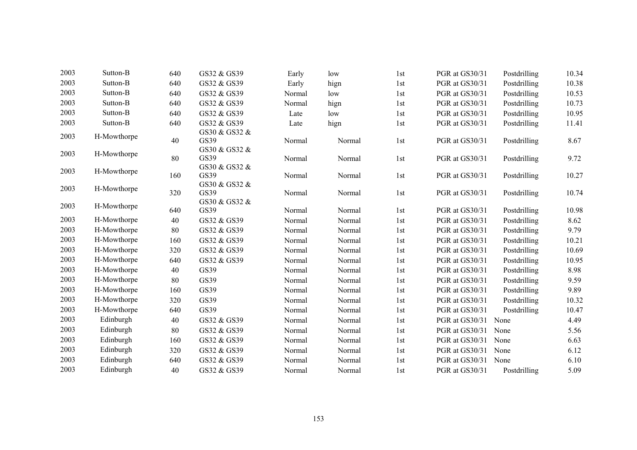| 2003         | Sutton-B    | 640 | GS32 & GS39           | Early  | low    | 1st | PGR at GS30/31 | Postdrilling | 10.34 |
|--------------|-------------|-----|-----------------------|--------|--------|-----|----------------|--------------|-------|
| 2003         | Sutton-B    | 640 | GS32 & GS39           | Early  | hign   | 1st | PGR at GS30/31 | Postdrilling | 10.38 |
| 2003         | Sutton-B    | 640 | GS32 & GS39           | Normal | low    | 1st | PGR at GS30/31 | Postdrilling | 10.53 |
| 2003         | Sutton-B    | 640 | GS32 & GS39           | Normal | hign   | 1st | PGR at GS30/31 | Postdrilling | 10.73 |
| 2003         | Sutton-B    | 640 | GS32 & GS39           | Late   | low    | 1st | PGR at GS30/31 | Postdrilling | 10.95 |
| 2003         | Sutton-B    | 640 | GS32 & GS39           | Late   | hign   | 1st | PGR at GS30/31 | Postdrilling | 11.41 |
| 2003         | H-Mowthorpe |     | GS30 & GS32 &         |        |        |     |                |              |       |
|              |             | 40  | GS39                  | Normal | Normal | 1st | PGR at GS30/31 | Postdrilling | 8.67  |
| 2003<br>2003 | H-Mowthorpe | 80  | GS30 & GS32 &<br>GS39 | Normal | Normal | 1st | PGR at GS30/31 | Postdrilling | 9.72  |
|              |             |     | GS30 & GS32 &         |        |        |     |                |              |       |
|              | H-Mowthorpe | 160 | GS39                  | Normal | Normal | 1st | PGR at GS30/31 | Postdrilling | 10.27 |
| 2003         |             |     | GS30 & GS32 &         |        |        |     |                |              |       |
|              | H-Mowthorpe | 320 | GS39                  | Normal | Normal | 1st | PGR at GS30/31 | Postdrilling | 10.74 |
| 2003         | H-Mowthorpe |     | GS30 & GS32 &         |        |        |     |                |              |       |
|              |             | 640 | GS39                  | Normal | Normal | 1st | PGR at GS30/31 | Postdrilling | 10.98 |
| 2003         | H-Mowthorpe | 40  | GS32 & GS39           | Normal | Normal | 1st | PGR at GS30/31 | Postdrilling | 8.62  |
| 2003         | H-Mowthorpe | 80  | GS32 & GS39           | Normal | Normal | 1st | PGR at GS30/31 | Postdrilling | 9.79  |
| 2003         | H-Mowthorpe | 160 | GS32 & GS39           | Normal | Normal | 1st | PGR at GS30/31 | Postdrilling | 10.21 |
| 2003         | H-Mowthorpe | 320 | GS32 & GS39           | Normal | Normal | 1st | PGR at GS30/31 | Postdrilling | 10.69 |
| 2003         | H-Mowthorpe | 640 | GS32 & GS39           | Normal | Normal | 1st | PGR at GS30/31 | Postdrilling | 10.95 |
| 2003         | H-Mowthorpe | 40  | GS39                  | Normal | Normal | 1st | PGR at GS30/31 | Postdrilling | 8.98  |
| 2003         | H-Mowthorpe | 80  | GS39                  | Normal | Normal | 1st | PGR at GS30/31 | Postdrilling | 9.59  |
| 2003         | H-Mowthorpe | 160 | GS39                  | Normal | Normal | 1st | PGR at GS30/31 | Postdrilling | 9.89  |
| 2003         | H-Mowthorpe | 320 | GS39                  | Normal | Normal | 1st | PGR at GS30/31 | Postdrilling | 10.32 |
| 2003         | H-Mowthorpe | 640 | GS39                  | Normal | Normal | 1st | PGR at GS30/31 | Postdrilling | 10.47 |
| 2003         | Edinburgh   | 40  | GS32 & GS39           | Normal | Normal | 1st | PGR at GS30/31 | None         | 4.49  |
| 2003         | Edinburgh   | 80  | GS32 & GS39           | Normal | Normal | 1st | PGR at GS30/31 | None         | 5.56  |
| 2003         | Edinburgh   | 160 | GS32 & GS39           | Normal | Normal | 1st | PGR at GS30/31 | None         | 6.63  |
| 2003         | Edinburgh   | 320 | GS32 & GS39           | Normal | Normal | 1st | PGR at GS30/31 | None         | 6.12  |
| 2003         | Edinburgh   | 640 | GS32 & GS39           | Normal | Normal | 1st | PGR at GS30/31 | None         | 6.10  |
| 2003         | Edinburgh   | 40  | GS32 & GS39           | Normal | Normal | 1st | PGR at GS30/31 | Postdrilling | 5.09  |